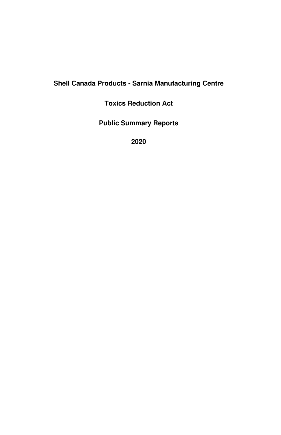## **Shell Canada Products - Sarnia Manufacturing Centre**

**Toxics Reduction Act**

**Public Summary Reports**

**2020**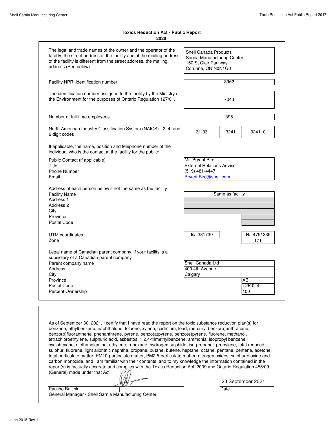## **Toxics Reduction Act - Public Report**

| The legal and trade names of the owner and the operator of the<br>facility, the street address of the facility and, if the mailing address<br>of the facility is different from the street address, the mailing<br>address.(See below) | <b>Shell Canada Products</b><br>Sarnia Manufacturing Center<br>150 St.Clair Parkway<br>Corunna, ON N0N1G0 |                  |                      |
|----------------------------------------------------------------------------------------------------------------------------------------------------------------------------------------------------------------------------------------|-----------------------------------------------------------------------------------------------------------|------------------|----------------------|
| <b>Facility NPRI identification number</b>                                                                                                                                                                                             |                                                                                                           | 3962             |                      |
| The identification number assigned to the facility by the Ministry of<br>the Environment for the purposes of Ontario Regulation 127/01.                                                                                                |                                                                                                           | 7043             |                      |
| Number of full-time employees                                                                                                                                                                                                          |                                                                                                           | 395              |                      |
| North American Industry Classification System (NAICS) - 2, 4, and<br>6 digit codes                                                                                                                                                     | 31-33                                                                                                     | 3241             | 324110               |
| If applicable, the name, position and telephone number of the<br>individual who is the contact at the facility for the public:                                                                                                         |                                                                                                           |                  |                      |
| Public Contact (if applicable)<br>Title<br><b>Phone Number</b><br>Email                                                                                                                                                                | Mr. Bryant Bird<br><b>External Relations Advisor</b><br>(519) 481-4447<br>Bryant.Bird@shell.com           |                  |                      |
| Address of each person below if not the same as the facility<br><b>Facility Name</b><br>Address <sub>1</sub><br>Address 2<br>City<br>Province<br>Postal Code                                                                           |                                                                                                           | Same as facility |                      |
| UTM coordinates<br>Zone                                                                                                                                                                                                                | E: 381730                                                                                                 |                  | N: 4751235<br>17T    |
| Legal name of Canadian parent company, if your facility is a<br>subsidiary of a Canadian parent company<br>Parent company name<br><b>Address</b><br>City<br>Province<br>Postal Code<br>Percent Ownership                               | Shell Canada Ltd<br>400 4th Avenue<br>Calgary                                                             |                  | AB<br>T2P 0J4<br>100 |

As of September 30, 2021, I certify that I have read the report on the toxic substance reduction plan(s) for benzene, ethylbenzene, naphthalene, toluene, xylene, cadmium, lead, mercury, benzo(a)anthracene, benzo(b)fluoranthene, phenanthrene, pyrene, benzo(a)pyrene, benzo(e)pyrene, fluorene, methanol, tetrachloroethylene, sulphuric acid, asbestos, 1,2,4-trimethylbenzene, ammonia, isopropyl benzene, cyclohexane, diethanolamine, ethylene, n-hexane, hydrogen sulphide, iso-propanol, propylene, total reduced sulphur, fluorene, light aliphatic naphtha, propane, butane, butene, heptane, octane, pentane, pentene, acetone, total particulate matter, PM10-particulate matter, PM2.5-particulate matter, nitrogen oxides, sulphur dioxide and carbon monoxide, and I am familiar with their contents, and to my knowledge the information contained in the report(s) is factually accurate and complies with the Toxics Reduction Act, 2009 and Ontario Regulation 455/09 (General) made under that Act.

**Pauline Buitink Date** General Manager - Shell Sarnia Manufacturing Center

23 September 2021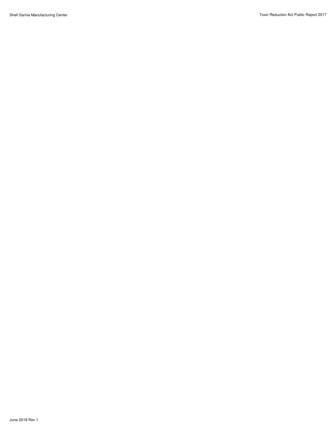June 2018 Rev 1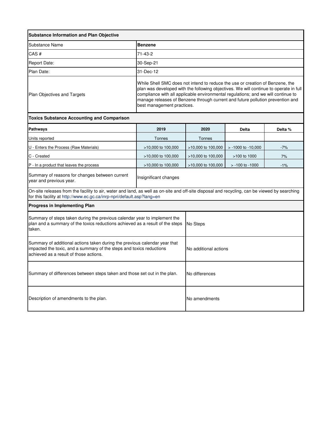| <b>Substance Information and Plan Objective</b>                                                                                                                                                                         |                                                                                                                                                                                                                                                                                                                                                                             |                       |                        |         |  |
|-------------------------------------------------------------------------------------------------------------------------------------------------------------------------------------------------------------------------|-----------------------------------------------------------------------------------------------------------------------------------------------------------------------------------------------------------------------------------------------------------------------------------------------------------------------------------------------------------------------------|-----------------------|------------------------|---------|--|
| Substance Name                                                                                                                                                                                                          | <b>Benzene</b>                                                                                                                                                                                                                                                                                                                                                              |                       |                        |         |  |
| CAS#                                                                                                                                                                                                                    | 71-43-2                                                                                                                                                                                                                                                                                                                                                                     |                       |                        |         |  |
| Report Date:                                                                                                                                                                                                            | 30-Sep-21                                                                                                                                                                                                                                                                                                                                                                   |                       |                        |         |  |
| Plan Date:                                                                                                                                                                                                              | 31-Dec-12                                                                                                                                                                                                                                                                                                                                                                   |                       |                        |         |  |
| <b>Plan Objectives and Targets</b>                                                                                                                                                                                      | While Shell SMC does not intend to reduce the use or creation of Benzene, the<br>plan was developed with the following objectives. We will continue to operate in full<br>compliance with all applicable environmental regulations; and we will continue to<br>manage releases of Benzene through current and future pollution prevention and<br>best management practices. |                       |                        |         |  |
| <b>Toxics Substance Accounting and Comparison</b>                                                                                                                                                                       |                                                                                                                                                                                                                                                                                                                                                                             |                       |                        |         |  |
| <b>Pathways</b>                                                                                                                                                                                                         | 2019                                                                                                                                                                                                                                                                                                                                                                        | 2020                  | <b>Delta</b>           | Delta % |  |
| Units reported                                                                                                                                                                                                          | Tonnes                                                                                                                                                                                                                                                                                                                                                                      | Tonnes                |                        |         |  |
| U - Enters the Process (Raw Materials)                                                                                                                                                                                  | >10,000 to 100,000                                                                                                                                                                                                                                                                                                                                                          | >10,000 to 100,000    | $> -1000$ to $-10,000$ | $-7%$   |  |
| C - Created                                                                                                                                                                                                             | >10,000 to 100,000                                                                                                                                                                                                                                                                                                                                                          | >10,000 to 100,000    | >100 to 1000           | 7%      |  |
| P - In a product that leaves the process                                                                                                                                                                                | >10,000 to 100,000                                                                                                                                                                                                                                                                                                                                                          | >10,000 to 100,000    | > -100 to -1000        | $-1%$   |  |
| Summary of reasons for changes between current<br>year and previous year.                                                                                                                                               | Insignificant changes                                                                                                                                                                                                                                                                                                                                                       |                       |                        |         |  |
| On-site releases from the facility to air, water and land, as well as on-site and off-site disposal and recycling, can be viewed by searching<br>for this facility at http://www.ec.gc.ca/inrp-npri/default.asp?lang=en |                                                                                                                                                                                                                                                                                                                                                                             |                       |                        |         |  |
| <b>Progress in Implementing Plan</b>                                                                                                                                                                                    |                                                                                                                                                                                                                                                                                                                                                                             |                       |                        |         |  |
| Summary of steps taken during the previous calendar year to implement the<br>plan and a summary of the toxics reductions achieved as a result of the steps<br>taken.                                                    |                                                                                                                                                                                                                                                                                                                                                                             | No Steps              |                        |         |  |
| Summary of additional actions taken during the previous calendar year that<br>impacted the toxic, and a summary of the steps and toxics reductions<br>achieved as a result of those actions.                            |                                                                                                                                                                                                                                                                                                                                                                             | No additional actions |                        |         |  |
| Summary of differences between steps taken and those set out in the plan.                                                                                                                                               |                                                                                                                                                                                                                                                                                                                                                                             | No differences        |                        |         |  |
| Description of amendments to the plan.                                                                                                                                                                                  |                                                                                                                                                                                                                                                                                                                                                                             | No amendments         |                        |         |  |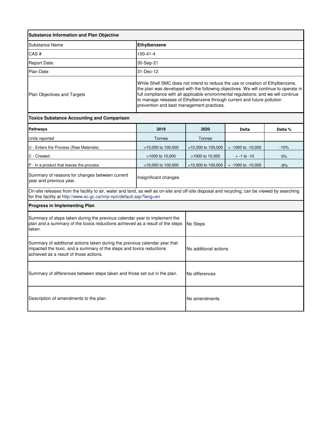| <b>Substance Information and Plan Objective</b>                                                                                                                                                                         |                                                                                                                                                                                                                                                                                                                                                                                       |                       |                        |         |  |
|-------------------------------------------------------------------------------------------------------------------------------------------------------------------------------------------------------------------------|---------------------------------------------------------------------------------------------------------------------------------------------------------------------------------------------------------------------------------------------------------------------------------------------------------------------------------------------------------------------------------------|-----------------------|------------------------|---------|--|
| Substance Name                                                                                                                                                                                                          | Ethylbenzene                                                                                                                                                                                                                                                                                                                                                                          |                       |                        |         |  |
| CAS#                                                                                                                                                                                                                    | 100-41-4                                                                                                                                                                                                                                                                                                                                                                              |                       |                        |         |  |
| <b>Report Date:</b>                                                                                                                                                                                                     | 30-Sep-21                                                                                                                                                                                                                                                                                                                                                                             |                       |                        |         |  |
| Plan Date:                                                                                                                                                                                                              | 31-Dec-12                                                                                                                                                                                                                                                                                                                                                                             |                       |                        |         |  |
| <b>Plan Objectives and Targets</b>                                                                                                                                                                                      | While Shell SMC does not intend to reduce the use or creation of Ethylbenzene,<br>the plan was developed with the following objectives. We will continue to operate in<br>full compliance with all applicable environmental regulations; and we will continue<br>to manage releases of Ethylbenzene through current and future pollution<br>prevention and best management practices. |                       |                        |         |  |
| <b>Toxics Substance Accounting and Comparison</b>                                                                                                                                                                       |                                                                                                                                                                                                                                                                                                                                                                                       |                       |                        |         |  |
| <b>Pathways</b>                                                                                                                                                                                                         | 2019                                                                                                                                                                                                                                                                                                                                                                                  | 2020                  | <b>Delta</b>           | Delta % |  |
| Units reported                                                                                                                                                                                                          | Tonnes                                                                                                                                                                                                                                                                                                                                                                                | Tonnes                |                        |         |  |
| U - Enters the Process (Raw Materials)                                                                                                                                                                                  | >10,000 to 100,000                                                                                                                                                                                                                                                                                                                                                                    | >10,000 to 100,000    | $> -1000$ to $-10,000$ | $-10%$  |  |
| C - Created                                                                                                                                                                                                             | >1000 to 10,000                                                                                                                                                                                                                                                                                                                                                                       | >1000 to 10,000       | $> -1$ to $-10$        | 0%      |  |
| P - In a product that leaves the process                                                                                                                                                                                | >10,000 to 100,000                                                                                                                                                                                                                                                                                                                                                                    | >10,000 to 100,000    | $> -1000$ to $-10,000$ | $-9%$   |  |
| Summary of reasons for changes between current<br>year and previous year.                                                                                                                                               | Insignificant changes                                                                                                                                                                                                                                                                                                                                                                 |                       |                        |         |  |
| On-site releases from the facility to air, water and land, as well as on-site and off-site disposal and recycling, can be viewed by searching<br>for this facility at http://www.ec.gc.ca/inrp-npri/default.asp?lang=en |                                                                                                                                                                                                                                                                                                                                                                                       |                       |                        |         |  |
| <b>Progress in Implementing Plan</b>                                                                                                                                                                                    |                                                                                                                                                                                                                                                                                                                                                                                       |                       |                        |         |  |
| Summary of steps taken during the previous calendar year to implement the<br>plan and a summary of the toxics reductions achieved as a result of the steps<br>No Steps<br>taken.                                        |                                                                                                                                                                                                                                                                                                                                                                                       |                       |                        |         |  |
| Summary of additional actions taken during the previous calendar year that<br>impacted the toxic, and a summary of the steps and toxics reductions<br>achieved as a result of those actions.                            |                                                                                                                                                                                                                                                                                                                                                                                       | No additional actions |                        |         |  |
| Summary of differences between steps taken and those set out in the plan.                                                                                                                                               |                                                                                                                                                                                                                                                                                                                                                                                       | No differences        |                        |         |  |
| Description of amendments to the plan.                                                                                                                                                                                  |                                                                                                                                                                                                                                                                                                                                                                                       | No amendments         |                        |         |  |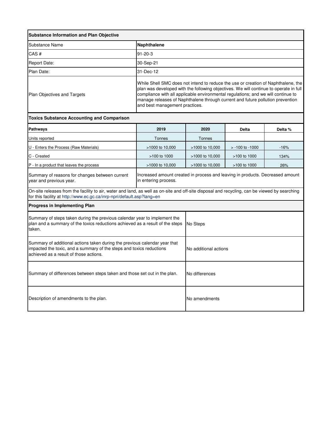| <b>Substance Information and Plan Objective</b>                                                                                                                                                                         |                                                                                                                                                                                                                                                                                                                                                                                     |                       |                     |         |  |
|-------------------------------------------------------------------------------------------------------------------------------------------------------------------------------------------------------------------------|-------------------------------------------------------------------------------------------------------------------------------------------------------------------------------------------------------------------------------------------------------------------------------------------------------------------------------------------------------------------------------------|-----------------------|---------------------|---------|--|
| Substance Name                                                                                                                                                                                                          | Naphthalene                                                                                                                                                                                                                                                                                                                                                                         |                       |                     |         |  |
| CAS#                                                                                                                                                                                                                    | $91 - 20 - 3$                                                                                                                                                                                                                                                                                                                                                                       |                       |                     |         |  |
| Report Date:                                                                                                                                                                                                            | 30-Sep-21                                                                                                                                                                                                                                                                                                                                                                           |                       |                     |         |  |
| Plan Date:                                                                                                                                                                                                              | 31-Dec-12                                                                                                                                                                                                                                                                                                                                                                           |                       |                     |         |  |
| Plan Objectives and Targets                                                                                                                                                                                             | While Shell SMC does not intend to reduce the use or creation of Naphthalene, the<br>plan was developed with the following objectives. We will continue to operate in full<br>compliance with all applicable environmental regulations; and we will continue to<br>manage releases of Naphthalene through current and future pollution prevention<br>and best management practices. |                       |                     |         |  |
| <b>Toxics Substance Accounting and Comparison</b>                                                                                                                                                                       |                                                                                                                                                                                                                                                                                                                                                                                     |                       |                     |         |  |
| <b>Pathways</b>                                                                                                                                                                                                         | 2019                                                                                                                                                                                                                                                                                                                                                                                | 2020                  | Delta               | Delta % |  |
| Units reported                                                                                                                                                                                                          | Tonnes                                                                                                                                                                                                                                                                                                                                                                              | Tonnes                |                     |         |  |
| U - Enters the Process (Raw Materials)                                                                                                                                                                                  | >1000 to 10,000                                                                                                                                                                                                                                                                                                                                                                     | >1000 to 10,000       | $> -100$ to $-1000$ | $-16%$  |  |
| C - Created                                                                                                                                                                                                             | >100 to 1000                                                                                                                                                                                                                                                                                                                                                                        | >1000 to 10,000       | >100 to 1000        | 134%    |  |
| P - In a product that leaves the process                                                                                                                                                                                | >1000 to 10,000                                                                                                                                                                                                                                                                                                                                                                     | >1000 to 10,000       | >100 to 1000        | 26%     |  |
| Summary of reasons for changes between current<br>year and previous year.                                                                                                                                               | Increased amount created in process and leaving in products. Decreased amount<br>in entering process.                                                                                                                                                                                                                                                                               |                       |                     |         |  |
| On-site releases from the facility to air, water and land, as well as on-site and off-site disposal and recycling, can be viewed by searching<br>for this facility at http://www.ec.gc.ca/inrp-npri/default.asp?lang=en |                                                                                                                                                                                                                                                                                                                                                                                     |                       |                     |         |  |
| <b>Progress in Implementing Plan</b>                                                                                                                                                                                    |                                                                                                                                                                                                                                                                                                                                                                                     |                       |                     |         |  |
| Summary of steps taken during the previous calendar year to implement the<br>plan and a summary of the toxics reductions achieved as a result of the steps<br>No Steps<br>taken.                                        |                                                                                                                                                                                                                                                                                                                                                                                     |                       |                     |         |  |
| Summary of additional actions taken during the previous calendar year that<br>impacted the toxic, and a summary of the steps and toxics reductions<br>achieved as a result of those actions.                            |                                                                                                                                                                                                                                                                                                                                                                                     | No additional actions |                     |         |  |
| Summary of differences between steps taken and those set out in the plan.<br>No differences                                                                                                                             |                                                                                                                                                                                                                                                                                                                                                                                     |                       |                     |         |  |
| Description of amendments to the plan.<br>No amendments                                                                                                                                                                 |                                                                                                                                                                                                                                                                                                                                                                                     |                       |                     |         |  |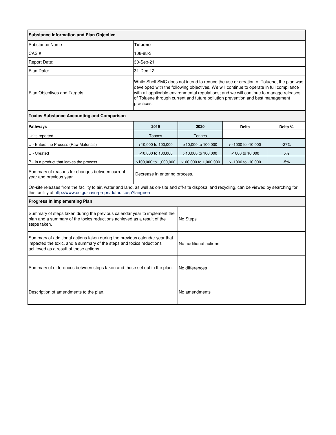| <b>Substance Information and Plan Objective</b>                                                                                                                                                                         |                                                                                                                                                                                                                                                                                                                                                                             |                       |                        |         |
|-------------------------------------------------------------------------------------------------------------------------------------------------------------------------------------------------------------------------|-----------------------------------------------------------------------------------------------------------------------------------------------------------------------------------------------------------------------------------------------------------------------------------------------------------------------------------------------------------------------------|-----------------------|------------------------|---------|
| Substance Name                                                                                                                                                                                                          | Toluene                                                                                                                                                                                                                                                                                                                                                                     |                       |                        |         |
| CAS#                                                                                                                                                                                                                    | 108-88-3                                                                                                                                                                                                                                                                                                                                                                    |                       |                        |         |
| <b>Report Date:</b>                                                                                                                                                                                                     | 30-Sep-21                                                                                                                                                                                                                                                                                                                                                                   |                       |                        |         |
| Plan Date:                                                                                                                                                                                                              | 31-Dec-12                                                                                                                                                                                                                                                                                                                                                                   |                       |                        |         |
| Plan Objectives and Targets                                                                                                                                                                                             | While Shell SMC does not intend to reduce the use or creation of Toluene, the plan was<br>developed with the following objectives. We will continue to operate in full compliance<br>with all applicable environmental regulations; and we will continue to manage releases<br>of Toluene through current and future pollution prevention and best management<br>practices. |                       |                        |         |
| <b>Toxics Substance Accounting and Comparison</b>                                                                                                                                                                       |                                                                                                                                                                                                                                                                                                                                                                             |                       |                        |         |
| <b>Pathways</b>                                                                                                                                                                                                         | 2019                                                                                                                                                                                                                                                                                                                                                                        | 2020                  | <b>Delta</b>           | Delta % |
| Units reported                                                                                                                                                                                                          | Tonnes                                                                                                                                                                                                                                                                                                                                                                      | Tonnes                |                        |         |
| U - Enters the Process (Raw Materials)                                                                                                                                                                                  | >10,000 to 100,000                                                                                                                                                                                                                                                                                                                                                          | >10,000 to 100,000    | $> -1000$ to $-10,000$ | $-27%$  |
| C - Created                                                                                                                                                                                                             | >10,000 to 100,000                                                                                                                                                                                                                                                                                                                                                          | >10,000 to 100,000    | >1000 to 10,000        | 5%      |
| P - In a product that leaves the process                                                                                                                                                                                | >100,000 to 1,000,000                                                                                                                                                                                                                                                                                                                                                       | >100,000 to 1,000,000 | $> -1000$ to $-10,000$ | $-5%$   |
| Summary of reasons for changes between current<br>year and previous year.                                                                                                                                               | Decrease in entering process.                                                                                                                                                                                                                                                                                                                                               |                       |                        |         |
| On-site releases from the facility to air, water and land, as well as on-site and off-site disposal and recycling, can be viewed by searching for<br>this facility at http://www.ec.gc.ca/inrp-npri/default.asp?lang=en |                                                                                                                                                                                                                                                                                                                                                                             |                       |                        |         |
| <b>Progress in Implementing Plan</b>                                                                                                                                                                                    |                                                                                                                                                                                                                                                                                                                                                                             |                       |                        |         |
| Summary of steps taken during the previous calendar year to implement the<br>plan and a summary of the toxics reductions achieved as a result of the<br>steps taken.                                                    |                                                                                                                                                                                                                                                                                                                                                                             | No Steps              |                        |         |
| Summary of additional actions taken during the previous calendar year that<br>impacted the toxic, and a summary of the steps and toxics reductions<br>achieved as a result of those actions.                            | No additional actions                                                                                                                                                                                                                                                                                                                                                       |                       |                        |         |
| Summary of differences between steps taken and those set out in the plan.<br>No differences                                                                                                                             |                                                                                                                                                                                                                                                                                                                                                                             |                       |                        |         |
| Description of amendments to the plan.<br>No amendments                                                                                                                                                                 |                                                                                                                                                                                                                                                                                                                                                                             |                       |                        |         |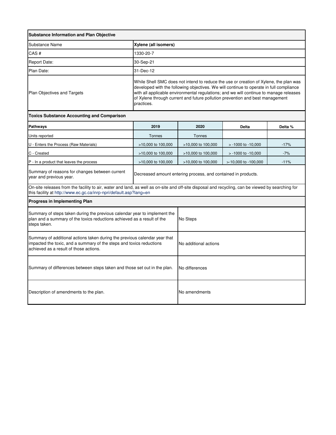| <b>Substance Information and Plan Objective</b>                                                                                                                                                                         |                                                                                                                                                                                                                                                                                                                                                                           |                                                               |                         |         |
|-------------------------------------------------------------------------------------------------------------------------------------------------------------------------------------------------------------------------|---------------------------------------------------------------------------------------------------------------------------------------------------------------------------------------------------------------------------------------------------------------------------------------------------------------------------------------------------------------------------|---------------------------------------------------------------|-------------------------|---------|
| Substance Name                                                                                                                                                                                                          | Xylene (all isomers)                                                                                                                                                                                                                                                                                                                                                      |                                                               |                         |         |
| CAS#                                                                                                                                                                                                                    | 1330-20-7                                                                                                                                                                                                                                                                                                                                                                 |                                                               |                         |         |
| Report Date:                                                                                                                                                                                                            | 30-Sep-21                                                                                                                                                                                                                                                                                                                                                                 |                                                               |                         |         |
| Plan Date:                                                                                                                                                                                                              | 31-Dec-12                                                                                                                                                                                                                                                                                                                                                                 |                                                               |                         |         |
| Plan Objectives and Targets                                                                                                                                                                                             | While Shell SMC does not intend to reduce the use or creation of Xylene, the plan was<br>developed with the following objectives. We will continue to operate in full compliance<br>with all applicable environmental regulations; and we will continue to manage releases<br>of Xylene through current and future pollution prevention and best management<br>practices. |                                                               |                         |         |
| <b>Toxics Substance Accounting and Comparison</b>                                                                                                                                                                       |                                                                                                                                                                                                                                                                                                                                                                           |                                                               |                         |         |
| Pathways                                                                                                                                                                                                                | 2019                                                                                                                                                                                                                                                                                                                                                                      | 2020                                                          | Delta                   | Delta % |
| Units reported                                                                                                                                                                                                          | Tonnes                                                                                                                                                                                                                                                                                                                                                                    | Tonnes                                                        |                         |         |
| U - Enters the Process (Raw Materials)                                                                                                                                                                                  | >10,000 to 100,000                                                                                                                                                                                                                                                                                                                                                        | >10,000 to 100,000                                            | $> -1000$ to $-10,000$  | $-17%$  |
| C - Created                                                                                                                                                                                                             | >10,000 to 100,000                                                                                                                                                                                                                                                                                                                                                        | >10,000 to 100,000                                            | $> -1000$ to $-10,000$  | $-7%$   |
| P - In a product that leaves the process                                                                                                                                                                                | >10,000 to 100,000                                                                                                                                                                                                                                                                                                                                                        | >10,000 to 100,000                                            | $>10,000$ to $-100,000$ | $-11%$  |
| Summary of reasons for changes between current<br>year and previous year.                                                                                                                                               |                                                                                                                                                                                                                                                                                                                                                                           | Decreased amount entering process, and contained in products. |                         |         |
| On-site releases from the facility to air, water and land, as well as on-site and off-site disposal and recycling, can be viewed by searching for<br>this facility at http://www.ec.gc.ca/inrp-npri/default.asp?lang=en |                                                                                                                                                                                                                                                                                                                                                                           |                                                               |                         |         |
| <b>Progress in Implementing Plan</b>                                                                                                                                                                                    |                                                                                                                                                                                                                                                                                                                                                                           |                                                               |                         |         |
| Summary of steps taken during the previous calendar year to implement the<br>plan and a summary of the toxics reductions achieved as a result of the<br>steps taken.                                                    |                                                                                                                                                                                                                                                                                                                                                                           | No Steps                                                      |                         |         |
| Summary of additional actions taken during the previous calendar year that<br>impacted the toxic, and a summary of the steps and toxics reductions<br>achieved as a result of those actions.                            |                                                                                                                                                                                                                                                                                                                                                                           | No additional actions                                         |                         |         |
| Summary of differences between steps taken and those set out in the plan.<br>No differences                                                                                                                             |                                                                                                                                                                                                                                                                                                                                                                           |                                                               |                         |         |
| Description of amendments to the plan.                                                                                                                                                                                  |                                                                                                                                                                                                                                                                                                                                                                           | No amendments                                                 |                         |         |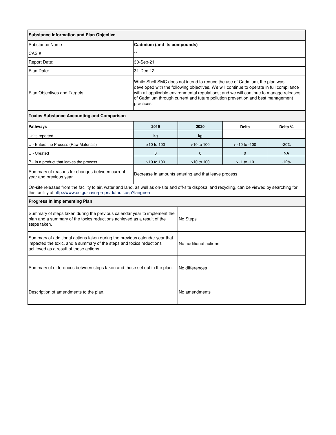| <b>Substance Information and Plan Objective</b>                                                                                                                                                                         |                                                                                                                                                                                                                                                                                                                                                                 |                                                     |                   |           |  |
|-------------------------------------------------------------------------------------------------------------------------------------------------------------------------------------------------------------------------|-----------------------------------------------------------------------------------------------------------------------------------------------------------------------------------------------------------------------------------------------------------------------------------------------------------------------------------------------------------------|-----------------------------------------------------|-------------------|-----------|--|
| Substance Name                                                                                                                                                                                                          | Cadmium (and its compounds)                                                                                                                                                                                                                                                                                                                                     |                                                     |                   |           |  |
| CAS#                                                                                                                                                                                                                    | **                                                                                                                                                                                                                                                                                                                                                              |                                                     |                   |           |  |
| Report Date:                                                                                                                                                                                                            | 30-Sep-21                                                                                                                                                                                                                                                                                                                                                       |                                                     |                   |           |  |
| Plan Date:                                                                                                                                                                                                              | 31-Dec-12                                                                                                                                                                                                                                                                                                                                                       |                                                     |                   |           |  |
| Plan Objectives and Targets                                                                                                                                                                                             | While Shell SMC does not intend to reduce the use of Cadmium, the plan was<br>developed with the following objectives. We will continue to operate in full compliance<br>with all applicable environmental regulations; and we will continue to manage releases<br>of Cadmium through current and future pollution prevention and best management<br>practices. |                                                     |                   |           |  |
| <b>Toxics Substance Accounting and Comparison</b>                                                                                                                                                                       |                                                                                                                                                                                                                                                                                                                                                                 |                                                     |                   |           |  |
| Pathways                                                                                                                                                                                                                | 2019                                                                                                                                                                                                                                                                                                                                                            | 2020                                                | <b>Delta</b>      | Delta %   |  |
| Units reported                                                                                                                                                                                                          | kg                                                                                                                                                                                                                                                                                                                                                              | kg                                                  |                   |           |  |
| U - Enters the Process (Raw Materials)                                                                                                                                                                                  | >10 to 100                                                                                                                                                                                                                                                                                                                                                      | >10 to 100                                          | $> -10$ to $-100$ | $-20%$    |  |
| C - Created                                                                                                                                                                                                             | $\mathbf 0$                                                                                                                                                                                                                                                                                                                                                     | $\mathbf 0$                                         | $\mathbf{0}$      | <b>NA</b> |  |
| P - In a product that leaves the process                                                                                                                                                                                | >10 to 100                                                                                                                                                                                                                                                                                                                                                      | >10 to 100                                          | $> -1$ to $-10$   | $-12%$    |  |
| Summary of reasons for changes between current<br>year and previous year.                                                                                                                                               |                                                                                                                                                                                                                                                                                                                                                                 | Decrease in amounts entering and that leave process |                   |           |  |
| On-site releases from the facility to air, water and land, as well as on-site and off-site disposal and recycling, can be viewed by searching for<br>this facility at http://www.ec.gc.ca/inrp-npri/default.asp?lang=en |                                                                                                                                                                                                                                                                                                                                                                 |                                                     |                   |           |  |
| <b>Progress in Implementing Plan</b>                                                                                                                                                                                    |                                                                                                                                                                                                                                                                                                                                                                 |                                                     |                   |           |  |
| Summary of steps taken during the previous calendar year to implement the<br>plan and a summary of the toxics reductions achieved as a result of the<br>steps taken.                                                    |                                                                                                                                                                                                                                                                                                                                                                 | No Steps                                            |                   |           |  |
| Summary of additional actions taken during the previous calendar year that<br>impacted the toxic, and a summary of the steps and toxics reductions<br>achieved as a result of those actions.                            |                                                                                                                                                                                                                                                                                                                                                                 | No additional actions                               |                   |           |  |
| Summary of differences between steps taken and those set out in the plan.<br>No differences                                                                                                                             |                                                                                                                                                                                                                                                                                                                                                                 |                                                     |                   |           |  |
| Description of amendments to the plan.<br>No amendments                                                                                                                                                                 |                                                                                                                                                                                                                                                                                                                                                                 |                                                     |                   |           |  |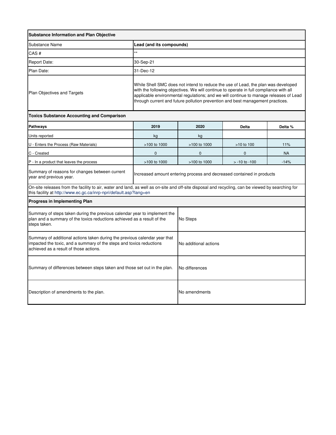| <b>Substance Information and Plan Objective</b>                                                                                                                                                                         |                                                                                                                                                                                                                                                                                                                                                        |                                                                       |                   |           |
|-------------------------------------------------------------------------------------------------------------------------------------------------------------------------------------------------------------------------|--------------------------------------------------------------------------------------------------------------------------------------------------------------------------------------------------------------------------------------------------------------------------------------------------------------------------------------------------------|-----------------------------------------------------------------------|-------------------|-----------|
| Substance Name                                                                                                                                                                                                          | Lead (and its compounds)                                                                                                                                                                                                                                                                                                                               |                                                                       |                   |           |
| CAS#                                                                                                                                                                                                                    | **                                                                                                                                                                                                                                                                                                                                                     |                                                                       |                   |           |
| Report Date:                                                                                                                                                                                                            | 30-Sep-21                                                                                                                                                                                                                                                                                                                                              |                                                                       |                   |           |
| Plan Date:                                                                                                                                                                                                              | 31-Dec-12                                                                                                                                                                                                                                                                                                                                              |                                                                       |                   |           |
| Plan Objectives and Targets                                                                                                                                                                                             | While Shell SMC does not intend to reduce the use of Lead, the plan was developed<br>with the following objectives. We will continue to operate in full compliance with all<br>applicable environmental regulations; and we will continue to manage releases of Lead<br>through current and future pollution prevention and best management practices. |                                                                       |                   |           |
| <b>Toxics Substance Accounting and Comparison</b>                                                                                                                                                                       |                                                                                                                                                                                                                                                                                                                                                        |                                                                       |                   |           |
| Pathways                                                                                                                                                                                                                | 2019                                                                                                                                                                                                                                                                                                                                                   | 2020                                                                  | Delta             | Delta %   |
| Units reported                                                                                                                                                                                                          | kg                                                                                                                                                                                                                                                                                                                                                     | kg                                                                    |                   |           |
| U - Enters the Process (Raw Materials)                                                                                                                                                                                  | >100 to 1000                                                                                                                                                                                                                                                                                                                                           | >100 to 1000                                                          | >10 to 100        | 11%       |
| C - Created                                                                                                                                                                                                             | $\mathbf 0$                                                                                                                                                                                                                                                                                                                                            | $\mathbf 0$                                                           | $\mathbf 0$       | <b>NA</b> |
| P - In a product that leaves the process                                                                                                                                                                                | >100 to 1000                                                                                                                                                                                                                                                                                                                                           | >100 to 1000                                                          | $> -10$ to $-100$ | $-14%$    |
| Summary of reasons for changes between current<br>year and previous year.                                                                                                                                               |                                                                                                                                                                                                                                                                                                                                                        | Increased amount entering process and decreased contained in products |                   |           |
| On-site releases from the facility to air, water and land, as well as on-site and off-site disposal and recycling, can be viewed by searching for<br>this facility at http://www.ec.gc.ca/inrp-npri/default.asp?lang=en |                                                                                                                                                                                                                                                                                                                                                        |                                                                       |                   |           |
| <b>Progress in Implementing Plan</b>                                                                                                                                                                                    |                                                                                                                                                                                                                                                                                                                                                        |                                                                       |                   |           |
| Summary of steps taken during the previous calendar year to implement the<br>plan and a summary of the toxics reductions achieved as a result of the<br>steps taken.                                                    |                                                                                                                                                                                                                                                                                                                                                        | No Steps                                                              |                   |           |
| Summary of additional actions taken during the previous calendar year that<br>impacted the toxic, and a summary of the steps and toxics reductions<br>No additional actions<br>achieved as a result of those actions.   |                                                                                                                                                                                                                                                                                                                                                        |                                                                       |                   |           |
| Summary of differences between steps taken and those set out in the plan.<br>No differences                                                                                                                             |                                                                                                                                                                                                                                                                                                                                                        |                                                                       |                   |           |
| Description of amendments to the plan.<br>No amendments                                                                                                                                                                 |                                                                                                                                                                                                                                                                                                                                                        |                                                                       |                   |           |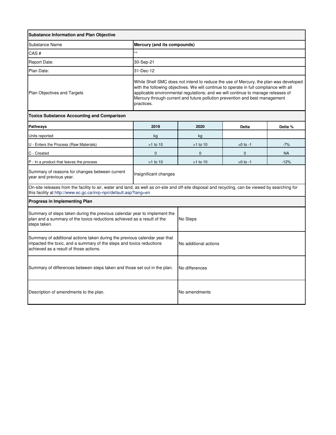| <b>Substance Information and Plan Objective</b>                                                                                                                                                                         |                                                                                                                                                                                                                                                                                                                                                                 |                       |              |           |  |
|-------------------------------------------------------------------------------------------------------------------------------------------------------------------------------------------------------------------------|-----------------------------------------------------------------------------------------------------------------------------------------------------------------------------------------------------------------------------------------------------------------------------------------------------------------------------------------------------------------|-----------------------|--------------|-----------|--|
| Substance Name                                                                                                                                                                                                          | Mercury (and its compounds)                                                                                                                                                                                                                                                                                                                                     |                       |              |           |  |
| CAS#                                                                                                                                                                                                                    | **                                                                                                                                                                                                                                                                                                                                                              |                       |              |           |  |
| Report Date:                                                                                                                                                                                                            | 30-Sep-21                                                                                                                                                                                                                                                                                                                                                       |                       |              |           |  |
| Plan Date:                                                                                                                                                                                                              | 31-Dec-12                                                                                                                                                                                                                                                                                                                                                       |                       |              |           |  |
| Plan Objectives and Targets                                                                                                                                                                                             | While Shell SMC does not intend to reduce the use of Mercury, the plan was developed<br>with the following objectives. We will continue to operate in full compliance with all<br>applicable environmental regulations; and we will continue to manage releases of<br>Mercury through current and future pollution prevention and best management<br>practices. |                       |              |           |  |
| <b>Toxics Substance Accounting and Comparison</b>                                                                                                                                                                       |                                                                                                                                                                                                                                                                                                                                                                 |                       |              |           |  |
| Pathways                                                                                                                                                                                                                | 2019                                                                                                                                                                                                                                                                                                                                                            | 2020                  | Delta        | Delta %   |  |
| Units reported                                                                                                                                                                                                          | kg                                                                                                                                                                                                                                                                                                                                                              | kg                    |              |           |  |
| U - Enters the Process (Raw Materials)                                                                                                                                                                                  | $>1$ to 10                                                                                                                                                                                                                                                                                                                                                      | $>1$ to 10            | $>0$ to $-1$ | $-7%$     |  |
| C - Created                                                                                                                                                                                                             | $\mathbf 0$                                                                                                                                                                                                                                                                                                                                                     | $\mathbf{0}$          | $\mathbf{0}$ | <b>NA</b> |  |
| P - In a product that leaves the process                                                                                                                                                                                | >1 to 10                                                                                                                                                                                                                                                                                                                                                        | $>1$ to 10            | $>0$ to $-1$ | $-12%$    |  |
| Summary of reasons for changes between current<br>year and previous year.                                                                                                                                               | Insignificant changes                                                                                                                                                                                                                                                                                                                                           |                       |              |           |  |
| On-site releases from the facility to air, water and land, as well as on-site and off-site disposal and recycling, can be viewed by searching for<br>this facility at http://www.ec.gc.ca/inrp-npri/default.asp?lang=en |                                                                                                                                                                                                                                                                                                                                                                 |                       |              |           |  |
| <b>Progress in Implementing Plan</b>                                                                                                                                                                                    |                                                                                                                                                                                                                                                                                                                                                                 |                       |              |           |  |
| Summary of steps taken during the previous calendar year to implement the<br>plan and a summary of the toxics reductions achieved as a result of the<br>steps taken.                                                    |                                                                                                                                                                                                                                                                                                                                                                 | No Steps              |              |           |  |
| Summary of additional actions taken during the previous calendar year that<br>impacted the toxic, and a summary of the steps and toxics reductions<br>achieved as a result of those actions.                            |                                                                                                                                                                                                                                                                                                                                                                 | No additional actions |              |           |  |
| Summary of differences between steps taken and those set out in the plan.<br>No differences                                                                                                                             |                                                                                                                                                                                                                                                                                                                                                                 |                       |              |           |  |
| Description of amendments to the plan.<br>No amendments                                                                                                                                                                 |                                                                                                                                                                                                                                                                                                                                                                 |                       |              |           |  |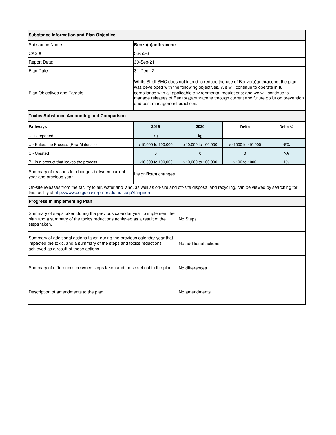| <b>Substance Information and Plan Objective</b>                                                                                                                                                                         |                                                                                                                                                                                                                                                                                                                                                                                       |                       |                        |           |  |
|-------------------------------------------------------------------------------------------------------------------------------------------------------------------------------------------------------------------------|---------------------------------------------------------------------------------------------------------------------------------------------------------------------------------------------------------------------------------------------------------------------------------------------------------------------------------------------------------------------------------------|-----------------------|------------------------|-----------|--|
| Substance Name                                                                                                                                                                                                          | Benzo(a)anthracene                                                                                                                                                                                                                                                                                                                                                                    |                       |                        |           |  |
| CAS#                                                                                                                                                                                                                    | 56-55-3                                                                                                                                                                                                                                                                                                                                                                               |                       |                        |           |  |
| Report Date:                                                                                                                                                                                                            | 30-Sep-21                                                                                                                                                                                                                                                                                                                                                                             |                       |                        |           |  |
| Plan Date:                                                                                                                                                                                                              | 31-Dec-12                                                                                                                                                                                                                                                                                                                                                                             |                       |                        |           |  |
| Plan Objectives and Targets                                                                                                                                                                                             | While Shell SMC does not intend to reduce the use of Benzo(a)anthracene, the plan<br>was developed with the following objectives. We will continue to operate in full<br>compliance with all applicable environmental regulations; and we will continue to<br>manage releases of Benzo(a)anthracene through current and future pollution prevention<br>and best management practices. |                       |                        |           |  |
| <b>Toxics Substance Accounting and Comparison</b>                                                                                                                                                                       |                                                                                                                                                                                                                                                                                                                                                                                       |                       |                        |           |  |
| Pathways                                                                                                                                                                                                                | 2019                                                                                                                                                                                                                                                                                                                                                                                  | 2020                  | Delta                  | Delta %   |  |
| Units reported                                                                                                                                                                                                          | kg                                                                                                                                                                                                                                                                                                                                                                                    | kg                    |                        |           |  |
| U - Enters the Process (Raw Materials)                                                                                                                                                                                  | >10,000 to 100,000                                                                                                                                                                                                                                                                                                                                                                    | >10,000 to 100,000    | $> -1000$ to $-10,000$ | $-9%$     |  |
| C - Created                                                                                                                                                                                                             | $\mathbf 0$                                                                                                                                                                                                                                                                                                                                                                           | $\mathbf 0$           | $\mathbf 0$            | <b>NA</b> |  |
| P - In a product that leaves the process                                                                                                                                                                                | >10,000 to 100,000                                                                                                                                                                                                                                                                                                                                                                    | >10,000 to 100,000    | >100 to 1000           | 1%        |  |
| Summary of reasons for changes between current<br>year and previous year.                                                                                                                                               | Insignificant changes                                                                                                                                                                                                                                                                                                                                                                 |                       |                        |           |  |
| On-site releases from the facility to air, water and land, as well as on-site and off-site disposal and recycling, can be viewed by searching for<br>this facility at http://www.ec.gc.ca/inrp-npri/default.asp?lang=en |                                                                                                                                                                                                                                                                                                                                                                                       |                       |                        |           |  |
| <b>Progress in Implementing Plan</b>                                                                                                                                                                                    |                                                                                                                                                                                                                                                                                                                                                                                       |                       |                        |           |  |
| Summary of steps taken during the previous calendar year to implement the<br>plan and a summary of the toxics reductions achieved as a result of the<br>steps taken.                                                    |                                                                                                                                                                                                                                                                                                                                                                                       | No Steps              |                        |           |  |
| Summary of additional actions taken during the previous calendar year that<br>impacted the toxic, and a summary of the steps and toxics reductions<br>achieved as a result of those actions.                            |                                                                                                                                                                                                                                                                                                                                                                                       | No additional actions |                        |           |  |
| Summary of differences between steps taken and those set out in the plan.<br>No differences                                                                                                                             |                                                                                                                                                                                                                                                                                                                                                                                       |                       |                        |           |  |
| Description of amendments to the plan.                                                                                                                                                                                  |                                                                                                                                                                                                                                                                                                                                                                                       | No amendments         |                        |           |  |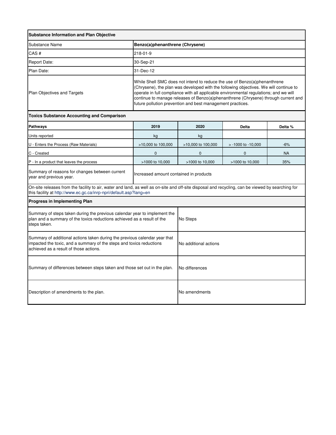| <b>Substance Information and Plan Objective</b>                                                                                                                                                                         |                                                                                                                                                                                                                                                                                                                                                                                                                 |                       |                        |           |  |  |
|-------------------------------------------------------------------------------------------------------------------------------------------------------------------------------------------------------------------------|-----------------------------------------------------------------------------------------------------------------------------------------------------------------------------------------------------------------------------------------------------------------------------------------------------------------------------------------------------------------------------------------------------------------|-----------------------|------------------------|-----------|--|--|
| Substance Name                                                                                                                                                                                                          | Benzo(a)phenanthrene (Chrysene)                                                                                                                                                                                                                                                                                                                                                                                 |                       |                        |           |  |  |
| CAS#                                                                                                                                                                                                                    | 218-01-9                                                                                                                                                                                                                                                                                                                                                                                                        |                       |                        |           |  |  |
| Report Date:                                                                                                                                                                                                            | 30-Sep-21                                                                                                                                                                                                                                                                                                                                                                                                       |                       |                        |           |  |  |
| Plan Date:                                                                                                                                                                                                              | 31-Dec-12                                                                                                                                                                                                                                                                                                                                                                                                       |                       |                        |           |  |  |
| Plan Objectives and Targets                                                                                                                                                                                             | While Shell SMC does not intend to reduce the use of Benzo(a)phenanthrene<br>(Chrysene), the plan was developed with the following objectives. We will continue to<br>operate in full compliance with all applicable environmental regulations; and we will<br>continue to manage releases of Benzo(a)phenanthrene (Chrysene) through current and<br>future pollution prevention and best management practices. |                       |                        |           |  |  |
| <b>Toxics Substance Accounting and Comparison</b>                                                                                                                                                                       |                                                                                                                                                                                                                                                                                                                                                                                                                 |                       |                        |           |  |  |
| Pathways                                                                                                                                                                                                                | 2019                                                                                                                                                                                                                                                                                                                                                                                                            | 2020                  | Delta                  | Delta %   |  |  |
| Units reported                                                                                                                                                                                                          | kg                                                                                                                                                                                                                                                                                                                                                                                                              | kg                    |                        |           |  |  |
| U - Enters the Process (Raw Materials)                                                                                                                                                                                  | >10,000 to 100,000                                                                                                                                                                                                                                                                                                                                                                                              | >10,000 to 100,000    | $> -1000$ to $-10,000$ | $-6%$     |  |  |
| C - Created                                                                                                                                                                                                             | $\mathbf 0$                                                                                                                                                                                                                                                                                                                                                                                                     | $\mathbf{0}$          | $\mathbf{0}$           | <b>NA</b> |  |  |
| P - In a product that leaves the process                                                                                                                                                                                | >1000 to 10,000                                                                                                                                                                                                                                                                                                                                                                                                 | >1000 to 10,000       | >1000 to 10,000        | 35%       |  |  |
| Summary of reasons for changes between current<br>year and previous year.                                                                                                                                               | Increased amount contained in products                                                                                                                                                                                                                                                                                                                                                                          |                       |                        |           |  |  |
| On-site releases from the facility to air, water and land, as well as on-site and off-site disposal and recycling, can be viewed by searching for<br>this facility at http://www.ec.gc.ca/inrp-npri/default.asp?lang=en |                                                                                                                                                                                                                                                                                                                                                                                                                 |                       |                        |           |  |  |
| <b>Progress in Implementing Plan</b>                                                                                                                                                                                    |                                                                                                                                                                                                                                                                                                                                                                                                                 |                       |                        |           |  |  |
| Summary of steps taken during the previous calendar year to implement the<br>plan and a summary of the toxics reductions achieved as a result of the<br>steps taken.                                                    |                                                                                                                                                                                                                                                                                                                                                                                                                 | No Steps              |                        |           |  |  |
| Summary of additional actions taken during the previous calendar year that<br>impacted the toxic, and a summary of the steps and toxics reductions<br>achieved as a result of those actions.                            |                                                                                                                                                                                                                                                                                                                                                                                                                 | No additional actions |                        |           |  |  |
| Summary of differences between steps taken and those set out in the plan.<br>No differences                                                                                                                             |                                                                                                                                                                                                                                                                                                                                                                                                                 |                       |                        |           |  |  |
| Description of amendments to the plan.                                                                                                                                                                                  |                                                                                                                                                                                                                                                                                                                                                                                                                 | No amendments         |                        |           |  |  |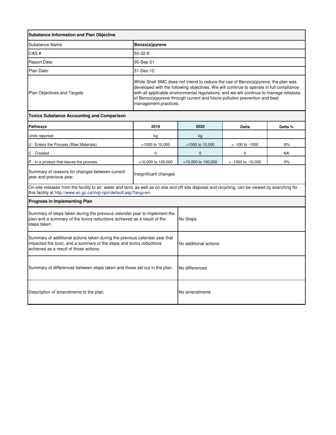| <b>Substance Information and Plan Objective</b>                                                                                                                                                                         |                                                                                                                                                                                                                                                                                                                                                                               |                       |                        |           |
|-------------------------------------------------------------------------------------------------------------------------------------------------------------------------------------------------------------------------|-------------------------------------------------------------------------------------------------------------------------------------------------------------------------------------------------------------------------------------------------------------------------------------------------------------------------------------------------------------------------------|-----------------------|------------------------|-----------|
| Substance Name                                                                                                                                                                                                          | Benzo(a)pyrene                                                                                                                                                                                                                                                                                                                                                                |                       |                        |           |
| CAS#                                                                                                                                                                                                                    | 50-32-8                                                                                                                                                                                                                                                                                                                                                                       |                       |                        |           |
| Report Date:                                                                                                                                                                                                            | 30-Sep-21                                                                                                                                                                                                                                                                                                                                                                     |                       |                        |           |
| Plan Date:                                                                                                                                                                                                              | 31-Dec-12                                                                                                                                                                                                                                                                                                                                                                     |                       |                        |           |
| <b>Plan Objectives and Targets</b>                                                                                                                                                                                      | While Shell SMC does not intend to reduce the use of Benzo(a)pyrene, the plan was<br>developed with the following objectives. We will continue to operate in full compliance<br>with all applicable environmental regulations; and we will continue to manage releases<br>of Benzo(a)pyrene through current and future pollution prevention and best<br>management practices. |                       |                        |           |
| <b>Toxics Substance Accounting and Comparison</b>                                                                                                                                                                       |                                                                                                                                                                                                                                                                                                                                                                               |                       |                        |           |
| <b>Pathways</b>                                                                                                                                                                                                         | 2019                                                                                                                                                                                                                                                                                                                                                                          | 2020                  | Delta                  | Delta %   |
| Units reported                                                                                                                                                                                                          | kg                                                                                                                                                                                                                                                                                                                                                                            | kg                    |                        |           |
| U - Enters the Process (Raw Materials)                                                                                                                                                                                  | >1000 to 10,000                                                                                                                                                                                                                                                                                                                                                               | >1000 to 10,000       | > -100 to -1000        | $-8%$     |
| C - Created                                                                                                                                                                                                             | $\Omega$                                                                                                                                                                                                                                                                                                                                                                      | $\Omega$              | $\Omega$               | <b>NA</b> |
| P - In a product that leaves the process                                                                                                                                                                                | >10,000 to 100,000                                                                                                                                                                                                                                                                                                                                                            | >10,000 to 100,000    | $> -1000$ to $-10,000$ | $-5%$     |
| Summary of reasons for changes between current<br>year and previous year.                                                                                                                                               | Insignificant changes                                                                                                                                                                                                                                                                                                                                                         |                       |                        |           |
| On-site releases from the facility to air, water and land, as well as on-site and off-site disposal and recycling, can be viewed by searching for<br>this facility at http://www.ec.gc.ca/inrp-npri/default.asp?lang=en |                                                                                                                                                                                                                                                                                                                                                                               |                       |                        |           |
| <b>Progress in Implementing Plan</b>                                                                                                                                                                                    |                                                                                                                                                                                                                                                                                                                                                                               |                       |                        |           |
| Summary of steps taken during the previous calendar year to implement the<br>plan and a summary of the toxics reductions achieved as a result of the<br>steps taken.                                                    |                                                                                                                                                                                                                                                                                                                                                                               | No Steps              |                        |           |
| Summary of additional actions taken during the previous calendar year that<br>mpacted the toxic, and a summary of the steps and toxics reductions<br>achieved as a result of those actions.                             |                                                                                                                                                                                                                                                                                                                                                                               | No additional actions |                        |           |
| Summary of differences between steps taken and those set out in the plan.                                                                                                                                               |                                                                                                                                                                                                                                                                                                                                                                               | No differences        |                        |           |
| Description of amendments to the plan.                                                                                                                                                                                  |                                                                                                                                                                                                                                                                                                                                                                               | No amendments         |                        |           |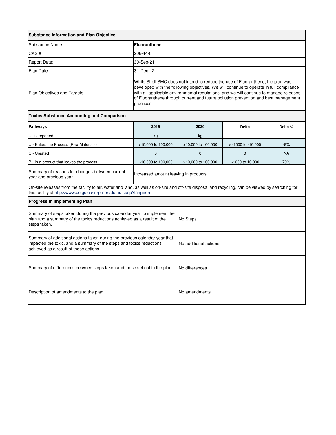| <b>Substance Information and Plan Objective</b>                                                                                                                                                                         |                                                                                                                                                                                                                                                                                                                                                                           |                    |                        |           |
|-------------------------------------------------------------------------------------------------------------------------------------------------------------------------------------------------------------------------|---------------------------------------------------------------------------------------------------------------------------------------------------------------------------------------------------------------------------------------------------------------------------------------------------------------------------------------------------------------------------|--------------------|------------------------|-----------|
| Substance Name                                                                                                                                                                                                          | Fluoranthene                                                                                                                                                                                                                                                                                                                                                              |                    |                        |           |
| CAS#                                                                                                                                                                                                                    | 206-44-0                                                                                                                                                                                                                                                                                                                                                                  |                    |                        |           |
| Report Date:                                                                                                                                                                                                            | 30-Sep-21                                                                                                                                                                                                                                                                                                                                                                 |                    |                        |           |
| Plan Date:                                                                                                                                                                                                              | 31-Dec-12                                                                                                                                                                                                                                                                                                                                                                 |                    |                        |           |
| Plan Objectives and Targets                                                                                                                                                                                             | While Shell SMC does not intend to reduce the use of Fluoranthene, the plan was<br>developed with the following objectives. We will continue to operate in full compliance<br>with all applicable environmental regulations; and we will continue to manage releases<br>of Fluoranthene through current and future pollution prevention and best management<br>practices. |                    |                        |           |
| <b>Toxics Substance Accounting and Comparison</b>                                                                                                                                                                       |                                                                                                                                                                                                                                                                                                                                                                           |                    |                        |           |
| Pathways                                                                                                                                                                                                                | 2019                                                                                                                                                                                                                                                                                                                                                                      | 2020               | Delta                  | Delta %   |
| Units reported                                                                                                                                                                                                          | kg                                                                                                                                                                                                                                                                                                                                                                        | kg                 |                        |           |
| U - Enters the Process (Raw Materials)                                                                                                                                                                                  | >10,000 to 100,000                                                                                                                                                                                                                                                                                                                                                        | >10,000 to 100,000 | $> -1000$ to $-10,000$ | $-9%$     |
| C - Created                                                                                                                                                                                                             | $\mathbf{0}$                                                                                                                                                                                                                                                                                                                                                              | $\mathbf{0}$       | $\mathbf 0$            | <b>NA</b> |
| P - In a product that leaves the process                                                                                                                                                                                | >10,000 to 100,000                                                                                                                                                                                                                                                                                                                                                        | >10,000 to 100,000 | >1000 to 10,000        | 79%       |
| Summary of reasons for changes between current<br>year and previous year.                                                                                                                                               | Increased amount leaving in products                                                                                                                                                                                                                                                                                                                                      |                    |                        |           |
| On-site releases from the facility to air, water and land, as well as on-site and off-site disposal and recycling, can be viewed by searching for<br>this facility at http://www.ec.gc.ca/inrp-npri/default.asp?lang=en |                                                                                                                                                                                                                                                                                                                                                                           |                    |                        |           |
| <b>Progress in Implementing Plan</b>                                                                                                                                                                                    |                                                                                                                                                                                                                                                                                                                                                                           |                    |                        |           |
| Summary of steps taken during the previous calendar year to implement the<br>plan and a summary of the toxics reductions achieved as a result of the<br>steps taken.                                                    |                                                                                                                                                                                                                                                                                                                                                                           | No Steps           |                        |           |
| Summary of additional actions taken during the previous calendar year that<br>impacted the toxic, and a summary of the steps and toxics reductions<br>achieved as a result of those actions.                            | No additional actions                                                                                                                                                                                                                                                                                                                                                     |                    |                        |           |
| Summary of differences between steps taken and those set out in the plan.                                                                                                                                               |                                                                                                                                                                                                                                                                                                                                                                           | No differences     |                        |           |
| Description of amendments to the plan.                                                                                                                                                                                  |                                                                                                                                                                                                                                                                                                                                                                           | No amendments      |                        |           |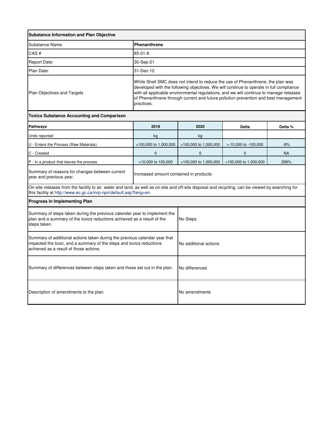| <b>Substance Information and Plan Objective</b>                                                                                                                                                                         |                                                                                                                                                                                                                                                                                                                                                                           |                       |                       |           |
|-------------------------------------------------------------------------------------------------------------------------------------------------------------------------------------------------------------------------|---------------------------------------------------------------------------------------------------------------------------------------------------------------------------------------------------------------------------------------------------------------------------------------------------------------------------------------------------------------------------|-----------------------|-----------------------|-----------|
| Substance Name                                                                                                                                                                                                          | <b>Phenanthrene</b>                                                                                                                                                                                                                                                                                                                                                       |                       |                       |           |
| CAS#                                                                                                                                                                                                                    | $85 - 01 - 8$                                                                                                                                                                                                                                                                                                                                                             |                       |                       |           |
| Report Date:                                                                                                                                                                                                            | 30-Sep-21                                                                                                                                                                                                                                                                                                                                                                 |                       |                       |           |
| Plan Date:                                                                                                                                                                                                              | 31-Dec-12                                                                                                                                                                                                                                                                                                                                                                 |                       |                       |           |
| <b>Plan Objectives and Targets</b>                                                                                                                                                                                      | While Shell SMC does not intend to reduce the use of Phenanthrene, the plan was<br>developed with the following objectives. We will continue to operate in full compliance<br>with all applicable environmental regulations; and we will continue to manage releases<br>of Phenanthrene through current and future pollution prevention and best management<br>practices. |                       |                       |           |
| <b>Toxics Substance Accounting and Comparison</b>                                                                                                                                                                       |                                                                                                                                                                                                                                                                                                                                                                           |                       |                       |           |
| <b>Pathways</b>                                                                                                                                                                                                         | 2019                                                                                                                                                                                                                                                                                                                                                                      | 2020                  | Delta                 | Delta %   |
| Units reported                                                                                                                                                                                                          | kg                                                                                                                                                                                                                                                                                                                                                                        | kg                    |                       |           |
| U - Enters the Process (Raw Materials)                                                                                                                                                                                  | >100,000 to 1,000,000                                                                                                                                                                                                                                                                                                                                                     | >100,000 to 1,000,000 | >-10,000 to -100,000  | $-8%$     |
| C - Created                                                                                                                                                                                                             | $\mathbf{0}$                                                                                                                                                                                                                                                                                                                                                              | $\mathbf 0$           | $\mathbf 0$           | <b>NA</b> |
| P - In a product that leaves the process                                                                                                                                                                                | >10,000 to 100,000                                                                                                                                                                                                                                                                                                                                                        | >100,000 to 1,000,000 | >100,000 to 1,000,000 | 299%      |
| Summary of reasons for changes between current<br>year and previous year.                                                                                                                                               | Increased amount contained in products                                                                                                                                                                                                                                                                                                                                    |                       |                       |           |
| On-site releases from the facility to air, water and land, as well as on-site and off-site disposal and recycling, can be viewed by searching for<br>this facility at http://www.ec.gc.ca/inrp-npri/default.asp?lang=en |                                                                                                                                                                                                                                                                                                                                                                           |                       |                       |           |
| <b>Progress in Implementing Plan</b>                                                                                                                                                                                    |                                                                                                                                                                                                                                                                                                                                                                           |                       |                       |           |
| Summary of steps taken during the previous calendar year to implement the<br>plan and a summary of the toxics reductions achieved as a result of the<br>steps taken.                                                    |                                                                                                                                                                                                                                                                                                                                                                           | No Steps              |                       |           |
| Summary of additional actions taken during the previous calendar year that<br>impacted the toxic, and a summary of the steps and toxics reductions<br>achieved as a result of those actions.                            |                                                                                                                                                                                                                                                                                                                                                                           | No additional actions |                       |           |
| Summary of differences between steps taken and those set out in the plan.                                                                                                                                               |                                                                                                                                                                                                                                                                                                                                                                           | No differences        |                       |           |
| Description of amendments to the plan.                                                                                                                                                                                  |                                                                                                                                                                                                                                                                                                                                                                           | No amendments         |                       |           |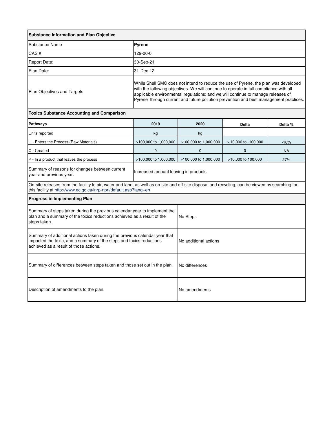| <b>Substance Information and Plan Objective</b>                                                                                                                                                                         |                                                                                                                                                                                                                                                                                                                                                            |                       |                         |           |
|-------------------------------------------------------------------------------------------------------------------------------------------------------------------------------------------------------------------------|------------------------------------------------------------------------------------------------------------------------------------------------------------------------------------------------------------------------------------------------------------------------------------------------------------------------------------------------------------|-----------------------|-------------------------|-----------|
| Substance Name                                                                                                                                                                                                          | <b>Pyrene</b>                                                                                                                                                                                                                                                                                                                                              |                       |                         |           |
| CAS#                                                                                                                                                                                                                    | 129-00-0                                                                                                                                                                                                                                                                                                                                                   |                       |                         |           |
| Report Date:                                                                                                                                                                                                            | 30-Sep-21                                                                                                                                                                                                                                                                                                                                                  |                       |                         |           |
| Plan Date:                                                                                                                                                                                                              | 31-Dec-12                                                                                                                                                                                                                                                                                                                                                  |                       |                         |           |
| Plan Objectives and Targets                                                                                                                                                                                             | While Shell SMC does not intend to reduce the use of Pyrene, the plan was developed<br>with the following objectives. We will continue to operate in full compliance with all<br>applicable environmental regulations; and we will continue to manage releases of<br>Pyrene through current and future pollution prevention and best management practices. |                       |                         |           |
| <b>Toxics Substance Accounting and Comparison</b>                                                                                                                                                                       |                                                                                                                                                                                                                                                                                                                                                            |                       |                         |           |
| Pathways                                                                                                                                                                                                                | 2019                                                                                                                                                                                                                                                                                                                                                       | 2020                  | <b>Delta</b>            | Delta %   |
| Units reported                                                                                                                                                                                                          | kg                                                                                                                                                                                                                                                                                                                                                         | kg                    |                         |           |
| U - Enters the Process (Raw Materials)                                                                                                                                                                                  | >100,000 to 1,000,000                                                                                                                                                                                                                                                                                                                                      | >100,000 to 1,000,000 | $>10,000$ to $-100,000$ | $-10%$    |
| C - Created                                                                                                                                                                                                             | $\mathbf{0}$                                                                                                                                                                                                                                                                                                                                               | $\mathbf 0$           | $\mathbf 0$             | <b>NA</b> |
| P - In a product that leaves the process                                                                                                                                                                                | >100,000 to 1,000,000                                                                                                                                                                                                                                                                                                                                      | >100,000 to 1,000,000 | >10,000 to 100,000      | 27%       |
| Summary of reasons for changes between current<br>year and previous year.                                                                                                                                               | Increased amount leaving in products                                                                                                                                                                                                                                                                                                                       |                       |                         |           |
| On-site releases from the facility to air, water and land, as well as on-site and off-site disposal and recycling, can be viewed by searching for<br>this facility at http://www.ec.gc.ca/inrp-npri/default.asp?lang=en |                                                                                                                                                                                                                                                                                                                                                            |                       |                         |           |
| <b>Progress in Implementing Plan</b>                                                                                                                                                                                    |                                                                                                                                                                                                                                                                                                                                                            |                       |                         |           |
| Summary of steps taken during the previous calendar year to implement the<br>plan and a summary of the toxics reductions achieved as a result of the<br>steps taken.                                                    |                                                                                                                                                                                                                                                                                                                                                            | No Steps              |                         |           |
| Summary of additional actions taken during the previous calendar year that<br>impacted the toxic, and a summary of the steps and toxics reductions<br>achieved as a result of those actions.                            |                                                                                                                                                                                                                                                                                                                                                            | No additional actions |                         |           |
| Summary of differences between steps taken and those set out in the plan.<br>No differences                                                                                                                             |                                                                                                                                                                                                                                                                                                                                                            |                       |                         |           |
| Description of amendments to the plan.                                                                                                                                                                                  |                                                                                                                                                                                                                                                                                                                                                            | No amendments         |                         |           |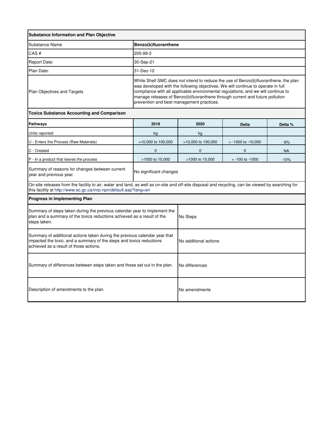| <b>Substance Information and Plan Objective</b>                                                                                                                                                                         |                                                                                                                                                                                                                                                                                                                                                                                           |                       |                        |           |
|-------------------------------------------------------------------------------------------------------------------------------------------------------------------------------------------------------------------------|-------------------------------------------------------------------------------------------------------------------------------------------------------------------------------------------------------------------------------------------------------------------------------------------------------------------------------------------------------------------------------------------|-----------------------|------------------------|-----------|
| <b>Substance Name</b>                                                                                                                                                                                                   | Benzo(b)fluoranthene                                                                                                                                                                                                                                                                                                                                                                      |                       |                        |           |
| CAS#                                                                                                                                                                                                                    | 205-99-2                                                                                                                                                                                                                                                                                                                                                                                  |                       |                        |           |
| Report Date:                                                                                                                                                                                                            | 30-Sep-21                                                                                                                                                                                                                                                                                                                                                                                 |                       |                        |           |
| Plan Date:                                                                                                                                                                                                              | 31-Dec-12                                                                                                                                                                                                                                                                                                                                                                                 |                       |                        |           |
| Plan Objectives and Targets                                                                                                                                                                                             | While Shell SMC does not intend to reduce the use of Benzo(b)fluoranthene, the plan<br>was developed with the following objectives. We will continue to operate in full<br>compliance with all applicable environmental regulations; and we will continue to<br>manage releases of Benzo(b)fluoranthene through current and future pollution<br>prevention and best management practices. |                       |                        |           |
| <b>Toxics Substance Accounting and Comparison</b>                                                                                                                                                                       |                                                                                                                                                                                                                                                                                                                                                                                           |                       |                        |           |
| <b>Pathways</b>                                                                                                                                                                                                         | 2019                                                                                                                                                                                                                                                                                                                                                                                      | 2020                  | <b>Delta</b>           | Delta %   |
| Units reported                                                                                                                                                                                                          | kg                                                                                                                                                                                                                                                                                                                                                                                        | kg                    |                        |           |
| U - Enters the Process (Raw Materials)                                                                                                                                                                                  | >10,000 to 100,000                                                                                                                                                                                                                                                                                                                                                                        | >10,000 to 100,000    | $> -1000$ to $-10,000$ | $-6%$     |
| C - Created                                                                                                                                                                                                             | $\mathbf 0$                                                                                                                                                                                                                                                                                                                                                                               | $\mathbf{0}$          | $\mathbf{0}$           | <b>NA</b> |
| P - In a product that leaves the process                                                                                                                                                                                | >1000 to 10,000                                                                                                                                                                                                                                                                                                                                                                           | >1000 to 10,000       | > -100 to -1000        | $-10%$    |
| Summary of reasons for changes between current<br>year and previous year.                                                                                                                                               | No significant changes                                                                                                                                                                                                                                                                                                                                                                    |                       |                        |           |
| On-site releases from the facility to air, water and land, as well as on-site and off-site disposal and recycling, can be viewed by searching for<br>this facility at http://www.ec.gc.ca/inrp-npri/default.asp?lang=en |                                                                                                                                                                                                                                                                                                                                                                                           |                       |                        |           |
| <b>Progress in Implementing Plan</b>                                                                                                                                                                                    |                                                                                                                                                                                                                                                                                                                                                                                           |                       |                        |           |
| Summary of steps taken during the previous calendar year to implement the<br>plan and a summary of the toxics reductions achieved as a result of the<br>steps taken.                                                    |                                                                                                                                                                                                                                                                                                                                                                                           | No Steps              |                        |           |
| Summary of additional actions taken during the previous calendar year that<br>impacted the toxic, and a summary of the steps and toxics reductions<br>achieved as a result of those actions.                            |                                                                                                                                                                                                                                                                                                                                                                                           | No additional actions |                        |           |
| Summary of differences between steps taken and those set out in the plan.<br>No differences                                                                                                                             |                                                                                                                                                                                                                                                                                                                                                                                           |                       |                        |           |
| Description of amendments to the plan.                                                                                                                                                                                  |                                                                                                                                                                                                                                                                                                                                                                                           | No amendments         |                        |           |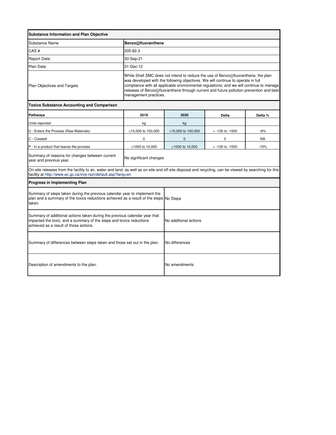| <b>Substance Information and Plan Objective</b>                                                                                                                                                                         |                                                                                                                                                                                                                                                                                                                                                                                           |                    |                     |           |
|-------------------------------------------------------------------------------------------------------------------------------------------------------------------------------------------------------------------------|-------------------------------------------------------------------------------------------------------------------------------------------------------------------------------------------------------------------------------------------------------------------------------------------------------------------------------------------------------------------------------------------|--------------------|---------------------|-----------|
| Substance Name                                                                                                                                                                                                          | Benzo(j)fluoranthene                                                                                                                                                                                                                                                                                                                                                                      |                    |                     |           |
| CAS#                                                                                                                                                                                                                    | 205-82-3                                                                                                                                                                                                                                                                                                                                                                                  |                    |                     |           |
| <b>Report Date:</b>                                                                                                                                                                                                     | 30-Sep-21                                                                                                                                                                                                                                                                                                                                                                                 |                    |                     |           |
| Plan Date:                                                                                                                                                                                                              | 31-Dec-12                                                                                                                                                                                                                                                                                                                                                                                 |                    |                     |           |
| <b>Plan Objectives and Targets</b>                                                                                                                                                                                      | While Shell SMC does not intend to reduce the use of Benzo(j)fluoranthene, the plan<br>was developed with the following objectives. We will continue to operate in full<br>compliance with all applicable environmental regulations; and we will continue to manage<br>releases of Benzo(j)fluoranthene through current and future pollution prevention and best<br>management practices. |                    |                     |           |
| <b>Toxics Substance Accounting and Comparison</b>                                                                                                                                                                       |                                                                                                                                                                                                                                                                                                                                                                                           |                    |                     |           |
| <b>Pathways</b>                                                                                                                                                                                                         | 2019                                                                                                                                                                                                                                                                                                                                                                                      | 2020               | <b>Delta</b>        | Delta %   |
| Units reported                                                                                                                                                                                                          | kg                                                                                                                                                                                                                                                                                                                                                                                        | kg                 |                     |           |
| U - Enters the Process (Raw Materials)                                                                                                                                                                                  | >10,000 to 100,000                                                                                                                                                                                                                                                                                                                                                                        | >10,000 to 100,000 | $> -100$ to $-1000$ | -6%       |
| C - Created                                                                                                                                                                                                             | 0                                                                                                                                                                                                                                                                                                                                                                                         | $\mathbf 0$        | 0                   | <b>NA</b> |
| P - In a product that leaves the process                                                                                                                                                                                | >1000 to 10,000                                                                                                                                                                                                                                                                                                                                                                           | >1000 to 10,000    | > -100 to -1000     | $-10%$    |
| Summary of reasons for changes between current<br>year and previous year.                                                                                                                                               | No significant changes                                                                                                                                                                                                                                                                                                                                                                    |                    |                     |           |
| On-site releases from the facility to air, water and land, as well as on-site and off-site disposal and recycling, can be viewed by searching for this<br>facility at http://www.ec.gc.ca/inrp-npri/default.asp?lang=en |                                                                                                                                                                                                                                                                                                                                                                                           |                    |                     |           |
| <b>Progress in Implementing Plan</b>                                                                                                                                                                                    |                                                                                                                                                                                                                                                                                                                                                                                           |                    |                     |           |
| Summary of steps taken during the previous calendar year to implement the<br>plan and a summary of the toxics reductions achieved as a result of the steps No Steps<br>taken.                                           |                                                                                                                                                                                                                                                                                                                                                                                           |                    |                     |           |
| Summary of additional actions taken during the previous calendar year that<br>impacted the toxic, and a summary of the steps and toxics reductions<br>achieved as a result of those actions.                            | No additional actions                                                                                                                                                                                                                                                                                                                                                                     |                    |                     |           |
| Summary of differences between steps taken and those set out in the plan.<br>No differences                                                                                                                             |                                                                                                                                                                                                                                                                                                                                                                                           |                    |                     |           |
| Description of amendments to the plan.                                                                                                                                                                                  |                                                                                                                                                                                                                                                                                                                                                                                           | No amendments      |                     |           |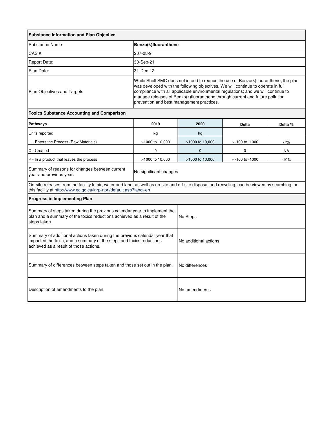| <b>Substance Information and Plan Objective</b>                                                                                                                                                                         |                                           |                                                                                                                                                                                                                                                                                                                                              |                 |           |
|-------------------------------------------------------------------------------------------------------------------------------------------------------------------------------------------------------------------------|-------------------------------------------|----------------------------------------------------------------------------------------------------------------------------------------------------------------------------------------------------------------------------------------------------------------------------------------------------------------------------------------------|-----------------|-----------|
| Substance Name                                                                                                                                                                                                          | Benzo(k)fluoranthene                      |                                                                                                                                                                                                                                                                                                                                              |                 |           |
| CAS#                                                                                                                                                                                                                    | 207-08-9                                  |                                                                                                                                                                                                                                                                                                                                              |                 |           |
| Report Date:                                                                                                                                                                                                            | 30-Sep-21                                 |                                                                                                                                                                                                                                                                                                                                              |                 |           |
| Plan Date:                                                                                                                                                                                                              | 31-Dec-12                                 |                                                                                                                                                                                                                                                                                                                                              |                 |           |
| <b>Plan Objectives and Targets</b>                                                                                                                                                                                      | prevention and best management practices. | While Shell SMC does not intend to reduce the use of Benzo(k)fluoranthene, the plan<br>was developed with the following objectives. We will continue to operate in full<br>compliance with all applicable environmental regulations; and we will continue to<br>manage releases of Benzo(k)fluoranthene through current and future pollution |                 |           |
| <b>Toxics Substance Accounting and Comparison</b>                                                                                                                                                                       |                                           |                                                                                                                                                                                                                                                                                                                                              |                 |           |
| Pathways                                                                                                                                                                                                                | 2019                                      | 2020                                                                                                                                                                                                                                                                                                                                         | Delta           | Delta %   |
| Units reported                                                                                                                                                                                                          | kg                                        | kg                                                                                                                                                                                                                                                                                                                                           |                 |           |
| U - Enters the Process (Raw Materials)                                                                                                                                                                                  | >1000 to 10,000                           | >1000 to 10,000                                                                                                                                                                                                                                                                                                                              | > -100 to -1000 | $-7%$     |
| C - Created                                                                                                                                                                                                             | 0                                         | $\mathbf 0$                                                                                                                                                                                                                                                                                                                                  | 0               | <b>NA</b> |
| P - In a product that leaves the process                                                                                                                                                                                | >1000 to 10,000                           | >1000 to 10,000                                                                                                                                                                                                                                                                                                                              | > -100 to -1000 | $-10%$    |
| Summary of reasons for changes between current<br>year and previous year.                                                                                                                                               | No significant changes                    |                                                                                                                                                                                                                                                                                                                                              |                 |           |
| On-site releases from the facility to air, water and land, as well as on-site and off-site disposal and recycling, can be viewed by searching for<br>this facility at http://www.ec.gc.ca/inrp-npri/default.asp?lang=en |                                           |                                                                                                                                                                                                                                                                                                                                              |                 |           |
| <b>Progress in Implementing Plan</b>                                                                                                                                                                                    |                                           |                                                                                                                                                                                                                                                                                                                                              |                 |           |
| Summary of steps taken during the previous calendar year to implement the<br>plan and a summary of the toxics reductions achieved as a result of the<br>steps taken.                                                    |                                           | No Steps                                                                                                                                                                                                                                                                                                                                     |                 |           |
| Summary of additional actions taken during the previous calendar year that<br>impacted the toxic, and a summary of the steps and toxics reductions<br>achieved as a result of those actions.                            |                                           | No additional actions                                                                                                                                                                                                                                                                                                                        |                 |           |
| Summary of differences between steps taken and those set out in the plan.                                                                                                                                               | No differences                            |                                                                                                                                                                                                                                                                                                                                              |                 |           |
| Description of amendments to the plan.                                                                                                                                                                                  |                                           | No amendments                                                                                                                                                                                                                                                                                                                                |                 |           |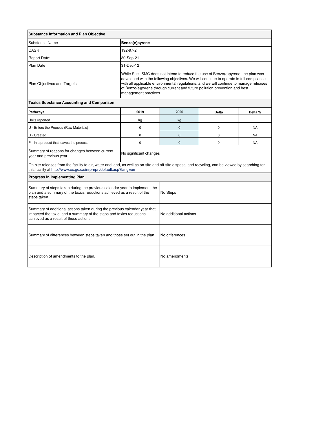| Substance Information and Plan Objective                                                                                                                                                                                |                                                                                                                                                                                                                                                                                                                                                                               |                       |              |           |
|-------------------------------------------------------------------------------------------------------------------------------------------------------------------------------------------------------------------------|-------------------------------------------------------------------------------------------------------------------------------------------------------------------------------------------------------------------------------------------------------------------------------------------------------------------------------------------------------------------------------|-----------------------|--------------|-----------|
| Substance Name                                                                                                                                                                                                          | Benzo(e)pyrene                                                                                                                                                                                                                                                                                                                                                                |                       |              |           |
| CAS#                                                                                                                                                                                                                    | 192-97-2                                                                                                                                                                                                                                                                                                                                                                      |                       |              |           |
| Report Date:                                                                                                                                                                                                            | 30-Sep-21                                                                                                                                                                                                                                                                                                                                                                     |                       |              |           |
| Plan Date:                                                                                                                                                                                                              | 31-Dec-12                                                                                                                                                                                                                                                                                                                                                                     |                       |              |           |
| Plan Objectives and Targets                                                                                                                                                                                             | While Shell SMC does not intend to reduce the use of Benzo(e)pyrene, the plan was<br>developed with the following objectives. We will continue to operate in full compliance<br>with all applicable environmental regulations; and we will continue to manage releases<br>of Benzo(e)pyrene through current and future pollution prevention and best<br>management practices. |                       |              |           |
| <b>Toxics Substance Accounting and Comparison</b>                                                                                                                                                                       |                                                                                                                                                                                                                                                                                                                                                                               |                       |              |           |
| <b>Pathways</b>                                                                                                                                                                                                         | 2019                                                                                                                                                                                                                                                                                                                                                                          | 2020                  | <b>Delta</b> | Delta %   |
| Units reported                                                                                                                                                                                                          | kg                                                                                                                                                                                                                                                                                                                                                                            | kg                    |              |           |
| U - Enters the Process (Raw Materials)                                                                                                                                                                                  | 0                                                                                                                                                                                                                                                                                                                                                                             | $\mathbf{0}$          | $\mathbf 0$  | <b>NA</b> |
| C - Created                                                                                                                                                                                                             | 0                                                                                                                                                                                                                                                                                                                                                                             | 0                     | $\mathbf 0$  | <b>NA</b> |
| P - In a product that leaves the process                                                                                                                                                                                | 0                                                                                                                                                                                                                                                                                                                                                                             | 0                     | $\mathbf 0$  | <b>NA</b> |
| Summary of reasons for changes between current<br>year and previous year.                                                                                                                                               | No significant changes                                                                                                                                                                                                                                                                                                                                                        |                       |              |           |
| On-site releases from the facility to air, water and land, as well as on-site and off-site disposal and recycling, can be viewed by searching for<br>this facility at http://www.ec.gc.ca/inrp-npri/default.asp?lang=en |                                                                                                                                                                                                                                                                                                                                                                               |                       |              |           |
| Progress in Implementing Plan                                                                                                                                                                                           |                                                                                                                                                                                                                                                                                                                                                                               |                       |              |           |
| Summary of steps taken during the previous calendar year to implement the<br>plan and a summary of the toxics reductions achieved as a result of the<br>steps taken.                                                    |                                                                                                                                                                                                                                                                                                                                                                               | No Steps              |              |           |
| Summary of additional actions taken during the previous calendar year that<br>impacted the toxic, and a summary of the steps and toxics reductions<br>achieved as a result of those actions.                            |                                                                                                                                                                                                                                                                                                                                                                               | No additional actions |              |           |
| Summary of differences between steps taken and those set out in the plan.<br>No differences                                                                                                                             |                                                                                                                                                                                                                                                                                                                                                                               |                       |              |           |
| Description of amendments to the plan.                                                                                                                                                                                  |                                                                                                                                                                                                                                                                                                                                                                               | No amendments         |              |           |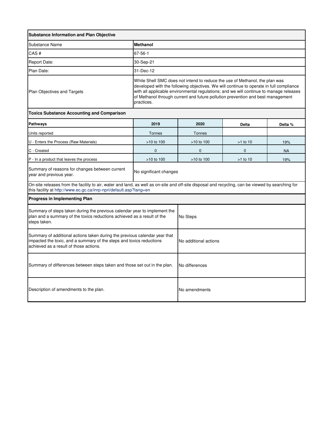| <b>Substance Information and Plan Objective</b>                                                                                                                                                                         |                        |                                                                                                                                                                                                                                                                                                                                                     |              |           |
|-------------------------------------------------------------------------------------------------------------------------------------------------------------------------------------------------------------------------|------------------------|-----------------------------------------------------------------------------------------------------------------------------------------------------------------------------------------------------------------------------------------------------------------------------------------------------------------------------------------------------|--------------|-----------|
| Substance Name                                                                                                                                                                                                          | <b>Methanol</b>        |                                                                                                                                                                                                                                                                                                                                                     |              |           |
| CAS#                                                                                                                                                                                                                    | $67 - 56 - 1$          |                                                                                                                                                                                                                                                                                                                                                     |              |           |
| Report Date:                                                                                                                                                                                                            | 30-Sep-21              |                                                                                                                                                                                                                                                                                                                                                     |              |           |
| Plan Date:                                                                                                                                                                                                              | 31-Dec-12              |                                                                                                                                                                                                                                                                                                                                                     |              |           |
| Plan Objectives and Targets                                                                                                                                                                                             | practices.             | While Shell SMC does not intend to reduce the use of Methanol, the plan was<br>developed with the following objectives. We will continue to operate in full compliance<br>with all applicable environmental regulations; and we will continue to manage releases<br>of Methanol through current and future pollution prevention and best management |              |           |
| <b>Toxics Substance Accounting and Comparison</b>                                                                                                                                                                       |                        |                                                                                                                                                                                                                                                                                                                                                     |              |           |
| Pathways                                                                                                                                                                                                                | 2019                   | 2020                                                                                                                                                                                                                                                                                                                                                | <b>Delta</b> | Delta %   |
| Units reported                                                                                                                                                                                                          | Tonnes                 | Tonnes                                                                                                                                                                                                                                                                                                                                              |              |           |
| U - Enters the Process (Raw Materials)                                                                                                                                                                                  | >10 to 100             | $>10$ to 100                                                                                                                                                                                                                                                                                                                                        | $>1$ to 10   | 19%       |
| C - Created                                                                                                                                                                                                             | $\mathbf 0$            | $\mathbf 0$                                                                                                                                                                                                                                                                                                                                         | 0            | <b>NA</b> |
| P - In a product that leaves the process                                                                                                                                                                                | >10 to 100             | >10 to 100                                                                                                                                                                                                                                                                                                                                          | $>1$ to 10   | 19%       |
| Summary of reasons for changes between current<br>year and previous year.                                                                                                                                               | No significant changes |                                                                                                                                                                                                                                                                                                                                                     |              |           |
| On-site releases from the facility to air, water and land, as well as on-site and off-site disposal and recycling, can be viewed by searching for<br>this facility at http://www.ec.gc.ca/inrp-npri/default.asp?lang=en |                        |                                                                                                                                                                                                                                                                                                                                                     |              |           |
| <b>Progress in Implementing Plan</b>                                                                                                                                                                                    |                        |                                                                                                                                                                                                                                                                                                                                                     |              |           |
| Summary of steps taken during the previous calendar year to implement the<br>plan and a summary of the toxics reductions achieved as a result of the<br>steps taken.                                                    |                        | No Steps                                                                                                                                                                                                                                                                                                                                            |              |           |
| Summary of additional actions taken during the previous calendar year that<br>impacted the toxic, and a summary of the steps and toxics reductions<br>achieved as a result of those actions.                            |                        | No additional actions                                                                                                                                                                                                                                                                                                                               |              |           |
| Summary of differences between steps taken and those set out in the plan.<br>No differences                                                                                                                             |                        |                                                                                                                                                                                                                                                                                                                                                     |              |           |
| Description of amendments to the plan.<br>No amendments                                                                                                                                                                 |                        |                                                                                                                                                                                                                                                                                                                                                     |              |           |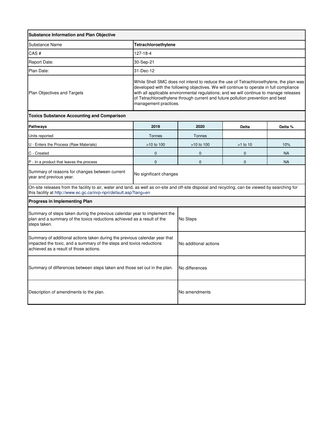| <b>Substance Information and Plan Objective</b>                                                                                                                                                                         |                            |                                                                                                                                                                                                                                                                                                                                                                |            |           |
|-------------------------------------------------------------------------------------------------------------------------------------------------------------------------------------------------------------------------|----------------------------|----------------------------------------------------------------------------------------------------------------------------------------------------------------------------------------------------------------------------------------------------------------------------------------------------------------------------------------------------------------|------------|-----------|
| Substance Name                                                                                                                                                                                                          | <b>Tetrachloroethylene</b> |                                                                                                                                                                                                                                                                                                                                                                |            |           |
| CAS#                                                                                                                                                                                                                    | 127-18-4                   |                                                                                                                                                                                                                                                                                                                                                                |            |           |
| Report Date:                                                                                                                                                                                                            | 30-Sep-21                  |                                                                                                                                                                                                                                                                                                                                                                |            |           |
| Plan Date:                                                                                                                                                                                                              | 31-Dec-12                  |                                                                                                                                                                                                                                                                                                                                                                |            |           |
| Plan Objectives and Targets                                                                                                                                                                                             | management practices.      | While Shell SMC does not intend to reduce the use of Tetrachloroethylene, the plan was<br>developed with the following objectives. We will continue to operate in full compliance<br>with all applicable environmental regulations; and we will continue to manage releases<br>of Tetrachloroethylene through current and future pollution prevention and best |            |           |
| <b>Toxics Substance Accounting and Comparison</b>                                                                                                                                                                       |                            |                                                                                                                                                                                                                                                                                                                                                                |            |           |
| Pathways                                                                                                                                                                                                                | 2019                       | 2020                                                                                                                                                                                                                                                                                                                                                           | Delta      | Delta %   |
| Units reported                                                                                                                                                                                                          | Tonnes                     | Tonnes                                                                                                                                                                                                                                                                                                                                                         |            |           |
| U - Enters the Process (Raw Materials)                                                                                                                                                                                  | >10 to 100                 | >10 to 100                                                                                                                                                                                                                                                                                                                                                     | $>1$ to 10 | 10%       |
| C - Created                                                                                                                                                                                                             | $\mathbf 0$                | $\mathbf 0$                                                                                                                                                                                                                                                                                                                                                    | 0          | <b>NA</b> |
| P - In a product that leaves the process                                                                                                                                                                                | $\mathbf 0$                | $\mathbf 0$                                                                                                                                                                                                                                                                                                                                                    | 0          | <b>NA</b> |
| Summary of reasons for changes between current<br>year and previous year.                                                                                                                                               | No significant changes     |                                                                                                                                                                                                                                                                                                                                                                |            |           |
| On-site releases from the facility to air, water and land, as well as on-site and off-site disposal and recycling, can be viewed by searching for<br>this facility at http://www.ec.gc.ca/inrp-npri/default.asp?lang=en |                            |                                                                                                                                                                                                                                                                                                                                                                |            |           |
| <b>Progress in Implementing Plan</b>                                                                                                                                                                                    |                            |                                                                                                                                                                                                                                                                                                                                                                |            |           |
| Summary of steps taken during the previous calendar year to implement the<br>plan and a summary of the toxics reductions achieved as a result of the<br>steps taken.                                                    |                            | No Steps                                                                                                                                                                                                                                                                                                                                                       |            |           |
| Summary of additional actions taken during the previous calendar year that<br>impacted the toxic, and a summary of the steps and toxics reductions<br>No additional actions<br>achieved as a result of those actions.   |                            |                                                                                                                                                                                                                                                                                                                                                                |            |           |
| Summary of differences between steps taken and those set out in the plan.                                                                                                                                               |                            | No differences                                                                                                                                                                                                                                                                                                                                                 |            |           |
| Description of amendments to the plan.                                                                                                                                                                                  |                            | No amendments                                                                                                                                                                                                                                                                                                                                                  |            |           |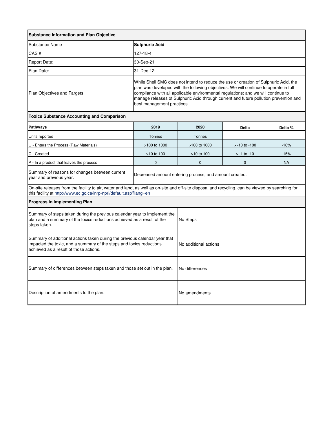| <b>Substance Information and Plan Objective</b>                                                                                                                                                                         |                            |                                                                                                                                                                                                                                                                                                                                                             |                   |           |
|-------------------------------------------------------------------------------------------------------------------------------------------------------------------------------------------------------------------------|----------------------------|-------------------------------------------------------------------------------------------------------------------------------------------------------------------------------------------------------------------------------------------------------------------------------------------------------------------------------------------------------------|-------------------|-----------|
| Substance Name                                                                                                                                                                                                          | <b>Sulphuric Acid</b>      |                                                                                                                                                                                                                                                                                                                                                             |                   |           |
| CAS#                                                                                                                                                                                                                    | 127-18-4                   |                                                                                                                                                                                                                                                                                                                                                             |                   |           |
| Report Date:                                                                                                                                                                                                            | 30-Sep-21                  |                                                                                                                                                                                                                                                                                                                                                             |                   |           |
| Plan Date:                                                                                                                                                                                                              | 31-Dec-12                  |                                                                                                                                                                                                                                                                                                                                                             |                   |           |
| <b>Plan Objectives and Targets</b>                                                                                                                                                                                      | best management practices. | While Shell SMC does not intend to reduce the use or creation of Sulphuric Acid, the<br>plan was developed with the following objectives. We will continue to operate in full<br>compliance with all applicable environmental regulations; and we will continue to<br>manage releases of Sulphuric Acid through current and future pollution prevention and |                   |           |
| <b>Toxics Substance Accounting and Comparison</b>                                                                                                                                                                       |                            |                                                                                                                                                                                                                                                                                                                                                             |                   |           |
| Pathways                                                                                                                                                                                                                | 2019                       | 2020                                                                                                                                                                                                                                                                                                                                                        | <b>Delta</b>      | Delta %   |
| Units reported                                                                                                                                                                                                          | Tonnes                     | Tonnes                                                                                                                                                                                                                                                                                                                                                      |                   |           |
| U - Enters the Process (Raw Materials)                                                                                                                                                                                  | >100 to 1000               | >100 to 1000                                                                                                                                                                                                                                                                                                                                                | $> -10$ to $-100$ | $-16%$    |
| C - Created                                                                                                                                                                                                             | >10 to 100                 | >10 to 100                                                                                                                                                                                                                                                                                                                                                  | $> -1$ to $-10$   | $-15%$    |
| P - In a product that leaves the process                                                                                                                                                                                | 0                          | $\mathbf 0$                                                                                                                                                                                                                                                                                                                                                 | $\mathbf 0$       | <b>NA</b> |
| Summary of reasons for changes between current<br>year and previous year.                                                                                                                                               |                            | Decreased amount entering process, and amount created.                                                                                                                                                                                                                                                                                                      |                   |           |
| On-site releases from the facility to air, water and land, as well as on-site and off-site disposal and recycling, can be viewed by searching for<br>this facility at http://www.ec.gc.ca/inrp-npri/default.asp?lang=en |                            |                                                                                                                                                                                                                                                                                                                                                             |                   |           |
| <b>Progress in Implementing Plan</b>                                                                                                                                                                                    |                            |                                                                                                                                                                                                                                                                                                                                                             |                   |           |
| Summary of steps taken during the previous calendar year to implement the<br>plan and a summary of the toxics reductions achieved as a result of the<br>steps taken.                                                    |                            | No Steps                                                                                                                                                                                                                                                                                                                                                    |                   |           |
| Summary of additional actions taken during the previous calendar year that<br>impacted the toxic, and a summary of the steps and toxics reductions<br>achieved as a result of those actions.                            |                            | No additional actions                                                                                                                                                                                                                                                                                                                                       |                   |           |
| Summary of differences between steps taken and those set out in the plan.                                                                                                                                               |                            | No differences                                                                                                                                                                                                                                                                                                                                              |                   |           |
| Description of amendments to the plan.                                                                                                                                                                                  |                            | No amendments                                                                                                                                                                                                                                                                                                                                               |                   |           |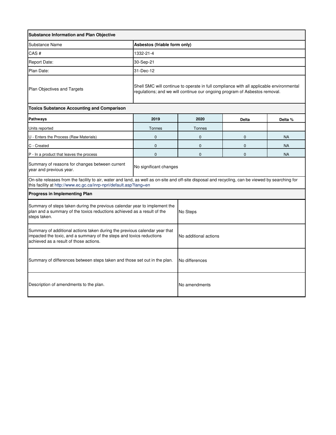| <b>Substance Information and Plan Objective</b>                                                                                                                                                                         |                                                                                                                                                                       |                       |              |           |
|-------------------------------------------------------------------------------------------------------------------------------------------------------------------------------------------------------------------------|-----------------------------------------------------------------------------------------------------------------------------------------------------------------------|-----------------------|--------------|-----------|
| Substance Name                                                                                                                                                                                                          | Asbestos (friable form only)                                                                                                                                          |                       |              |           |
| CAS#                                                                                                                                                                                                                    | 1332-21-4                                                                                                                                                             |                       |              |           |
| Report Date:                                                                                                                                                                                                            | 30-Sep-21                                                                                                                                                             |                       |              |           |
| Plan Date:                                                                                                                                                                                                              | 31-Dec-12                                                                                                                                                             |                       |              |           |
| Plan Objectives and Targets                                                                                                                                                                                             | Shell SMC will continue to operate in full compliance with all applicable environmental<br>regulations; and we will continue our ongoing program of Asbestos removal. |                       |              |           |
| <b>Toxics Substance Accounting and Comparison</b>                                                                                                                                                                       |                                                                                                                                                                       |                       |              |           |
| <b>Pathways</b>                                                                                                                                                                                                         | 2019                                                                                                                                                                  | 2020                  | <b>Delta</b> | Delta %   |
| Units reported                                                                                                                                                                                                          | Tonnes                                                                                                                                                                | Tonnes                |              |           |
| U - Enters the Process (Raw Materials)                                                                                                                                                                                  | $\mathbf{0}$                                                                                                                                                          | $\mathbf 0$           | $\mathbf{0}$ | <b>NA</b> |
| C - Created                                                                                                                                                                                                             | $\mathbf{0}$                                                                                                                                                          | $\mathbf{0}$          | $\mathbf{0}$ | <b>NA</b> |
| P - In a product that leaves the process                                                                                                                                                                                | $\mathbf{0}$                                                                                                                                                          | $\mathbf{0}$          | $\mathbf{0}$ | <b>NA</b> |
| Summary of reasons for changes between current<br>year and previous year.                                                                                                                                               | No significant changes                                                                                                                                                |                       |              |           |
| On-site releases from the facility to air, water and land, as well as on-site and off-site disposal and recycling, can be viewed by searching for<br>this facility at http://www.ec.gc.ca/inrp-npri/default.asp?lang=en |                                                                                                                                                                       |                       |              |           |
| Progress in Implementing Plan                                                                                                                                                                                           |                                                                                                                                                                       |                       |              |           |
| Summary of steps taken during the previous calendar year to implement the<br>plan and a summary of the toxics reductions achieved as a result of the<br>steps taken.                                                    |                                                                                                                                                                       | No Steps              |              |           |
| Summary of additional actions taken during the previous calendar year that<br>impacted the toxic, and a summary of the steps and toxics reductions<br>achieved as a result of those actions.                            |                                                                                                                                                                       | No additional actions |              |           |
| Summary of differences between steps taken and those set out in the plan.                                                                                                                                               | No differences                                                                                                                                                        |                       |              |           |
| Description of amendments to the plan.                                                                                                                                                                                  |                                                                                                                                                                       | No amendments         |              |           |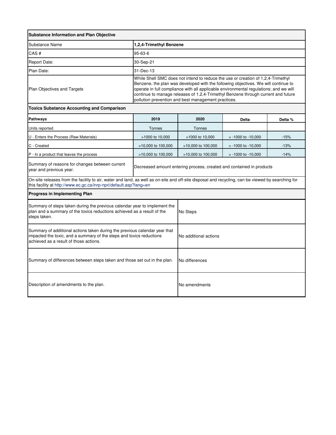| <b>Substance Information and Plan Objective</b>                                                                                                                                                                         |                                                                                                                                                                                                                                                                                                                                                                                                             |                                                                      |                        |         |  |
|-------------------------------------------------------------------------------------------------------------------------------------------------------------------------------------------------------------------------|-------------------------------------------------------------------------------------------------------------------------------------------------------------------------------------------------------------------------------------------------------------------------------------------------------------------------------------------------------------------------------------------------------------|----------------------------------------------------------------------|------------------------|---------|--|
| Substance Name                                                                                                                                                                                                          | 1,2,4-Trimethyl Benzene                                                                                                                                                                                                                                                                                                                                                                                     |                                                                      |                        |         |  |
| CAS#                                                                                                                                                                                                                    | 95-63-6                                                                                                                                                                                                                                                                                                                                                                                                     |                                                                      |                        |         |  |
| Report Date:                                                                                                                                                                                                            | 30-Sep-21                                                                                                                                                                                                                                                                                                                                                                                                   |                                                                      |                        |         |  |
| Plan Date:                                                                                                                                                                                                              | 31-Dec-13                                                                                                                                                                                                                                                                                                                                                                                                   |                                                                      |                        |         |  |
| <b>Plan Objectives and Targets</b>                                                                                                                                                                                      | While Shell SMC does not intend to reduce the use or creation of 1,2,4-Trimethyl<br>Benzene, the plan was developed with the following objectives. We will continue to<br>operate in full compliance with all applicable environmental regulations; and we will<br>continue to manage releases of 1,2,4-Trimethyl Benzene through current and future<br>pollution prevention and best management practices. |                                                                      |                        |         |  |
| <b>Toxics Substance Accounting and Comparison</b>                                                                                                                                                                       |                                                                                                                                                                                                                                                                                                                                                                                                             |                                                                      |                        |         |  |
| <b>Pathways</b>                                                                                                                                                                                                         | 2019                                                                                                                                                                                                                                                                                                                                                                                                        | 2020                                                                 | <b>Delta</b>           | Delta % |  |
| Units reported                                                                                                                                                                                                          | Tonnes                                                                                                                                                                                                                                                                                                                                                                                                      | Tonnes                                                               |                        |         |  |
| U - Enters the Process (Raw Materials)                                                                                                                                                                                  | >1000 to 10,000                                                                                                                                                                                                                                                                                                                                                                                             | >1000 to 10,000                                                      | $> -1000$ to $-10,000$ | $-15%$  |  |
| C - Created                                                                                                                                                                                                             | >10,000 to 100,000                                                                                                                                                                                                                                                                                                                                                                                          | >10,000 to 100,000                                                   | > -1000 to -10,000     | $-13%$  |  |
| P - In a product that leaves the process                                                                                                                                                                                | >10,000 to 100,000                                                                                                                                                                                                                                                                                                                                                                                          | >10,000 to 100,000                                                   | $> -1000$ to $-10,000$ | $-14%$  |  |
| Summary of reasons for changes between current<br>year and previous year.                                                                                                                                               |                                                                                                                                                                                                                                                                                                                                                                                                             | Decreased amount entering process, created and contained in products |                        |         |  |
| On-site releases from the facility to air, water and land, as well as on-site and off-site disposal and recycling, can be viewed by searching for<br>this facility at http://www.ec.gc.ca/inrp-npri/default.asp?lang=en |                                                                                                                                                                                                                                                                                                                                                                                                             |                                                                      |                        |         |  |
| <b>Progress in Implementing Plan</b>                                                                                                                                                                                    |                                                                                                                                                                                                                                                                                                                                                                                                             |                                                                      |                        |         |  |
| Summary of steps taken during the previous calendar year to implement the<br>plan and a summary of the toxics reductions achieved as a result of the<br>steps taken.                                                    |                                                                                                                                                                                                                                                                                                                                                                                                             | No Steps                                                             |                        |         |  |
| Summary of additional actions taken during the previous calendar year that<br>impacted the toxic, and a summary of the steps and toxics reductions<br>achieved as a result of those actions.                            |                                                                                                                                                                                                                                                                                                                                                                                                             | No additional actions                                                |                        |         |  |
| Summary of differences between steps taken and those set out in the plan.                                                                                                                                               |                                                                                                                                                                                                                                                                                                                                                                                                             | No differences                                                       |                        |         |  |
| Description of amendments to the plan.                                                                                                                                                                                  |                                                                                                                                                                                                                                                                                                                                                                                                             | No amendments                                                        |                        |         |  |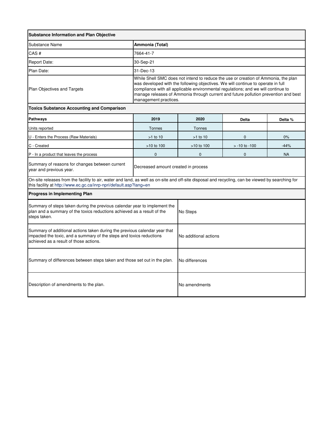| <b>Substance Information and Plan Objective</b>                                                                                                                                                                         |                                                                                                                                                                                                                                                                                                                                                                             |                       |                   |           |
|-------------------------------------------------------------------------------------------------------------------------------------------------------------------------------------------------------------------------|-----------------------------------------------------------------------------------------------------------------------------------------------------------------------------------------------------------------------------------------------------------------------------------------------------------------------------------------------------------------------------|-----------------------|-------------------|-----------|
| Substance Name                                                                                                                                                                                                          | Ammonia (Total)                                                                                                                                                                                                                                                                                                                                                             |                       |                   |           |
| CAS#                                                                                                                                                                                                                    | 7664-41-7                                                                                                                                                                                                                                                                                                                                                                   |                       |                   |           |
| Report Date:                                                                                                                                                                                                            | 30-Sep-21                                                                                                                                                                                                                                                                                                                                                                   |                       |                   |           |
| Plan Date:                                                                                                                                                                                                              | 31-Dec-13                                                                                                                                                                                                                                                                                                                                                                   |                       |                   |           |
| Plan Objectives and Targets                                                                                                                                                                                             | While Shell SMC does not intend to reduce the use or creation of Ammonia, the plan<br>was developed with the following objectives. We will continue to operate in full<br>compliance with all applicable environmental regulations; and we will continue to<br>manage releases of Ammonia through current and future pollution prevention and best<br>management practices. |                       |                   |           |
| <b>Toxics Substance Accounting and Comparison</b>                                                                                                                                                                       |                                                                                                                                                                                                                                                                                                                                                                             |                       |                   |           |
| <b>Pathways</b>                                                                                                                                                                                                         | 2019                                                                                                                                                                                                                                                                                                                                                                        | 2020                  | <b>Delta</b>      | Delta %   |
| Units reported                                                                                                                                                                                                          | Tonnes                                                                                                                                                                                                                                                                                                                                                                      | Tonnes                |                   |           |
| U - Enters the Process (Raw Materials)                                                                                                                                                                                  | $>1$ to 10                                                                                                                                                                                                                                                                                                                                                                  | >1 to 10              | 0                 | 0%        |
| C - Created                                                                                                                                                                                                             | $>10$ to 100                                                                                                                                                                                                                                                                                                                                                                | $>10$ to 100          | $> -10$ to $-100$ | $-44%$    |
| P - In a product that leaves the process                                                                                                                                                                                | $\mathbf 0$                                                                                                                                                                                                                                                                                                                                                                 | $\mathbf 0$           | $\mathbf 0$       | <b>NA</b> |
| Summary of reasons for changes between current<br>year and previous year.                                                                                                                                               | Decreased amount created in process                                                                                                                                                                                                                                                                                                                                         |                       |                   |           |
| On-site releases from the facility to air, water and land, as well as on-site and off-site disposal and recycling, can be viewed by searching for<br>this facility at http://www.ec.gc.ca/inrp-npri/default.asp?lang=en |                                                                                                                                                                                                                                                                                                                                                                             |                       |                   |           |
| <b>Progress in Implementing Plan</b>                                                                                                                                                                                    |                                                                                                                                                                                                                                                                                                                                                                             |                       |                   |           |
| Summary of steps taken during the previous calendar year to implement the<br>plan and a summary of the toxics reductions achieved as a result of the<br>steps taken.                                                    |                                                                                                                                                                                                                                                                                                                                                                             | No Steps              |                   |           |
| Summary of additional actions taken during the previous calendar year that<br>impacted the toxic, and a summary of the steps and toxics reductions<br>achieved as a result of those actions.                            |                                                                                                                                                                                                                                                                                                                                                                             | No additional actions |                   |           |
| Summary of differences between steps taken and those set out in the plan.                                                                                                                                               |                                                                                                                                                                                                                                                                                                                                                                             | No differences        |                   |           |
| Description of amendments to the plan.                                                                                                                                                                                  |                                                                                                                                                                                                                                                                                                                                                                             | No amendments         |                   |           |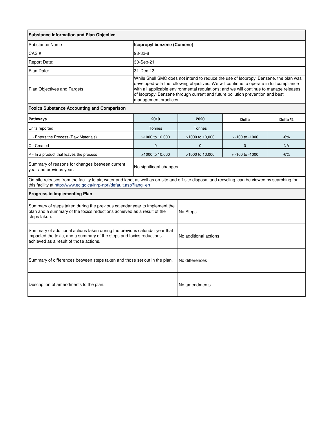| <b>Substance Information and Plan Objective</b>                                                                                                                                                                         |                                                                                                                                                                                                                                                                                                                                                                                     |                       |                     |           |
|-------------------------------------------------------------------------------------------------------------------------------------------------------------------------------------------------------------------------|-------------------------------------------------------------------------------------------------------------------------------------------------------------------------------------------------------------------------------------------------------------------------------------------------------------------------------------------------------------------------------------|-----------------------|---------------------|-----------|
| Substance Name                                                                                                                                                                                                          | Isopropyl benzene (Cumene)                                                                                                                                                                                                                                                                                                                                                          |                       |                     |           |
| CAS#                                                                                                                                                                                                                    | $98 - 82 - 8$                                                                                                                                                                                                                                                                                                                                                                       |                       |                     |           |
| Report Date:                                                                                                                                                                                                            | 30-Sep-21                                                                                                                                                                                                                                                                                                                                                                           |                       |                     |           |
| Plan Date:                                                                                                                                                                                                              | 31-Dec-13                                                                                                                                                                                                                                                                                                                                                                           |                       |                     |           |
| <b>Plan Objectives and Targets</b>                                                                                                                                                                                      | While Shell SMC does not intend to reduce the use of Isopropyl Benzene, the plan was<br>developed with the following objectives. We will continue to operate in full compliance<br>with all applicable environmental regulations; and we will continue to manage releases<br>of Isopropyl Benzene through current and future pollution prevention and best<br>management practices. |                       |                     |           |
| <b>Toxics Substance Accounting and Comparison</b>                                                                                                                                                                       |                                                                                                                                                                                                                                                                                                                                                                                     |                       |                     |           |
| <b>Pathways</b>                                                                                                                                                                                                         | 2019                                                                                                                                                                                                                                                                                                                                                                                | 2020                  | <b>Delta</b>        | Delta %   |
| Units reported                                                                                                                                                                                                          | Tonnes                                                                                                                                                                                                                                                                                                                                                                              | Tonnes                |                     |           |
| U - Enters the Process (Raw Materials)                                                                                                                                                                                  | >1000 to 10,000                                                                                                                                                                                                                                                                                                                                                                     | >1000 to 10,000       | > -100 to -1000     | $-6%$     |
| C - Created                                                                                                                                                                                                             | $\mathbf 0$                                                                                                                                                                                                                                                                                                                                                                         | $\mathbf{0}$          | $\mathbf{0}$        | <b>NA</b> |
| P - In a product that leaves the process                                                                                                                                                                                | >1000 to 10,000                                                                                                                                                                                                                                                                                                                                                                     | >1000 to 10,000       | $> -100$ to $-1000$ | $-6%$     |
| Summary of reasons for changes between current<br>year and previous year.                                                                                                                                               | No significant changes                                                                                                                                                                                                                                                                                                                                                              |                       |                     |           |
| On-site releases from the facility to air, water and land, as well as on-site and off-site disposal and recycling, can be viewed by searching for<br>this facility at http://www.ec.gc.ca/inrp-npri/default.asp?lang=en |                                                                                                                                                                                                                                                                                                                                                                                     |                       |                     |           |
| Progress in Implementing Plan                                                                                                                                                                                           |                                                                                                                                                                                                                                                                                                                                                                                     |                       |                     |           |
| Summary of steps taken during the previous calendar year to implement the<br>plan and a summary of the toxics reductions achieved as a result of the<br>steps taken.                                                    |                                                                                                                                                                                                                                                                                                                                                                                     | No Steps              |                     |           |
| Summary of additional actions taken during the previous calendar year that<br>impacted the toxic, and a summary of the steps and toxics reductions<br>achieved as a result of those actions.                            |                                                                                                                                                                                                                                                                                                                                                                                     | No additional actions |                     |           |
| Summary of differences between steps taken and those set out in the plan.                                                                                                                                               |                                                                                                                                                                                                                                                                                                                                                                                     | No differences        |                     |           |
| Description of amendments to the plan.                                                                                                                                                                                  |                                                                                                                                                                                                                                                                                                                                                                                     | No amendments         |                     |           |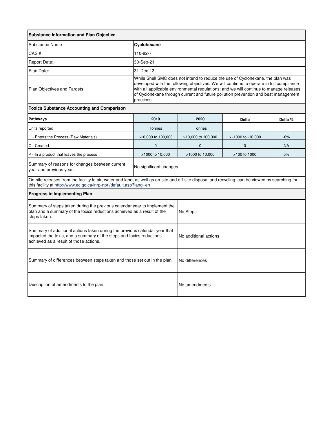| <b>Substance Information and Plan Objective</b>                                                                                                                                                                         |                                                                                                                                                                                                                                                                                                                                                                         |                       |                        |           |
|-------------------------------------------------------------------------------------------------------------------------------------------------------------------------------------------------------------------------|-------------------------------------------------------------------------------------------------------------------------------------------------------------------------------------------------------------------------------------------------------------------------------------------------------------------------------------------------------------------------|-----------------------|------------------------|-----------|
| Substance Name                                                                                                                                                                                                          | Cyclohexane                                                                                                                                                                                                                                                                                                                                                             |                       |                        |           |
| CAS#                                                                                                                                                                                                                    | 110-82-7                                                                                                                                                                                                                                                                                                                                                                |                       |                        |           |
| Report Date:                                                                                                                                                                                                            | 30-Sep-21                                                                                                                                                                                                                                                                                                                                                               |                       |                        |           |
| Plan Date:                                                                                                                                                                                                              | 31-Dec-13                                                                                                                                                                                                                                                                                                                                                               |                       |                        |           |
| Plan Objectives and Targets                                                                                                                                                                                             | While Shell SMC does not intend to reduce the use of Cyclohexane, the plan was<br>developed with the following objectives. We will continue to operate in full compliance<br>with all applicable environmental regulations; and we will continue to manage releases<br>of Cyclohexane through current and future pollution prevention and best management<br>practices. |                       |                        |           |
| <b>Toxics Substance Accounting and Comparison</b>                                                                                                                                                                       |                                                                                                                                                                                                                                                                                                                                                                         |                       |                        |           |
| Pathways                                                                                                                                                                                                                | 2019                                                                                                                                                                                                                                                                                                                                                                    | 2020                  | <b>Delta</b>           | Delta %   |
| Units reported                                                                                                                                                                                                          | Tonnes                                                                                                                                                                                                                                                                                                                                                                  | Tonnes                |                        |           |
| U - Enters the Process (Raw Materials)                                                                                                                                                                                  | >10,000 to 100,000                                                                                                                                                                                                                                                                                                                                                      | >10,000 to 100,000    | $> -1000$ to $-10,000$ | $-6%$     |
| C - Created                                                                                                                                                                                                             | 0                                                                                                                                                                                                                                                                                                                                                                       | $\mathbf 0$           | 0                      | <b>NA</b> |
| P - In a product that leaves the process                                                                                                                                                                                | >1000 to 10,000                                                                                                                                                                                                                                                                                                                                                         | >1000 to 10,000       | >100 to 1000           | 5%        |
| Summary of reasons for changes between current<br>year and previous year.                                                                                                                                               | No significant changes                                                                                                                                                                                                                                                                                                                                                  |                       |                        |           |
| On-site releases from the facility to air, water and land, as well as on-site and off-site disposal and recycling, can be viewed by searching for<br>this facility at http://www.ec.gc.ca/inrp-npri/default.asp?lang=en |                                                                                                                                                                                                                                                                                                                                                                         |                       |                        |           |
| Progress in Implementing Plan                                                                                                                                                                                           |                                                                                                                                                                                                                                                                                                                                                                         |                       |                        |           |
| Summary of steps taken during the previous calendar year to implement the<br>plan and a summary of the toxics reductions achieved as a result of the<br>steps taken.                                                    |                                                                                                                                                                                                                                                                                                                                                                         | No Steps              |                        |           |
| Summary of additional actions taken during the previous calendar year that<br>impacted the toxic, and a summary of the steps and toxics reductions<br>achieved as a result of those actions.                            |                                                                                                                                                                                                                                                                                                                                                                         | No additional actions |                        |           |
| Summary of differences between steps taken and those set out in the plan.                                                                                                                                               |                                                                                                                                                                                                                                                                                                                                                                         | No differences        |                        |           |
| Description of amendments to the plan.                                                                                                                                                                                  |                                                                                                                                                                                                                                                                                                                                                                         | No amendments         |                        |           |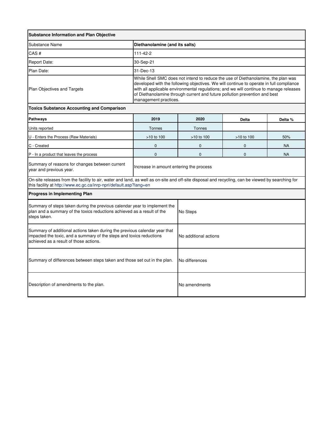| <b>Substance Information and Plan Objective</b>                                                                                                                                                                         |                                                                                                                                                                                                                                                                                                                                                                               |                       |              |           |
|-------------------------------------------------------------------------------------------------------------------------------------------------------------------------------------------------------------------------|-------------------------------------------------------------------------------------------------------------------------------------------------------------------------------------------------------------------------------------------------------------------------------------------------------------------------------------------------------------------------------|-----------------------|--------------|-----------|
| Substance Name                                                                                                                                                                                                          | Diethanolamine (and its salts)                                                                                                                                                                                                                                                                                                                                                |                       |              |           |
| CAS#                                                                                                                                                                                                                    | 111-42-2                                                                                                                                                                                                                                                                                                                                                                      |                       |              |           |
| Report Date:                                                                                                                                                                                                            | 30-Sep-21                                                                                                                                                                                                                                                                                                                                                                     |                       |              |           |
| Plan Date:                                                                                                                                                                                                              | 31-Dec-13                                                                                                                                                                                                                                                                                                                                                                     |                       |              |           |
| <b>Plan Objectives and Targets</b>                                                                                                                                                                                      | While Shell SMC does not intend to reduce the use of Diethanolamine, the plan was<br>developed with the following objectives. We will continue to operate in full compliance<br>with all applicable environmental regulations; and we will continue to manage releases<br>of Diethanolamine through current and future pollution prevention and best<br>management practices. |                       |              |           |
| <b>Toxics Substance Accounting and Comparison</b>                                                                                                                                                                       |                                                                                                                                                                                                                                                                                                                                                                               |                       |              |           |
| <b>Pathways</b>                                                                                                                                                                                                         | 2019                                                                                                                                                                                                                                                                                                                                                                          | 2020                  | <b>Delta</b> | Delta %   |
| Units reported                                                                                                                                                                                                          | Tonnes                                                                                                                                                                                                                                                                                                                                                                        | Tonnes                |              |           |
| U - Enters the Process (Raw Materials)                                                                                                                                                                                  | >10 to 100                                                                                                                                                                                                                                                                                                                                                                    | >10 to 100            | >10 to 100   | 50%       |
| C - Created                                                                                                                                                                                                             | $\mathbf{0}$                                                                                                                                                                                                                                                                                                                                                                  | $\mathbf 0$           | $\mathbf 0$  | <b>NA</b> |
| P - In a product that leaves the process                                                                                                                                                                                | $\mathbf{0}$                                                                                                                                                                                                                                                                                                                                                                  | $\mathbf{0}$          | $\mathbf{0}$ | <b>NA</b> |
| Summary of reasons for changes between current<br>year and previous year.                                                                                                                                               | Increase in amount entering the process                                                                                                                                                                                                                                                                                                                                       |                       |              |           |
| On-site releases from the facility to air, water and land, as well as on-site and off-site disposal and recycling, can be viewed by searching for<br>this facility at http://www.ec.gc.ca/inrp-npri/default.asp?lang=en |                                                                                                                                                                                                                                                                                                                                                                               |                       |              |           |
| <b>Progress in Implementing Plan</b>                                                                                                                                                                                    |                                                                                                                                                                                                                                                                                                                                                                               |                       |              |           |
| Summary of steps taken during the previous calendar year to implement the<br>plan and a summary of the toxics reductions achieved as a result of the<br>steps taken.                                                    |                                                                                                                                                                                                                                                                                                                                                                               | No Steps              |              |           |
| Summary of additional actions taken during the previous calendar year that<br>impacted the toxic, and a summary of the steps and toxics reductions<br>achieved as a result of those actions.                            |                                                                                                                                                                                                                                                                                                                                                                               | No additional actions |              |           |
| Summary of differences between steps taken and those set out in the plan.                                                                                                                                               |                                                                                                                                                                                                                                                                                                                                                                               | No differences        |              |           |
| Description of amendments to the plan.                                                                                                                                                                                  |                                                                                                                                                                                                                                                                                                                                                                               | No amendments         |              |           |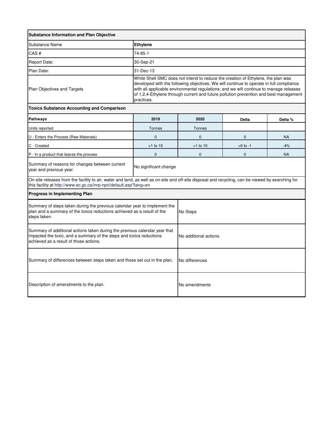| <b>Substance Information and Plan Objective</b>                                                                                                                                                                         |                                                                                                                                                                                                                                                                                                                                                                              |                       |              |           |
|-------------------------------------------------------------------------------------------------------------------------------------------------------------------------------------------------------------------------|------------------------------------------------------------------------------------------------------------------------------------------------------------------------------------------------------------------------------------------------------------------------------------------------------------------------------------------------------------------------------|-----------------------|--------------|-----------|
| Substance Name                                                                                                                                                                                                          | <b>Ethylene</b>                                                                                                                                                                                                                                                                                                                                                              |                       |              |           |
| CAS#                                                                                                                                                                                                                    | 74-85-1                                                                                                                                                                                                                                                                                                                                                                      |                       |              |           |
| Report Date:                                                                                                                                                                                                            | 30-Sep-21                                                                                                                                                                                                                                                                                                                                                                    |                       |              |           |
| Plan Date:                                                                                                                                                                                                              | 31-Dec-13                                                                                                                                                                                                                                                                                                                                                                    |                       |              |           |
| Plan Objectives and Targets                                                                                                                                                                                             | While Shell SMC does not intend to reduce the creation of Ethylene, the plan was<br>developed with the following objectives. We will continue to operate in full compliance<br>with all applicable environmental regulations; and we will continue to manage releases<br>of 1,2,4-Ethylene through current and future pollution prevention and best management<br>practices. |                       |              |           |
| <b>Toxics Substance Accounting and Comparison</b>                                                                                                                                                                       |                                                                                                                                                                                                                                                                                                                                                                              |                       |              |           |
| <b>Pathways</b>                                                                                                                                                                                                         | 2019                                                                                                                                                                                                                                                                                                                                                                         | 2020                  | <b>Delta</b> | Delta %   |
| Units reported                                                                                                                                                                                                          | Tonnes                                                                                                                                                                                                                                                                                                                                                                       | Tonnes                |              |           |
| U - Enters the Process (Raw Materials)                                                                                                                                                                                  | $\overline{0}$                                                                                                                                                                                                                                                                                                                                                               | $\mathbf 0$           | $\mathbf 0$  | <b>NA</b> |
| C - Created                                                                                                                                                                                                             | $>1$ to 10                                                                                                                                                                                                                                                                                                                                                                   | $>1$ to 10            | $>0$ to $-1$ | $-4%$     |
| P - In a product that leaves the process                                                                                                                                                                                | $\overline{0}$                                                                                                                                                                                                                                                                                                                                                               | $\mathbf 0$           | $\mathbf 0$  | <b>NA</b> |
| Summary of reasons for changes between current<br>year and previous year.                                                                                                                                               | No significant change                                                                                                                                                                                                                                                                                                                                                        |                       |              |           |
| On-site releases from the facility to air, water and land, as well as on-site and off-site disposal and recycling, can be viewed by searching for<br>this facility at http://www.ec.gc.ca/inrp-npri/default.asp?lang=en |                                                                                                                                                                                                                                                                                                                                                                              |                       |              |           |
| Progress in Implementing Plan                                                                                                                                                                                           |                                                                                                                                                                                                                                                                                                                                                                              |                       |              |           |
| Summary of steps taken during the previous calendar year to implement the<br>plan and a summary of the toxics reductions achieved as a result of the<br>steps taken.                                                    |                                                                                                                                                                                                                                                                                                                                                                              | No Steps              |              |           |
| Summary of additional actions taken during the previous calendar year that<br>impacted the toxic, and a summary of the steps and toxics reductions<br>achieved as a result of those actions.                            |                                                                                                                                                                                                                                                                                                                                                                              | No additional actions |              |           |
| Summary of differences between steps taken and those set out in the plan.                                                                                                                                               |                                                                                                                                                                                                                                                                                                                                                                              | No differences        |              |           |
| Description of amendments to the plan.                                                                                                                                                                                  |                                                                                                                                                                                                                                                                                                                                                                              | No amendments         |              |           |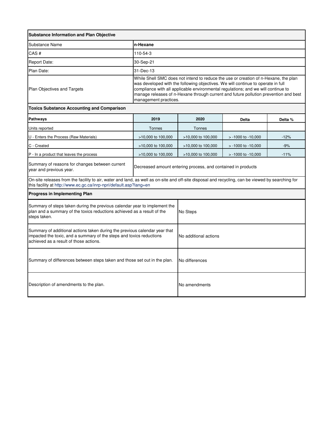| <b>Substance Information and Plan Objective</b>                                                                                                                                                                         |                                                                                                                                                                                                                                                                                                                                                                               |                                                              |                        |         |
|-------------------------------------------------------------------------------------------------------------------------------------------------------------------------------------------------------------------------|-------------------------------------------------------------------------------------------------------------------------------------------------------------------------------------------------------------------------------------------------------------------------------------------------------------------------------------------------------------------------------|--------------------------------------------------------------|------------------------|---------|
| Substance Name                                                                                                                                                                                                          | n-Hexane                                                                                                                                                                                                                                                                                                                                                                      |                                                              |                        |         |
| CAS#                                                                                                                                                                                                                    | 110-54-3                                                                                                                                                                                                                                                                                                                                                                      |                                                              |                        |         |
| Report Date:                                                                                                                                                                                                            | 30-Sep-21                                                                                                                                                                                                                                                                                                                                                                     |                                                              |                        |         |
| Plan Date:                                                                                                                                                                                                              | 31-Dec-13                                                                                                                                                                                                                                                                                                                                                                     |                                                              |                        |         |
| Plan Objectives and Targets                                                                                                                                                                                             | While Shell SMC does not intend to reduce the use or creation of n-Hexane, the plan<br>was developed with the following objectives. We will continue to operate in full<br>compliance with all applicable environmental regulations; and we will continue to<br>manage releases of n-Hexane through current and future pollution prevention and best<br>management practices. |                                                              |                        |         |
| <b>Toxics Substance Accounting and Comparison</b>                                                                                                                                                                       |                                                                                                                                                                                                                                                                                                                                                                               |                                                              |                        |         |
| Pathways                                                                                                                                                                                                                | 2019                                                                                                                                                                                                                                                                                                                                                                          | 2020                                                         | Delta                  | Delta % |
| Units reported                                                                                                                                                                                                          | Tonnes                                                                                                                                                                                                                                                                                                                                                                        | Tonnes                                                       |                        |         |
| U - Enters the Process (Raw Materials)                                                                                                                                                                                  | >10,000 to 100,000                                                                                                                                                                                                                                                                                                                                                            | >10,000 to 100,000                                           | $> -1000$ to $-10,000$ | $-12%$  |
| C - Created                                                                                                                                                                                                             | >10,000 to 100,000                                                                                                                                                                                                                                                                                                                                                            | >10,000 to 100,000                                           | $> -1000$ to $-10,000$ | $-9%$   |
| P - In a product that leaves the process                                                                                                                                                                                | >10,000 to 100,000                                                                                                                                                                                                                                                                                                                                                            | >10,000 to 100,000                                           | $> -1000$ to $-10,000$ | $-11%$  |
| Summary of reasons for changes between current<br>year and previous year.                                                                                                                                               |                                                                                                                                                                                                                                                                                                                                                                               | Decreased amount entering process, and contained in products |                        |         |
| On-site releases from the facility to air, water and land, as well as on-site and off-site disposal and recycling, can be viewed by searching for<br>this facility at http://www.ec.gc.ca/inrp-npri/default.asp?lang=en |                                                                                                                                                                                                                                                                                                                                                                               |                                                              |                        |         |
| <b>Progress in Implementing Plan</b>                                                                                                                                                                                    |                                                                                                                                                                                                                                                                                                                                                                               |                                                              |                        |         |
| Summary of steps taken during the previous calendar year to implement the<br>plan and a summary of the toxics reductions achieved as a result of the<br>steps taken.                                                    |                                                                                                                                                                                                                                                                                                                                                                               | No Steps                                                     |                        |         |
| Summary of additional actions taken during the previous calendar year that<br>impacted the toxic, and a summary of the steps and toxics reductions<br>achieved as a result of those actions.                            |                                                                                                                                                                                                                                                                                                                                                                               | No additional actions                                        |                        |         |
| Summary of differences between steps taken and those set out in the plan.                                                                                                                                               |                                                                                                                                                                                                                                                                                                                                                                               | No differences                                               |                        |         |
| Description of amendments to the plan.                                                                                                                                                                                  |                                                                                                                                                                                                                                                                                                                                                                               | No amendments                                                |                        |         |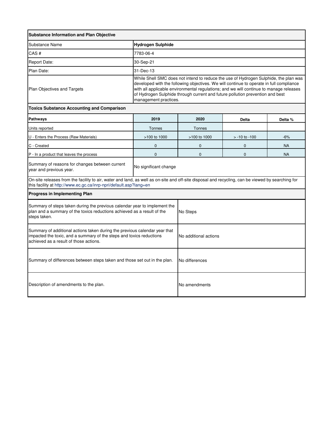| <b>Substance Information and Plan Objective</b>                                                                                                                                                                         |                                                                                                                                                                                                                                                                                                                                                                                     |                       |                   |           |
|-------------------------------------------------------------------------------------------------------------------------------------------------------------------------------------------------------------------------|-------------------------------------------------------------------------------------------------------------------------------------------------------------------------------------------------------------------------------------------------------------------------------------------------------------------------------------------------------------------------------------|-----------------------|-------------------|-----------|
| Substance Name                                                                                                                                                                                                          | <b>Hydrogen Sulphide</b>                                                                                                                                                                                                                                                                                                                                                            |                       |                   |           |
| CAS#                                                                                                                                                                                                                    | 7783-06-4                                                                                                                                                                                                                                                                                                                                                                           |                       |                   |           |
| Report Date:                                                                                                                                                                                                            | 30-Sep-21                                                                                                                                                                                                                                                                                                                                                                           |                       |                   |           |
| Plan Date:                                                                                                                                                                                                              | 31-Dec-13                                                                                                                                                                                                                                                                                                                                                                           |                       |                   |           |
| Plan Objectives and Targets                                                                                                                                                                                             | While Shell SMC does not intend to reduce the use of Hydrogen Sulphide, the plan was<br>developed with the following objectives. We will continue to operate in full compliance<br>with all applicable environmental regulations; and we will continue to manage releases<br>of Hydrogen Sulphide through current and future pollution prevention and best<br>management practices. |                       |                   |           |
| <b>Toxics Substance Accounting and Comparison</b>                                                                                                                                                                       |                                                                                                                                                                                                                                                                                                                                                                                     |                       |                   |           |
| <b>Pathways</b>                                                                                                                                                                                                         | 2019                                                                                                                                                                                                                                                                                                                                                                                | 2020                  | Delta             | Delta %   |
| Units reported                                                                                                                                                                                                          | Tonnes                                                                                                                                                                                                                                                                                                                                                                              | Tonnes                |                   |           |
| U - Enters the Process (Raw Materials)                                                                                                                                                                                  | >100 to 1000                                                                                                                                                                                                                                                                                                                                                                        | >100 to 1000          | $> -10$ to $-100$ | $-6%$     |
| C - Created                                                                                                                                                                                                             | $\Omega$                                                                                                                                                                                                                                                                                                                                                                            | $\mathbf{0}$          | $\mathbf{0}$      | <b>NA</b> |
| P - In a product that leaves the process                                                                                                                                                                                | $\mathbf 0$                                                                                                                                                                                                                                                                                                                                                                         | $\mathbf 0$           | $\mathbf 0$       | <b>NA</b> |
| Summary of reasons for changes between current<br>year and previous year.                                                                                                                                               | No significant change                                                                                                                                                                                                                                                                                                                                                               |                       |                   |           |
| On-site releases from the facility to air, water and land, as well as on-site and off-site disposal and recycling, can be viewed by searching for<br>this facility at http://www.ec.gc.ca/inrp-npri/default.asp?lang=en |                                                                                                                                                                                                                                                                                                                                                                                     |                       |                   |           |
| <b>Progress in Implementing Plan</b>                                                                                                                                                                                    |                                                                                                                                                                                                                                                                                                                                                                                     |                       |                   |           |
| Summary of steps taken during the previous calendar year to implement the<br>plan and a summary of the toxics reductions achieved as a result of the<br>steps taken.                                                    |                                                                                                                                                                                                                                                                                                                                                                                     | No Steps              |                   |           |
| Summary of additional actions taken during the previous calendar year that<br>impacted the toxic, and a summary of the steps and toxics reductions<br>achieved as a result of those actions.                            |                                                                                                                                                                                                                                                                                                                                                                                     | No additional actions |                   |           |
| Summary of differences between steps taken and those set out in the plan.                                                                                                                                               |                                                                                                                                                                                                                                                                                                                                                                                     | No differences        |                   |           |
| Description of amendments to the plan.                                                                                                                                                                                  |                                                                                                                                                                                                                                                                                                                                                                                     | No amendments         |                   |           |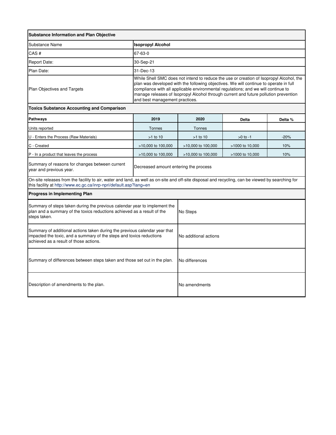| <b>Substance Information and Plan Objective</b>                                                                                                                                                                         |                                                                                                                                                                                                                                                                                                                                                                                                 |                       |                 |         |
|-------------------------------------------------------------------------------------------------------------------------------------------------------------------------------------------------------------------------|-------------------------------------------------------------------------------------------------------------------------------------------------------------------------------------------------------------------------------------------------------------------------------------------------------------------------------------------------------------------------------------------------|-----------------------|-----------------|---------|
| Substance Name                                                                                                                                                                                                          | <b>Isopropyl Alcohol</b>                                                                                                                                                                                                                                                                                                                                                                        |                       |                 |         |
| CAS#                                                                                                                                                                                                                    | 67-63-0                                                                                                                                                                                                                                                                                                                                                                                         |                       |                 |         |
| Report Date:                                                                                                                                                                                                            | 30-Sep-21                                                                                                                                                                                                                                                                                                                                                                                       |                       |                 |         |
| Plan Date:                                                                                                                                                                                                              | 31-Dec-13                                                                                                                                                                                                                                                                                                                                                                                       |                       |                 |         |
| <b>Plan Objectives and Targets</b>                                                                                                                                                                                      | While Shell SMC does not intend to reduce the use or creation of Isopropyl Alcohol, the<br>plan was developed with the following objectives. We will continue to operate in full<br>compliance with all applicable environmental regulations; and we will continue to<br>manage releases of Isopropyl Alcohol through current and future pollution prevention<br>and best management practices. |                       |                 |         |
| <b>Toxics Substance Accounting and Comparison</b>                                                                                                                                                                       |                                                                                                                                                                                                                                                                                                                                                                                                 |                       |                 |         |
| <b>Pathways</b>                                                                                                                                                                                                         | 2019                                                                                                                                                                                                                                                                                                                                                                                            | 2020                  | <b>Delta</b>    | Delta % |
| Units reported                                                                                                                                                                                                          | Tonnes                                                                                                                                                                                                                                                                                                                                                                                          | Tonnes                |                 |         |
| U - Enters the Process (Raw Materials)                                                                                                                                                                                  | $>1$ to 10                                                                                                                                                                                                                                                                                                                                                                                      | $>1$ to 10            | $>0$ to $-1$    | $-20%$  |
| C - Created                                                                                                                                                                                                             | >10,000 to 100,000                                                                                                                                                                                                                                                                                                                                                                              | >10,000 to 100,000    | >1000 to 10,000 | 10%     |
| P - In a product that leaves the process                                                                                                                                                                                | >10,000 to 100,000                                                                                                                                                                                                                                                                                                                                                                              | >10,000 to 100,000    | >1000 to 10,000 | 10%     |
| Summary of reasons for changes between current<br>year and previous year.                                                                                                                                               | Decreased amount entering the process                                                                                                                                                                                                                                                                                                                                                           |                       |                 |         |
| On-site releases from the facility to air, water and land, as well as on-site and off-site disposal and recycling, can be viewed by searching for<br>this facility at http://www.ec.gc.ca/inrp-npri/default.asp?lang=en |                                                                                                                                                                                                                                                                                                                                                                                                 |                       |                 |         |
| <b>Progress in Implementing Plan</b>                                                                                                                                                                                    |                                                                                                                                                                                                                                                                                                                                                                                                 |                       |                 |         |
| Summary of steps taken during the previous calendar year to implement the<br>plan and a summary of the toxics reductions achieved as a result of the<br>steps taken.                                                    |                                                                                                                                                                                                                                                                                                                                                                                                 | No Steps              |                 |         |
| Summary of additional actions taken during the previous calendar year that<br>impacted the toxic, and a summary of the steps and toxics reductions<br>achieved as a result of those actions.                            |                                                                                                                                                                                                                                                                                                                                                                                                 | No additional actions |                 |         |
| Summary of differences between steps taken and those set out in the plan.                                                                                                                                               |                                                                                                                                                                                                                                                                                                                                                                                                 | No differences        |                 |         |
| Description of amendments to the plan.                                                                                                                                                                                  |                                                                                                                                                                                                                                                                                                                                                                                                 | No amendments         |                 |         |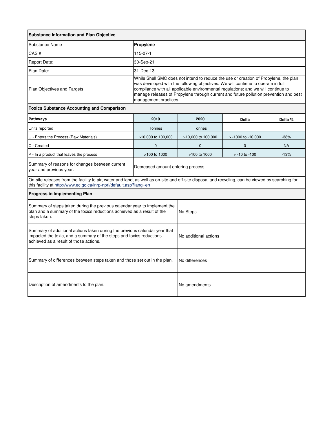| <b>Substance Information and Plan Objective</b>                                                                                                                                                                         |                                                                                                                                                                                                                                                                                                                                                                                 |                       |                        |           |
|-------------------------------------------------------------------------------------------------------------------------------------------------------------------------------------------------------------------------|---------------------------------------------------------------------------------------------------------------------------------------------------------------------------------------------------------------------------------------------------------------------------------------------------------------------------------------------------------------------------------|-----------------------|------------------------|-----------|
| Substance Name                                                                                                                                                                                                          | Propylene                                                                                                                                                                                                                                                                                                                                                                       |                       |                        |           |
| CAS#                                                                                                                                                                                                                    | 115-07-1                                                                                                                                                                                                                                                                                                                                                                        |                       |                        |           |
| Report Date:                                                                                                                                                                                                            | 30-Sep-21                                                                                                                                                                                                                                                                                                                                                                       |                       |                        |           |
| Plan Date:                                                                                                                                                                                                              | 31-Dec-13                                                                                                                                                                                                                                                                                                                                                                       |                       |                        |           |
| Plan Objectives and Targets                                                                                                                                                                                             | While Shell SMC does not intend to reduce the use or creation of Propylene, the plan<br>was developed with the following objectives. We will continue to operate in full<br>compliance with all applicable environmental regulations; and we will continue to<br>manage releases of Propylene through current and future pollution prevention and best<br>management practices. |                       |                        |           |
| <b>Toxics Substance Accounting and Comparison</b>                                                                                                                                                                       |                                                                                                                                                                                                                                                                                                                                                                                 |                       |                        |           |
| <b>Pathways</b>                                                                                                                                                                                                         | 2019                                                                                                                                                                                                                                                                                                                                                                            | 2020                  | <b>Delta</b>           | Delta %   |
| Units reported                                                                                                                                                                                                          | Tonnes                                                                                                                                                                                                                                                                                                                                                                          | Tonnes                |                        |           |
| U - Enters the Process (Raw Materials)                                                                                                                                                                                  | >10,000 to 100,000                                                                                                                                                                                                                                                                                                                                                              | >10,000 to 100,000    | $> -1000$ to $-10,000$ | $-38%$    |
| C - Created                                                                                                                                                                                                             | 0                                                                                                                                                                                                                                                                                                                                                                               | $\mathbf 0$           | 0                      | <b>NA</b> |
| P - In a product that leaves the process                                                                                                                                                                                | >100 to 1000                                                                                                                                                                                                                                                                                                                                                                    | >100 to 1000          | $> -10$ to $-100$      | $-13%$    |
| Summary of reasons for changes between current<br>year and previous year.                                                                                                                                               | Decreased amount entering process.                                                                                                                                                                                                                                                                                                                                              |                       |                        |           |
| On-site releases from the facility to air, water and land, as well as on-site and off-site disposal and recycling, can be viewed by searching for<br>this facility at http://www.ec.gc.ca/inrp-npri/default.asp?lang=en |                                                                                                                                                                                                                                                                                                                                                                                 |                       |                        |           |
| Progress in Implementing Plan                                                                                                                                                                                           |                                                                                                                                                                                                                                                                                                                                                                                 |                       |                        |           |
| Summary of steps taken during the previous calendar year to implement the<br>plan and a summary of the toxics reductions achieved as a result of the<br>steps taken.                                                    |                                                                                                                                                                                                                                                                                                                                                                                 | No Steps              |                        |           |
| Summary of additional actions taken during the previous calendar year that<br>impacted the toxic, and a summary of the steps and toxics reductions<br>achieved as a result of those actions.                            |                                                                                                                                                                                                                                                                                                                                                                                 | No additional actions |                        |           |
| Summary of differences between steps taken and those set out in the plan.                                                                                                                                               |                                                                                                                                                                                                                                                                                                                                                                                 | No differences        |                        |           |
| Description of amendments to the plan.                                                                                                                                                                                  |                                                                                                                                                                                                                                                                                                                                                                                 | No amendments         |                        |           |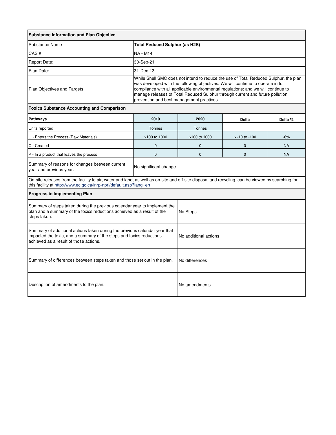| <b>Substance Information and Plan Objective</b>                                                                                                                                                                         |                                                                                                                                                                                                                                                                                                                                                                                             |                       |                   |           |
|-------------------------------------------------------------------------------------------------------------------------------------------------------------------------------------------------------------------------|---------------------------------------------------------------------------------------------------------------------------------------------------------------------------------------------------------------------------------------------------------------------------------------------------------------------------------------------------------------------------------------------|-----------------------|-------------------|-----------|
| Substance Name                                                                                                                                                                                                          | <b>Total Reduced Sulphur (as H2S)</b>                                                                                                                                                                                                                                                                                                                                                       |                       |                   |           |
| CAS#                                                                                                                                                                                                                    | <b>NA - M14</b>                                                                                                                                                                                                                                                                                                                                                                             |                       |                   |           |
| Report Date:                                                                                                                                                                                                            | 30-Sep-21                                                                                                                                                                                                                                                                                                                                                                                   |                       |                   |           |
| Plan Date:                                                                                                                                                                                                              | 31-Dec-13                                                                                                                                                                                                                                                                                                                                                                                   |                       |                   |           |
| Plan Objectives and Targets                                                                                                                                                                                             | While Shell SMC does not intend to reduce the use of Total Reduced Sulphur, the plan<br>was developed with the following objectives. We will continue to operate in full<br>compliance with all applicable environmental regulations; and we will continue to<br>manage releases of Total Reduced Sulphur through current and future pollution<br>prevention and best management practices. |                       |                   |           |
| <b>Toxics Substance Accounting and Comparison</b>                                                                                                                                                                       |                                                                                                                                                                                                                                                                                                                                                                                             |                       |                   |           |
| <b>Pathways</b>                                                                                                                                                                                                         | 2019                                                                                                                                                                                                                                                                                                                                                                                        | 2020                  | <b>Delta</b>      | Delta %   |
| Units reported                                                                                                                                                                                                          | Tonnes                                                                                                                                                                                                                                                                                                                                                                                      | Tonnes                |                   |           |
| U - Enters the Process (Raw Materials)                                                                                                                                                                                  | >100 to 1000                                                                                                                                                                                                                                                                                                                                                                                | >100 to 1000          | $> -10$ to $-100$ | $-6%$     |
| C - Created                                                                                                                                                                                                             | $\pmb{0}$                                                                                                                                                                                                                                                                                                                                                                                   | $\pmb{0}$             | $\pmb{0}$         | <b>NA</b> |
| P - In a product that leaves the process                                                                                                                                                                                | $\mathbf{0}$                                                                                                                                                                                                                                                                                                                                                                                | $\mathbf{0}$          | $\mathbf{0}$      | <b>NA</b> |
| Summary of reasons for changes between current<br>year and previous year.                                                                                                                                               | No significant change                                                                                                                                                                                                                                                                                                                                                                       |                       |                   |           |
| On-site releases from the facility to air, water and land, as well as on-site and off-site disposal and recycling, can be viewed by searching for<br>this facility at http://www.ec.gc.ca/inrp-npri/default.asp?lang=en |                                                                                                                                                                                                                                                                                                                                                                                             |                       |                   |           |
| <b>Progress in Implementing Plan</b>                                                                                                                                                                                    |                                                                                                                                                                                                                                                                                                                                                                                             |                       |                   |           |
| Summary of steps taken during the previous calendar year to implement the<br>plan and a summary of the toxics reductions achieved as a result of the<br>steps taken.                                                    |                                                                                                                                                                                                                                                                                                                                                                                             | No Steps              |                   |           |
| Summary of additional actions taken during the previous calendar year that<br>impacted the toxic, and a summary of the steps and toxics reductions<br>achieved as a result of those actions.                            |                                                                                                                                                                                                                                                                                                                                                                                             | No additional actions |                   |           |
| Summary of differences between steps taken and those set out in the plan.                                                                                                                                               |                                                                                                                                                                                                                                                                                                                                                                                             | No differences        |                   |           |
| Description of amendments to the plan.                                                                                                                                                                                  |                                                                                                                                                                                                                                                                                                                                                                                             | No amendments         |                   |           |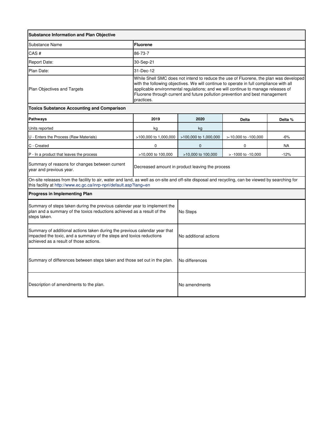| <b>Substance Information and Plan Objective</b>                                                                                                                                                                         |                                                                                                                                                                                                                                                                                                                                                                   |                                                 |                      |           |
|-------------------------------------------------------------------------------------------------------------------------------------------------------------------------------------------------------------------------|-------------------------------------------------------------------------------------------------------------------------------------------------------------------------------------------------------------------------------------------------------------------------------------------------------------------------------------------------------------------|-------------------------------------------------|----------------------|-----------|
| Substance Name                                                                                                                                                                                                          | <b>Fluorene</b>                                                                                                                                                                                                                                                                                                                                                   |                                                 |                      |           |
| CAS#                                                                                                                                                                                                                    | 86-73-7                                                                                                                                                                                                                                                                                                                                                           |                                                 |                      |           |
| Report Date:                                                                                                                                                                                                            | 30-Sep-21                                                                                                                                                                                                                                                                                                                                                         |                                                 |                      |           |
| Plan Date:                                                                                                                                                                                                              | 31-Dec-12                                                                                                                                                                                                                                                                                                                                                         |                                                 |                      |           |
| Plan Objectives and Targets                                                                                                                                                                                             | While Shell SMC does not intend to reduce the use of Fluorene, the plan was developed<br>with the following objectives. We will continue to operate in full compliance with all<br>applicable environmental regulations; and we will continue to manage releases of<br>Fluorene through current and future pollution prevention and best management<br>practices. |                                                 |                      |           |
| <b>Toxics Substance Accounting and Comparison</b>                                                                                                                                                                       |                                                                                                                                                                                                                                                                                                                                                                   |                                                 |                      |           |
| <b>Pathways</b>                                                                                                                                                                                                         | 2019                                                                                                                                                                                                                                                                                                                                                              | 2020                                            | <b>Delta</b>         | Delta %   |
| Units reported                                                                                                                                                                                                          | kg                                                                                                                                                                                                                                                                                                                                                                | kg                                              |                      |           |
| U - Enters the Process (Raw Materials)                                                                                                                                                                                  | >100,000 to 1,000,000                                                                                                                                                                                                                                                                                                                                             | >100,000 to 1,000,000                           | >-10,000 to -100,000 | $-6%$     |
| C - Created                                                                                                                                                                                                             | 0                                                                                                                                                                                                                                                                                                                                                                 | $\mathbf{0}$                                    | 0                    | <b>NA</b> |
| P - In a product that leaves the process                                                                                                                                                                                | >10,000 to 100,000                                                                                                                                                                                                                                                                                                                                                | >10,000 to 100,000                              | > -1000 to -10,000   | $-12%$    |
| Summary of reasons for changes between current<br>year and previous year.                                                                                                                                               |                                                                                                                                                                                                                                                                                                                                                                   | Decreased amount in product leaving the process |                      |           |
| On-site releases from the facility to air, water and land, as well as on-site and off-site disposal and recycling, can be viewed by searching for<br>this facility at http://www.ec.gc.ca/inrp-npri/default.asp?lang=en |                                                                                                                                                                                                                                                                                                                                                                   |                                                 |                      |           |
| Progress in Implementing Plan                                                                                                                                                                                           |                                                                                                                                                                                                                                                                                                                                                                   |                                                 |                      |           |
| Summary of steps taken during the previous calendar year to implement the<br>plan and a summary of the toxics reductions achieved as a result of the<br>steps taken.                                                    |                                                                                                                                                                                                                                                                                                                                                                   | No Steps                                        |                      |           |
| Summary of additional actions taken during the previous calendar year that<br>impacted the toxic, and a summary of the steps and toxics reductions<br>achieved as a result of those actions.                            |                                                                                                                                                                                                                                                                                                                                                                   | No additional actions                           |                      |           |
| Summary of differences between steps taken and those set out in the plan.                                                                                                                                               |                                                                                                                                                                                                                                                                                                                                                                   | No differences                                  |                      |           |
| Description of amendments to the plan.                                                                                                                                                                                  |                                                                                                                                                                                                                                                                                                                                                                   | No amendments                                   |                      |           |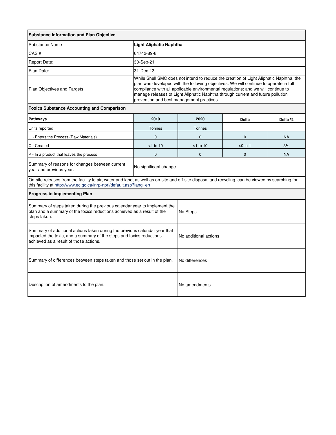| <b>Substance Information and Plan Objective</b>                                                                                                                                                                         |                                                                                                                                                                                                                                                                                                                                                                                                      |                       |              |           |  |
|-------------------------------------------------------------------------------------------------------------------------------------------------------------------------------------------------------------------------|------------------------------------------------------------------------------------------------------------------------------------------------------------------------------------------------------------------------------------------------------------------------------------------------------------------------------------------------------------------------------------------------------|-----------------------|--------------|-----------|--|
| Substance Name                                                                                                                                                                                                          | <b>Light Aliphatic Naphtha</b>                                                                                                                                                                                                                                                                                                                                                                       |                       |              |           |  |
| CAS#                                                                                                                                                                                                                    | 64742-89-8                                                                                                                                                                                                                                                                                                                                                                                           |                       |              |           |  |
| Report Date:                                                                                                                                                                                                            | 30-Sep-21                                                                                                                                                                                                                                                                                                                                                                                            |                       |              |           |  |
| Plan Date:                                                                                                                                                                                                              | 31-Dec-13                                                                                                                                                                                                                                                                                                                                                                                            |                       |              |           |  |
| <b>Plan Objectives and Targets</b>                                                                                                                                                                                      | While Shell SMC does not intend to reduce the creation of Light Aliphatic Naphtha, the<br>plan was developed with the following objectives. We will continue to operate in full<br>compliance with all applicable environmental regulations; and we will continue to<br>manage releases of Light Aliphatic Naphtha through current and future pollution<br>prevention and best management practices. |                       |              |           |  |
| <b>Toxics Substance Accounting and Comparison</b>                                                                                                                                                                       |                                                                                                                                                                                                                                                                                                                                                                                                      |                       |              |           |  |
| Pathways                                                                                                                                                                                                                | 2019                                                                                                                                                                                                                                                                                                                                                                                                 | 2020                  | <b>Delta</b> | Delta %   |  |
| Units reported                                                                                                                                                                                                          | Tonnes                                                                                                                                                                                                                                                                                                                                                                                               | Tonnes                |              |           |  |
| U - Enters the Process (Raw Materials)                                                                                                                                                                                  | $\mathbf 0$                                                                                                                                                                                                                                                                                                                                                                                          | $\mathbf 0$           | $\mathbf 0$  | <b>NA</b> |  |
| C - Created                                                                                                                                                                                                             | $>1$ to 10                                                                                                                                                                                                                                                                                                                                                                                           | $>1$ to 10            | $>0$ to 1    | 3%        |  |
| P - In a product that leaves the process                                                                                                                                                                                | 0                                                                                                                                                                                                                                                                                                                                                                                                    | $\mathbf 0$           | $\mathbf 0$  | <b>NA</b> |  |
| Summary of reasons for changes between current<br>year and previous year.                                                                                                                                               | No significant change                                                                                                                                                                                                                                                                                                                                                                                |                       |              |           |  |
| On-site releases from the facility to air, water and land, as well as on-site and off-site disposal and recycling, can be viewed by searching for<br>this facility at http://www.ec.gc.ca/inrp-npri/default.asp?lang=en |                                                                                                                                                                                                                                                                                                                                                                                                      |                       |              |           |  |
| Progress in Implementing Plan                                                                                                                                                                                           |                                                                                                                                                                                                                                                                                                                                                                                                      |                       |              |           |  |
| Summary of steps taken during the previous calendar year to implement the<br>plan and a summary of the toxics reductions achieved as a result of the<br>steps taken.                                                    |                                                                                                                                                                                                                                                                                                                                                                                                      | No Steps              |              |           |  |
| Summary of additional actions taken during the previous calendar year that<br>impacted the toxic, and a summary of the steps and toxics reductions<br>achieved as a result of those actions.                            |                                                                                                                                                                                                                                                                                                                                                                                                      | No additional actions |              |           |  |
| Summary of differences between steps taken and those set out in the plan.                                                                                                                                               |                                                                                                                                                                                                                                                                                                                                                                                                      | No differences        |              |           |  |
| Description of amendments to the plan.                                                                                                                                                                                  |                                                                                                                                                                                                                                                                                                                                                                                                      | No amendments         |              |           |  |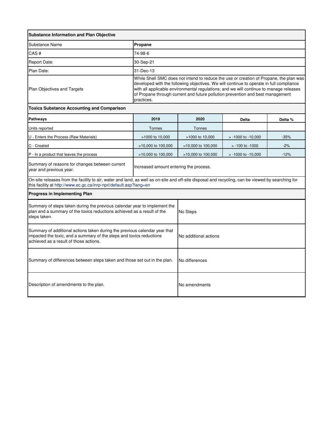| <b>Substance Information and Plan Objective</b>                                                                                                                                                                         |                                                                                                                                                                                                                                                                                                                                                                             |                       |                        |         |  |
|-------------------------------------------------------------------------------------------------------------------------------------------------------------------------------------------------------------------------|-----------------------------------------------------------------------------------------------------------------------------------------------------------------------------------------------------------------------------------------------------------------------------------------------------------------------------------------------------------------------------|-----------------------|------------------------|---------|--|
| Substance Name                                                                                                                                                                                                          | Propane                                                                                                                                                                                                                                                                                                                                                                     |                       |                        |         |  |
| CAS#                                                                                                                                                                                                                    | 74-98-6                                                                                                                                                                                                                                                                                                                                                                     |                       |                        |         |  |
| Report Date:                                                                                                                                                                                                            | 30-Sep-21                                                                                                                                                                                                                                                                                                                                                                   |                       |                        |         |  |
| Plan Date:                                                                                                                                                                                                              | 31-Dec-13                                                                                                                                                                                                                                                                                                                                                                   |                       |                        |         |  |
| <b>Plan Objectives and Targets</b>                                                                                                                                                                                      | While Shell SMC does not intend to reduce the use or creation of Propane, the plan was<br>developed with the following objectives. We will continue to operate in full compliance<br>with all applicable environmental regulations; and we will continue to manage releases<br>of Propane through current and future pollution prevention and best management<br>practices. |                       |                        |         |  |
| <b>Toxics Substance Accounting and Comparison</b>                                                                                                                                                                       |                                                                                                                                                                                                                                                                                                                                                                             |                       |                        |         |  |
| Pathways                                                                                                                                                                                                                | 2019                                                                                                                                                                                                                                                                                                                                                                        | 2020                  | <b>Delta</b>           | Delta % |  |
| Units reported                                                                                                                                                                                                          | Tonnes                                                                                                                                                                                                                                                                                                                                                                      | Tonnes                |                        |         |  |
| U - Enters the Process (Raw Materials)                                                                                                                                                                                  | >1000 to 10,000                                                                                                                                                                                                                                                                                                                                                             | >1000 to 10,000       | $> -1000$ to $-10,000$ | $-35%$  |  |
| C - Created                                                                                                                                                                                                             | >10,000 to 100,000                                                                                                                                                                                                                                                                                                                                                          | >10,000 to 100,000    | > -100 to -1000        | $-2%$   |  |
| P - In a product that leaves the process                                                                                                                                                                                | >10,000 to 100,000                                                                                                                                                                                                                                                                                                                                                          | >10,000 to 100,000    | $> -1000$ to $-10,000$ | $-12%$  |  |
| Summary of reasons for changes between current<br>year and previous year.                                                                                                                                               | Increased amount entering the process.                                                                                                                                                                                                                                                                                                                                      |                       |                        |         |  |
| On-site releases from the facility to air, water and land, as well as on-site and off-site disposal and recycling, can be viewed by searching for<br>this facility at http://www.ec.gc.ca/inrp-npri/default.asp?lang=en |                                                                                                                                                                                                                                                                                                                                                                             |                       |                        |         |  |
| <b>Progress in Implementing Plan</b>                                                                                                                                                                                    |                                                                                                                                                                                                                                                                                                                                                                             |                       |                        |         |  |
| Summary of steps taken during the previous calendar year to implement the<br>plan and a summary of the toxics reductions achieved as a result of the<br>steps taken.                                                    |                                                                                                                                                                                                                                                                                                                                                                             | No Steps              |                        |         |  |
| Summary of additional actions taken during the previous calendar year that<br>impacted the toxic, and a summary of the steps and toxics reductions<br>achieved as a result of those actions.                            |                                                                                                                                                                                                                                                                                                                                                                             | No additional actions |                        |         |  |
| Summary of differences between steps taken and those set out in the plan.                                                                                                                                               |                                                                                                                                                                                                                                                                                                                                                                             | No differences        |                        |         |  |
| Description of amendments to the plan.                                                                                                                                                                                  |                                                                                                                                                                                                                                                                                                                                                                             | No amendments         |                        |         |  |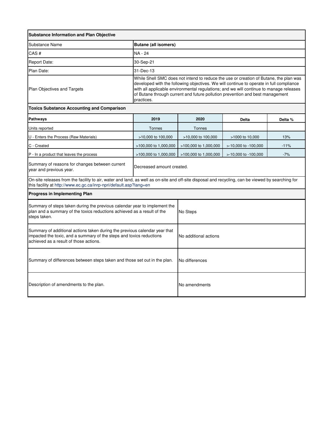| <b>Substance Information and Plan Objective</b>                                                                                                                                                                         |                                                                                                                                                                                                                                                                                                                                                                           |                       |                         |         |
|-------------------------------------------------------------------------------------------------------------------------------------------------------------------------------------------------------------------------|---------------------------------------------------------------------------------------------------------------------------------------------------------------------------------------------------------------------------------------------------------------------------------------------------------------------------------------------------------------------------|-----------------------|-------------------------|---------|
| Substance Name                                                                                                                                                                                                          | <b>Butane (all isomers)</b>                                                                                                                                                                                                                                                                                                                                               |                       |                         |         |
| CAS#                                                                                                                                                                                                                    | NA - 24                                                                                                                                                                                                                                                                                                                                                                   |                       |                         |         |
| Report Date:                                                                                                                                                                                                            | 30-Sep-21                                                                                                                                                                                                                                                                                                                                                                 |                       |                         |         |
| Plan Date:                                                                                                                                                                                                              | 31-Dec-13                                                                                                                                                                                                                                                                                                                                                                 |                       |                         |         |
| Plan Objectives and Targets                                                                                                                                                                                             | While Shell SMC does not intend to reduce the use or creation of Butane, the plan was<br>developed with the following objectives. We will continue to operate in full compliance<br>with all applicable environmental regulations; and we will continue to manage releases<br>of Butane through current and future pollution prevention and best management<br>practices. |                       |                         |         |
| <b>Toxics Substance Accounting and Comparison</b>                                                                                                                                                                       |                                                                                                                                                                                                                                                                                                                                                                           |                       |                         |         |
| Pathways                                                                                                                                                                                                                | 2019                                                                                                                                                                                                                                                                                                                                                                      | 2020                  | Delta                   | Delta % |
| Units reported                                                                                                                                                                                                          | Tonnes                                                                                                                                                                                                                                                                                                                                                                    | Tonnes                |                         |         |
| U - Enters the Process (Raw Materials)                                                                                                                                                                                  | >10,000 to 100,000                                                                                                                                                                                                                                                                                                                                                        | >10,000 to 100,000    | >1000 to 10,000         | 13%     |
| C - Created                                                                                                                                                                                                             | >100,000 to 1,000,000                                                                                                                                                                                                                                                                                                                                                     | >100,000 to 1,000,000 | >-10,000 to -100,000    | $-11%$  |
| P - In a product that leaves the process                                                                                                                                                                                | >100,000 to 1,000,000                                                                                                                                                                                                                                                                                                                                                     | >100,000 to 1,000,000 | $>10,000$ to $-100,000$ | -7%     |
| Summary of reasons for changes between current<br>year and previous year.                                                                                                                                               | Decreased amount created.                                                                                                                                                                                                                                                                                                                                                 |                       |                         |         |
| On-site releases from the facility to air, water and land, as well as on-site and off-site disposal and recycling, can be viewed by searching for<br>this facility at http://www.ec.gc.ca/inrp-npri/default.asp?lang=en |                                                                                                                                                                                                                                                                                                                                                                           |                       |                         |         |
| <b>Progress in Implementing Plan</b>                                                                                                                                                                                    |                                                                                                                                                                                                                                                                                                                                                                           |                       |                         |         |
| Summary of steps taken during the previous calendar year to implement the<br>plan and a summary of the toxics reductions achieved as a result of the<br>steps taken.                                                    |                                                                                                                                                                                                                                                                                                                                                                           | No Steps              |                         |         |
| Summary of additional actions taken during the previous calendar year that<br>impacted the toxic, and a summary of the steps and toxics reductions<br>achieved as a result of those actions.                            |                                                                                                                                                                                                                                                                                                                                                                           | No additional actions |                         |         |
| Summary of differences between steps taken and those set out in the plan.                                                                                                                                               |                                                                                                                                                                                                                                                                                                                                                                           | No differences        |                         |         |
| Description of amendments to the plan.                                                                                                                                                                                  |                                                                                                                                                                                                                                                                                                                                                                           | No amendments         |                         |         |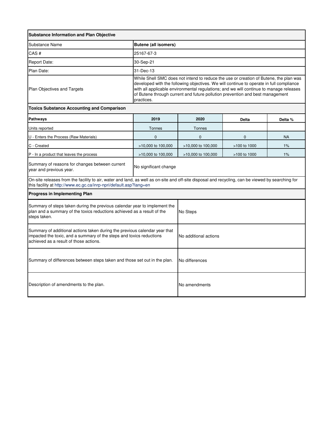| <b>Substance Information and Plan Objective</b>                                                                                                                                                                         |                                                                                                                                                                                                                                                                                                                                                                           |                       |              |           |
|-------------------------------------------------------------------------------------------------------------------------------------------------------------------------------------------------------------------------|---------------------------------------------------------------------------------------------------------------------------------------------------------------------------------------------------------------------------------------------------------------------------------------------------------------------------------------------------------------------------|-----------------------|--------------|-----------|
| Substance Name                                                                                                                                                                                                          | <b>Butene (all isomers)</b>                                                                                                                                                                                                                                                                                                                                               |                       |              |           |
| CAS#                                                                                                                                                                                                                    | 25167-67-3                                                                                                                                                                                                                                                                                                                                                                |                       |              |           |
| Report Date:                                                                                                                                                                                                            | 30-Sep-21                                                                                                                                                                                                                                                                                                                                                                 |                       |              |           |
| Plan Date:                                                                                                                                                                                                              | 31-Dec-13                                                                                                                                                                                                                                                                                                                                                                 |                       |              |           |
| <b>Plan Objectives and Targets</b>                                                                                                                                                                                      | While Shell SMC does not intend to reduce the use or creation of Butene, the plan was<br>developed with the following objectives. We will continue to operate in full compliance<br>with all applicable environmental regulations; and we will continue to manage releases<br>of Butene through current and future pollution prevention and best management<br>practices. |                       |              |           |
| <b>Toxics Substance Accounting and Comparison</b>                                                                                                                                                                       |                                                                                                                                                                                                                                                                                                                                                                           |                       |              |           |
| <b>Pathways</b>                                                                                                                                                                                                         | 2019                                                                                                                                                                                                                                                                                                                                                                      | 2020                  | <b>Delta</b> | Delta %   |
| Units reported                                                                                                                                                                                                          | Tonnes                                                                                                                                                                                                                                                                                                                                                                    | Tonnes                |              |           |
| U - Enters the Process (Raw Materials)                                                                                                                                                                                  | $\mathbf{0}$                                                                                                                                                                                                                                                                                                                                                              | $\mathbf{0}$          | $\mathbf{0}$ | <b>NA</b> |
| C - Created                                                                                                                                                                                                             | >10,000 to 100,000                                                                                                                                                                                                                                                                                                                                                        | >10,000 to 100,000    | >100 to 1000 | 1%        |
| P - In a product that leaves the process                                                                                                                                                                                | >10,000 to 100,000                                                                                                                                                                                                                                                                                                                                                        | >10,000 to 100,000    | >100 to 1000 | 1%        |
| Summary of reasons for changes between current<br>year and previous year.                                                                                                                                               | No significant change                                                                                                                                                                                                                                                                                                                                                     |                       |              |           |
| On-site releases from the facility to air, water and land, as well as on-site and off-site disposal and recycling, can be viewed by searching for<br>this facility at http://www.ec.gc.ca/inrp-npri/default.asp?lang=en |                                                                                                                                                                                                                                                                                                                                                                           |                       |              |           |
| Progress in Implementing Plan                                                                                                                                                                                           |                                                                                                                                                                                                                                                                                                                                                                           |                       |              |           |
| Summary of steps taken during the previous calendar year to implement the<br>plan and a summary of the toxics reductions achieved as a result of the<br>steps taken.                                                    |                                                                                                                                                                                                                                                                                                                                                                           | No Steps              |              |           |
| Summary of additional actions taken during the previous calendar year that<br>impacted the toxic, and a summary of the steps and toxics reductions<br>achieved as a result of those actions.                            |                                                                                                                                                                                                                                                                                                                                                                           | No additional actions |              |           |
| Summary of differences between steps taken and those set out in the plan.                                                                                                                                               |                                                                                                                                                                                                                                                                                                                                                                           | No differences        |              |           |
| Description of amendments to the plan.                                                                                                                                                                                  |                                                                                                                                                                                                                                                                                                                                                                           | No amendments         |              |           |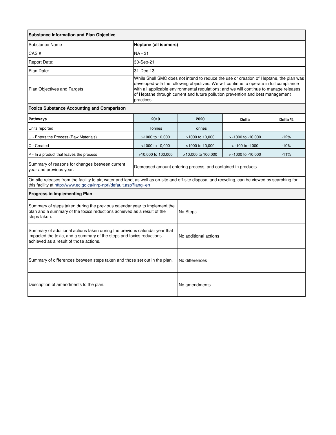| <b>Substance Information and Plan Objective</b>                                                                                                                                                                         |                                                                                                                                                                                                                                                                                                                                                                             |                                                              |                        |         |
|-------------------------------------------------------------------------------------------------------------------------------------------------------------------------------------------------------------------------|-----------------------------------------------------------------------------------------------------------------------------------------------------------------------------------------------------------------------------------------------------------------------------------------------------------------------------------------------------------------------------|--------------------------------------------------------------|------------------------|---------|
| Substance Name                                                                                                                                                                                                          | Heptane (all isomers)                                                                                                                                                                                                                                                                                                                                                       |                                                              |                        |         |
| CAS#                                                                                                                                                                                                                    | NA - 31                                                                                                                                                                                                                                                                                                                                                                     |                                                              |                        |         |
| Report Date:                                                                                                                                                                                                            | 30-Sep-21                                                                                                                                                                                                                                                                                                                                                                   |                                                              |                        |         |
| Plan Date:                                                                                                                                                                                                              | 31-Dec-13                                                                                                                                                                                                                                                                                                                                                                   |                                                              |                        |         |
| <b>Plan Objectives and Targets</b>                                                                                                                                                                                      | While Shell SMC does not intend to reduce the use or creation of Heptane, the plan was<br>developed with the following objectives. We will continue to operate in full compliance<br>with all applicable environmental regulations; and we will continue to manage releases<br>of Heptane through current and future pollution prevention and best management<br>practices. |                                                              |                        |         |
| <b>Toxics Substance Accounting and Comparison</b>                                                                                                                                                                       |                                                                                                                                                                                                                                                                                                                                                                             |                                                              |                        |         |
| <b>Pathways</b>                                                                                                                                                                                                         | 2019                                                                                                                                                                                                                                                                                                                                                                        | 2020                                                         | <b>Delta</b>           | Delta % |
| Units reported                                                                                                                                                                                                          | Tonnes                                                                                                                                                                                                                                                                                                                                                                      | Tonnes                                                       |                        |         |
| U - Enters the Process (Raw Materials)                                                                                                                                                                                  | >1000 to 10,000                                                                                                                                                                                                                                                                                                                                                             | >1000 to 10,000                                              | $> -1000$ to $-10,000$ | $-12%$  |
| C - Created                                                                                                                                                                                                             | >1000 to 10,000                                                                                                                                                                                                                                                                                                                                                             | >1000 to 10,000                                              | > -100 to -1000        | $-10%$  |
| P - In a product that leaves the process                                                                                                                                                                                | >10,000 to 100,000                                                                                                                                                                                                                                                                                                                                                          | >10,000 to 100,000                                           | $> -1000$ to $-10,000$ | $-11%$  |
| Summary of reasons for changes between current<br>year and previous year.                                                                                                                                               |                                                                                                                                                                                                                                                                                                                                                                             | Decreased amount entering process, and contained in products |                        |         |
| On-site releases from the facility to air, water and land, as well as on-site and off-site disposal and recycling, can be viewed by searching for<br>this facility at http://www.ec.gc.ca/inrp-npri/default.asp?lang=en |                                                                                                                                                                                                                                                                                                                                                                             |                                                              |                        |         |
| Progress in Implementing Plan                                                                                                                                                                                           |                                                                                                                                                                                                                                                                                                                                                                             |                                                              |                        |         |
| Summary of steps taken during the previous calendar year to implement the<br>plan and a summary of the toxics reductions achieved as a result of the<br>steps taken.                                                    |                                                                                                                                                                                                                                                                                                                                                                             | No Steps                                                     |                        |         |
| Summary of additional actions taken during the previous calendar year that<br>impacted the toxic, and a summary of the steps and toxics reductions<br>achieved as a result of those actions.                            |                                                                                                                                                                                                                                                                                                                                                                             | No additional actions                                        |                        |         |
| Summary of differences between steps taken and those set out in the plan.                                                                                                                                               |                                                                                                                                                                                                                                                                                                                                                                             | No differences                                               |                        |         |
| Description of amendments to the plan.                                                                                                                                                                                  |                                                                                                                                                                                                                                                                                                                                                                             | No amendments                                                |                        |         |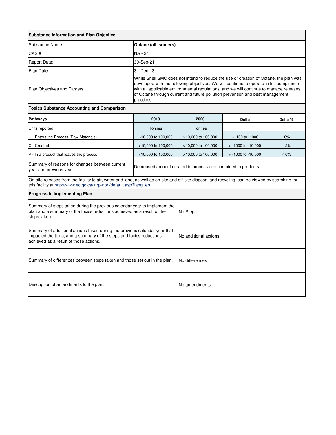| <b>Substance Information and Plan Objective</b>                                                                                                                                                                         |                                                                                                                                                                                                                                                                                                                                                                           |                                                               |                        |         |
|-------------------------------------------------------------------------------------------------------------------------------------------------------------------------------------------------------------------------|---------------------------------------------------------------------------------------------------------------------------------------------------------------------------------------------------------------------------------------------------------------------------------------------------------------------------------------------------------------------------|---------------------------------------------------------------|------------------------|---------|
| Substance Name                                                                                                                                                                                                          | Octane (all isomers)                                                                                                                                                                                                                                                                                                                                                      |                                                               |                        |         |
| CAS#                                                                                                                                                                                                                    | NA - 34                                                                                                                                                                                                                                                                                                                                                                   |                                                               |                        |         |
| Report Date:                                                                                                                                                                                                            | 30-Sep-21                                                                                                                                                                                                                                                                                                                                                                 |                                                               |                        |         |
| Plan Date:                                                                                                                                                                                                              | 31-Dec-13                                                                                                                                                                                                                                                                                                                                                                 |                                                               |                        |         |
| <b>Plan Objectives and Targets</b>                                                                                                                                                                                      | While Shell SMC does not intend to reduce the use or creation of Octane, the plan was<br>developed with the following objectives. We will continue to operate in full compliance<br>with all applicable environmental regulations; and we will continue to manage releases<br>of Octane through current and future pollution prevention and best management<br>practices. |                                                               |                        |         |
| <b>Toxics Substance Accounting and Comparison</b>                                                                                                                                                                       |                                                                                                                                                                                                                                                                                                                                                                           |                                                               |                        |         |
| <b>Pathways</b>                                                                                                                                                                                                         | 2019                                                                                                                                                                                                                                                                                                                                                                      | 2020                                                          | <b>Delta</b>           | Delta % |
| Units reported                                                                                                                                                                                                          | Tonnes                                                                                                                                                                                                                                                                                                                                                                    | Tonnes                                                        |                        |         |
| U - Enters the Process (Raw Materials)                                                                                                                                                                                  | >10,000 to 100,000                                                                                                                                                                                                                                                                                                                                                        | >10,000 to 100,000                                            | > -100 to -1000        | $-6%$   |
| C - Created                                                                                                                                                                                                             | >10,000 to 100,000                                                                                                                                                                                                                                                                                                                                                        | >10,000 to 100,000                                            | $> -1000$ to $-10,000$ | $-12%$  |
| P - In a product that leaves the process                                                                                                                                                                                | >10,000 to 100,000                                                                                                                                                                                                                                                                                                                                                        | >10,000 to 100,000                                            | $> -1000$ to $-10,000$ | $-10%$  |
| Summary of reasons for changes between current<br>year and previous year.                                                                                                                                               |                                                                                                                                                                                                                                                                                                                                                                           | Decreased amount created in process and contained in products |                        |         |
| On-site releases from the facility to air, water and land, as well as on-site and off-site disposal and recycling, can be viewed by searching for<br>this facility at http://www.ec.gc.ca/inrp-npri/default.asp?lang=en |                                                                                                                                                                                                                                                                                                                                                                           |                                                               |                        |         |
| Progress in Implementing Plan                                                                                                                                                                                           |                                                                                                                                                                                                                                                                                                                                                                           |                                                               |                        |         |
| Summary of steps taken during the previous calendar year to implement the<br>plan and a summary of the toxics reductions achieved as a result of the<br>steps taken.                                                    |                                                                                                                                                                                                                                                                                                                                                                           | No Steps                                                      |                        |         |
| Summary of additional actions taken during the previous calendar year that<br>impacted the toxic, and a summary of the steps and toxics reductions<br>achieved as a result of those actions.                            |                                                                                                                                                                                                                                                                                                                                                                           | No additional actions                                         |                        |         |
| Summary of differences between steps taken and those set out in the plan.                                                                                                                                               |                                                                                                                                                                                                                                                                                                                                                                           | No differences                                                |                        |         |
| Description of amendments to the plan.                                                                                                                                                                                  |                                                                                                                                                                                                                                                                                                                                                                           | No amendments                                                 |                        |         |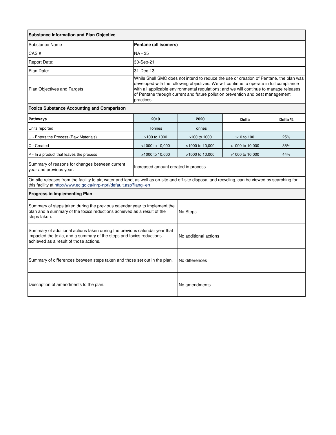| <b>Substance Information and Plan Objective</b>                                                                                                                                                                         |                                                                                                                                                                                                                                                                                                                                                                             |                       |                 |         |
|-------------------------------------------------------------------------------------------------------------------------------------------------------------------------------------------------------------------------|-----------------------------------------------------------------------------------------------------------------------------------------------------------------------------------------------------------------------------------------------------------------------------------------------------------------------------------------------------------------------------|-----------------------|-----------------|---------|
| Substance Name                                                                                                                                                                                                          | Pentane (all isomers)                                                                                                                                                                                                                                                                                                                                                       |                       |                 |         |
| CAS#                                                                                                                                                                                                                    | NA - 35                                                                                                                                                                                                                                                                                                                                                                     |                       |                 |         |
| Report Date:                                                                                                                                                                                                            | 30-Sep-21                                                                                                                                                                                                                                                                                                                                                                   |                       |                 |         |
| Plan Date:                                                                                                                                                                                                              | 31-Dec-13                                                                                                                                                                                                                                                                                                                                                                   |                       |                 |         |
| Plan Objectives and Targets                                                                                                                                                                                             | While Shell SMC does not intend to reduce the use or creation of Pentane, the plan was<br>developed with the following objectives. We will continue to operate in full compliance<br>with all applicable environmental regulations; and we will continue to manage releases<br>of Pentane through current and future pollution prevention and best management<br>practices. |                       |                 |         |
| <b>Toxics Substance Accounting and Comparison</b>                                                                                                                                                                       |                                                                                                                                                                                                                                                                                                                                                                             |                       |                 |         |
| Pathways                                                                                                                                                                                                                | 2019                                                                                                                                                                                                                                                                                                                                                                        | 2020                  | <b>Delta</b>    | Delta % |
| Units reported                                                                                                                                                                                                          | Tonnes                                                                                                                                                                                                                                                                                                                                                                      | Tonnes                |                 |         |
| U - Enters the Process (Raw Materials)                                                                                                                                                                                  | >100 to 1000                                                                                                                                                                                                                                                                                                                                                                | >100 to 1000          | >10 to 100      | 25%     |
| C - Created                                                                                                                                                                                                             | >1000 to 10,000                                                                                                                                                                                                                                                                                                                                                             | >1000 to 10,000       | >1000 to 10,000 | 35%     |
| P - In a product that leaves the process                                                                                                                                                                                | >1000 to 10,000                                                                                                                                                                                                                                                                                                                                                             | >1000 to 10,000       | >1000 to 10,000 | 44%     |
| Summary of reasons for changes between current<br>year and previous year.                                                                                                                                               | Increased amount created in process                                                                                                                                                                                                                                                                                                                                         |                       |                 |         |
| On-site releases from the facility to air, water and land, as well as on-site and off-site disposal and recycling, can be viewed by searching for<br>this facility at http://www.ec.gc.ca/inrp-npri/default.asp?lang=en |                                                                                                                                                                                                                                                                                                                                                                             |                       |                 |         |
| <b>Progress in Implementing Plan</b>                                                                                                                                                                                    |                                                                                                                                                                                                                                                                                                                                                                             |                       |                 |         |
| Summary of steps taken during the previous calendar year to implement the<br>plan and a summary of the toxics reductions achieved as a result of the<br>steps taken.                                                    |                                                                                                                                                                                                                                                                                                                                                                             | No Steps              |                 |         |
| Summary of additional actions taken during the previous calendar year that<br>impacted the toxic, and a summary of the steps and toxics reductions<br>achieved as a result of those actions.                            |                                                                                                                                                                                                                                                                                                                                                                             | No additional actions |                 |         |
| Summary of differences between steps taken and those set out in the plan.                                                                                                                                               |                                                                                                                                                                                                                                                                                                                                                                             | No differences        |                 |         |
| Description of amendments to the plan.                                                                                                                                                                                  |                                                                                                                                                                                                                                                                                                                                                                             | No amendments         |                 |         |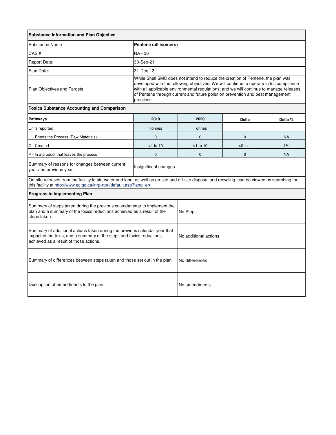| <b>Substance Information and Plan Objective</b>                                                                                                                                                                         |                                                                                                                                                                                                                                                                                                                                                                      |                       |              |           |
|-------------------------------------------------------------------------------------------------------------------------------------------------------------------------------------------------------------------------|----------------------------------------------------------------------------------------------------------------------------------------------------------------------------------------------------------------------------------------------------------------------------------------------------------------------------------------------------------------------|-----------------------|--------------|-----------|
| Substance Name                                                                                                                                                                                                          | Pentene (all isomers)                                                                                                                                                                                                                                                                                                                                                |                       |              |           |
| CAS#                                                                                                                                                                                                                    | NA - 36                                                                                                                                                                                                                                                                                                                                                              |                       |              |           |
| Report Date:                                                                                                                                                                                                            | 30-Sep-21                                                                                                                                                                                                                                                                                                                                                            |                       |              |           |
| Plan Date:                                                                                                                                                                                                              | 31-Dec-13                                                                                                                                                                                                                                                                                                                                                            |                       |              |           |
| <b>Plan Objectives and Targets</b>                                                                                                                                                                                      | While Shell SMC does not intend to reduce the creation of Pentene, the plan was<br>developed with the following objectives. We will continue to operate in full compliance<br>with all applicable environmental regulations; and we will continue to manage releases<br>of Pentene through current and future pollution prevention and best management<br>practices. |                       |              |           |
| <b>Toxics Substance Accounting and Comparison</b>                                                                                                                                                                       |                                                                                                                                                                                                                                                                                                                                                                      |                       |              |           |
| Pathways                                                                                                                                                                                                                | 2019                                                                                                                                                                                                                                                                                                                                                                 | 2020                  | <b>Delta</b> | Delta %   |
| Units reported                                                                                                                                                                                                          | Tonnes                                                                                                                                                                                                                                                                                                                                                               | Tonnes                |              |           |
| U - Enters the Process (Raw Materials)                                                                                                                                                                                  | $\Omega$                                                                                                                                                                                                                                                                                                                                                             | $\mathbf 0$           | $\mathbf 0$  | <b>NA</b> |
| C - Created                                                                                                                                                                                                             | $>1$ to 10                                                                                                                                                                                                                                                                                                                                                           | $>1$ to 10            | $>0$ to 1    | 1%        |
| P - In a product that leaves the process                                                                                                                                                                                | $\mathbf 0$                                                                                                                                                                                                                                                                                                                                                          | $\mathbf 0$           | $\mathbf{0}$ | <b>NA</b> |
| Summary of reasons for changes between current<br>year and previous year.                                                                                                                                               | Insignificant changes                                                                                                                                                                                                                                                                                                                                                |                       |              |           |
| On-site releases from the facility to air, water and land, as well as on-site and off-site disposal and recycling, can be viewed by searching for<br>this facility at http://www.ec.gc.ca/inrp-npri/default.asp?lang=en |                                                                                                                                                                                                                                                                                                                                                                      |                       |              |           |
| <b>Progress in Implementing Plan</b>                                                                                                                                                                                    |                                                                                                                                                                                                                                                                                                                                                                      |                       |              |           |
| Summary of steps taken during the previous calendar year to implement the<br>plan and a summary of the toxics reductions achieved as a result of the<br>steps taken.                                                    |                                                                                                                                                                                                                                                                                                                                                                      | No Steps              |              |           |
| Summary of additional actions taken during the previous calendar year that<br>impacted the toxic, and a summary of the steps and toxics reductions<br>achieved as a result of those actions.                            |                                                                                                                                                                                                                                                                                                                                                                      | No additional actions |              |           |
| Summary of differences between steps taken and those set out in the plan.                                                                                                                                               |                                                                                                                                                                                                                                                                                                                                                                      | No differences        |              |           |
| Description of amendments to the plan.                                                                                                                                                                                  |                                                                                                                                                                                                                                                                                                                                                                      | No amendments         |              |           |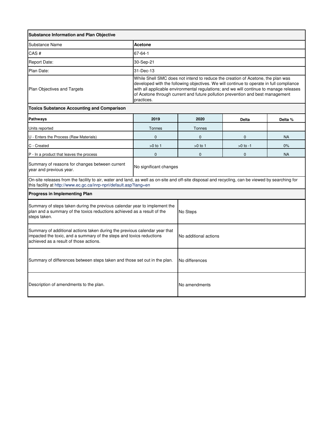| <b>Substance Information and Plan Objective</b>                                                                                                                                                                         |                                                                                                                                                                                                                                                                                                                                                                      |                       |              |           |  |
|-------------------------------------------------------------------------------------------------------------------------------------------------------------------------------------------------------------------------|----------------------------------------------------------------------------------------------------------------------------------------------------------------------------------------------------------------------------------------------------------------------------------------------------------------------------------------------------------------------|-----------------------|--------------|-----------|--|
| Substance Name                                                                                                                                                                                                          | <b>Acetone</b>                                                                                                                                                                                                                                                                                                                                                       |                       |              |           |  |
| CAS#                                                                                                                                                                                                                    | 67-64-1                                                                                                                                                                                                                                                                                                                                                              |                       |              |           |  |
| Report Date:                                                                                                                                                                                                            | 30-Sep-21                                                                                                                                                                                                                                                                                                                                                            |                       |              |           |  |
| Plan Date:                                                                                                                                                                                                              | 31-Dec-13                                                                                                                                                                                                                                                                                                                                                            |                       |              |           |  |
| Plan Objectives and Targets                                                                                                                                                                                             | While Shell SMC does not intend to reduce the creation of Acetone, the plan was<br>developed with the following objectives. We will continue to operate in full compliance<br>with all applicable environmental regulations; and we will continue to manage releases<br>of Acetone through current and future pollution prevention and best management<br>practices. |                       |              |           |  |
| <b>Toxics Substance Accounting and Comparison</b>                                                                                                                                                                       |                                                                                                                                                                                                                                                                                                                                                                      |                       |              |           |  |
| <b>Pathways</b>                                                                                                                                                                                                         | 2019                                                                                                                                                                                                                                                                                                                                                                 | 2020                  | <b>Delta</b> | Delta %   |  |
| Units reported                                                                                                                                                                                                          | Tonnes                                                                                                                                                                                                                                                                                                                                                               | Tonnes                |              |           |  |
| U - Enters the Process (Raw Materials)                                                                                                                                                                                  | $\mathbf 0$                                                                                                                                                                                                                                                                                                                                                          | $\mathbf 0$           | $\mathbf 0$  | <b>NA</b> |  |
| C - Created                                                                                                                                                                                                             | $>0$ to 1                                                                                                                                                                                                                                                                                                                                                            | $>0$ to 1             | $>0$ to -1   | 0%        |  |
| P - In a product that leaves the process                                                                                                                                                                                | $\mathbf 0$                                                                                                                                                                                                                                                                                                                                                          | $\mathbf 0$           | $\mathbf{0}$ | <b>NA</b> |  |
| Summary of reasons for changes between current<br>year and previous year.                                                                                                                                               | No significant changes                                                                                                                                                                                                                                                                                                                                               |                       |              |           |  |
| On-site releases from the facility to air, water and land, as well as on-site and off-site disposal and recycling, can be viewed by searching for<br>this facility at http://www.ec.gc.ca/inrp-npri/default.asp?lang=en |                                                                                                                                                                                                                                                                                                                                                                      |                       |              |           |  |
| Progress in Implementing Plan                                                                                                                                                                                           |                                                                                                                                                                                                                                                                                                                                                                      |                       |              |           |  |
| Summary of steps taken during the previous calendar year to implement the<br>plan and a summary of the toxics reductions achieved as a result of the<br>steps taken.                                                    |                                                                                                                                                                                                                                                                                                                                                                      | No Steps              |              |           |  |
| Summary of additional actions taken during the previous calendar year that<br>impacted the toxic, and a summary of the steps and toxics reductions<br>achieved as a result of those actions.                            |                                                                                                                                                                                                                                                                                                                                                                      | No additional actions |              |           |  |
| Summary of differences between steps taken and those set out in the plan.                                                                                                                                               |                                                                                                                                                                                                                                                                                                                                                                      | No differences        |              |           |  |
| Description of amendments to the plan.                                                                                                                                                                                  |                                                                                                                                                                                                                                                                                                                                                                      | No amendments         |              |           |  |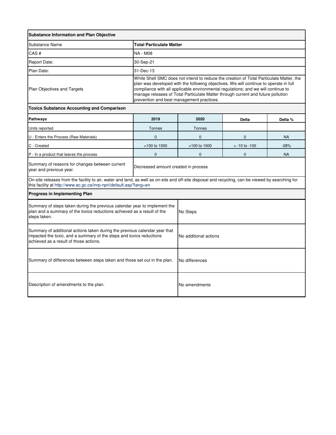| <b>Substance Information and Plan Objective</b>                                                                                                                                                                         |                                                                                                                                                                                                                                                                                                                                                                                                        |                       |                   |           |  |
|-------------------------------------------------------------------------------------------------------------------------------------------------------------------------------------------------------------------------|--------------------------------------------------------------------------------------------------------------------------------------------------------------------------------------------------------------------------------------------------------------------------------------------------------------------------------------------------------------------------------------------------------|-----------------------|-------------------|-----------|--|
| Substance Name                                                                                                                                                                                                          | <b>Total Particulate Matter</b>                                                                                                                                                                                                                                                                                                                                                                        |                       |                   |           |  |
| CAS#                                                                                                                                                                                                                    | <b>NA - M08</b>                                                                                                                                                                                                                                                                                                                                                                                        |                       |                   |           |  |
| Report Date:                                                                                                                                                                                                            | 30-Sep-21                                                                                                                                                                                                                                                                                                                                                                                              |                       |                   |           |  |
| Plan Date:                                                                                                                                                                                                              | 31-Dec-13                                                                                                                                                                                                                                                                                                                                                                                              |                       |                   |           |  |
| <b>Plan Objectives and Targets</b>                                                                                                                                                                                      | While Shell SMC does not intend to reduce the creation of Total Particulate Matter, the<br>plan was developed with the following objectives. We will continue to operate in full<br>compliance with all applicable environmental regulations; and we will continue to<br>manage releases of Total Particulate Matter through current and future pollution<br>prevention and best management practices. |                       |                   |           |  |
| <b>Toxics Substance Accounting and Comparison</b>                                                                                                                                                                       |                                                                                                                                                                                                                                                                                                                                                                                                        |                       |                   |           |  |
| <b>Pathways</b>                                                                                                                                                                                                         | 2019                                                                                                                                                                                                                                                                                                                                                                                                   | 2020                  | <b>Delta</b>      | Delta %   |  |
| Units reported                                                                                                                                                                                                          | Tonnes                                                                                                                                                                                                                                                                                                                                                                                                 | Tonnes                |                   |           |  |
| U - Enters the Process (Raw Materials)                                                                                                                                                                                  | $\mathbf 0$                                                                                                                                                                                                                                                                                                                                                                                            | $\mathbf 0$           | $\mathbf 0$       | <b>NA</b> |  |
| C - Created                                                                                                                                                                                                             | >100 to 1000                                                                                                                                                                                                                                                                                                                                                                                           | >100 to 1000          | $> -10$ to $-100$ | $-28%$    |  |
| P - In a product that leaves the process                                                                                                                                                                                | $\mathbf 0$                                                                                                                                                                                                                                                                                                                                                                                            | $\mathbf{0}$          | $\mathbf{0}$      | <b>NA</b> |  |
| Summary of reasons for changes between current<br>year and previous year.                                                                                                                                               | Decreased amount created in process                                                                                                                                                                                                                                                                                                                                                                    |                       |                   |           |  |
| On-site releases from the facility to air, water and land, as well as on-site and off-site disposal and recycling, can be viewed by searching for<br>this facility at http://www.ec.gc.ca/inrp-npri/default.asp?lang=en |                                                                                                                                                                                                                                                                                                                                                                                                        |                       |                   |           |  |
| <b>Progress in Implementing Plan</b>                                                                                                                                                                                    |                                                                                                                                                                                                                                                                                                                                                                                                        |                       |                   |           |  |
| Summary of steps taken during the previous calendar year to implement the<br>plan and a summary of the toxics reductions achieved as a result of the<br>steps taken.                                                    |                                                                                                                                                                                                                                                                                                                                                                                                        | No Steps              |                   |           |  |
| Summary of additional actions taken during the previous calendar year that<br>impacted the toxic, and a summary of the steps and toxics reductions<br>achieved as a result of those actions.                            |                                                                                                                                                                                                                                                                                                                                                                                                        | No additional actions |                   |           |  |
| Summary of differences between steps taken and those set out in the plan.                                                                                                                                               |                                                                                                                                                                                                                                                                                                                                                                                                        | No differences        |                   |           |  |
| Description of amendments to the plan.                                                                                                                                                                                  |                                                                                                                                                                                                                                                                                                                                                                                                        | No amendments         |                   |           |  |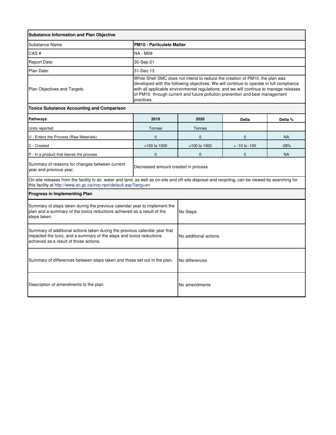| <b>Substance Information and Plan Objective</b>                                                                                                                                                                         |                                                                                                                                                                                                                                                                                                                                                                |                       |                   |           |  |
|-------------------------------------------------------------------------------------------------------------------------------------------------------------------------------------------------------------------------|----------------------------------------------------------------------------------------------------------------------------------------------------------------------------------------------------------------------------------------------------------------------------------------------------------------------------------------------------------------|-----------------------|-------------------|-----------|--|
| Substance Name                                                                                                                                                                                                          | <b>PM10 - Particulate Matter</b>                                                                                                                                                                                                                                                                                                                               |                       |                   |           |  |
| CAS#                                                                                                                                                                                                                    | <b>NA - M09</b>                                                                                                                                                                                                                                                                                                                                                |                       |                   |           |  |
| Report Date:                                                                                                                                                                                                            | 30-Sep-21                                                                                                                                                                                                                                                                                                                                                      |                       |                   |           |  |
| Plan Date:                                                                                                                                                                                                              | 31-Dec-13                                                                                                                                                                                                                                                                                                                                                      |                       |                   |           |  |
| Plan Objectives and Targets                                                                                                                                                                                             | While Shell SMC does not intend to reduce the creation of PM10, the plan was<br>developed with the following objectives. We will continue to operate in full compliance<br>with all applicable environmental regulations; and we will continue to manage releases<br>of PM10 through current and future pollution prevention and best management<br>practices. |                       |                   |           |  |
| <b>Toxics Substance Accounting and Comparison</b>                                                                                                                                                                       |                                                                                                                                                                                                                                                                                                                                                                |                       |                   |           |  |
| <b>Pathways</b>                                                                                                                                                                                                         | 2019                                                                                                                                                                                                                                                                                                                                                           | 2020                  | <b>Delta</b>      | Delta %   |  |
| Units reported                                                                                                                                                                                                          | Tonnes                                                                                                                                                                                                                                                                                                                                                         | Tonnes                |                   |           |  |
| U - Enters the Process (Raw Materials)                                                                                                                                                                                  | $\mathbf 0$                                                                                                                                                                                                                                                                                                                                                    | $\mathbf 0$           | $\mathbf 0$       | <b>NA</b> |  |
| C - Created                                                                                                                                                                                                             | >100 to 1000                                                                                                                                                                                                                                                                                                                                                   | >100 to 1000          | $> -10$ to $-100$ | $-28%$    |  |
| P - In a product that leaves the process                                                                                                                                                                                | $\mathbf 0$                                                                                                                                                                                                                                                                                                                                                    | $\mathbf{0}$          | $\mathbf{0}$      | <b>NA</b> |  |
| Summary of reasons for changes between current<br>year and previous year.                                                                                                                                               | Decreased amount created in process                                                                                                                                                                                                                                                                                                                            |                       |                   |           |  |
| On-site releases from the facility to air, water and land, as well as on-site and off-site disposal and recycling, can be viewed by searching for<br>this facility at http://www.ec.gc.ca/inrp-npri/default.asp?lang=en |                                                                                                                                                                                                                                                                                                                                                                |                       |                   |           |  |
| <b>Progress in Implementing Plan</b>                                                                                                                                                                                    |                                                                                                                                                                                                                                                                                                                                                                |                       |                   |           |  |
| Summary of steps taken during the previous calendar year to implement the<br>plan and a summary of the toxics reductions achieved as a result of the<br>steps taken.                                                    |                                                                                                                                                                                                                                                                                                                                                                | No Steps              |                   |           |  |
| Summary of additional actions taken during the previous calendar year that<br>impacted the toxic, and a summary of the steps and toxics reductions<br>achieved as a result of those actions.                            |                                                                                                                                                                                                                                                                                                                                                                | No additional actions |                   |           |  |
| Summary of differences between steps taken and those set out in the plan.                                                                                                                                               |                                                                                                                                                                                                                                                                                                                                                                | No differences        |                   |           |  |
| Description of amendments to the plan.                                                                                                                                                                                  |                                                                                                                                                                                                                                                                                                                                                                | No amendments         |                   |           |  |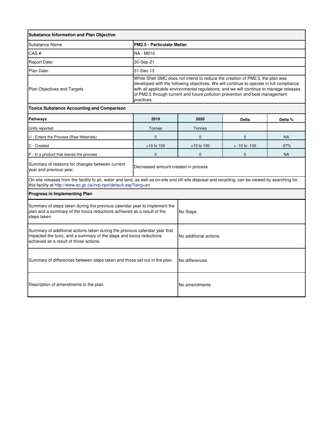| <b>Substance Information and Plan Objective</b>                                                                                                                                                                         |                                                                                                                                                                                                                                                                                                                                                                  |                       |                   |           |  |
|-------------------------------------------------------------------------------------------------------------------------------------------------------------------------------------------------------------------------|------------------------------------------------------------------------------------------------------------------------------------------------------------------------------------------------------------------------------------------------------------------------------------------------------------------------------------------------------------------|-----------------------|-------------------|-----------|--|
| Substance Name                                                                                                                                                                                                          | <b>PM2.5 - Particulate Matter</b>                                                                                                                                                                                                                                                                                                                                |                       |                   |           |  |
| CAS#                                                                                                                                                                                                                    | NA - M010                                                                                                                                                                                                                                                                                                                                                        |                       |                   |           |  |
| Report Date:                                                                                                                                                                                                            | 30-Sep-21                                                                                                                                                                                                                                                                                                                                                        |                       |                   |           |  |
| Plan Date:                                                                                                                                                                                                              | 31-Dec-13                                                                                                                                                                                                                                                                                                                                                        |                       |                   |           |  |
| Plan Objectives and Targets                                                                                                                                                                                             | While Shell SMC does not intend to reduce the creation of PM2.5, the plan was<br>developed with the following objectives. We will continue to operate in full compliance<br>with all applicable environmental regulations; and we will continue to manage releases<br>of PM2.5 through current and future pollution prevention and best management<br>practices. |                       |                   |           |  |
| <b>Toxics Substance Accounting and Comparison</b>                                                                                                                                                                       |                                                                                                                                                                                                                                                                                                                                                                  |                       |                   |           |  |
| <b>Pathways</b>                                                                                                                                                                                                         | 2019                                                                                                                                                                                                                                                                                                                                                             | 2020                  | <b>Delta</b>      | Delta %   |  |
| Units reported                                                                                                                                                                                                          | Tonnes                                                                                                                                                                                                                                                                                                                                                           | Tonnes                |                   |           |  |
| U - Enters the Process (Raw Materials)                                                                                                                                                                                  | $\mathbf 0$                                                                                                                                                                                                                                                                                                                                                      | $\mathbf{0}$          | $\mathbf{0}$      | <b>NA</b> |  |
| C - Created                                                                                                                                                                                                             | >10 to 100                                                                                                                                                                                                                                                                                                                                                       | >10 to 100            | $> -10$ to $-100$ | $-27%$    |  |
| P - In a product that leaves the process                                                                                                                                                                                | $\mathbf 0$                                                                                                                                                                                                                                                                                                                                                      | $\mathbf 0$           | $\mathbf 0$       | <b>NA</b> |  |
| Summary of reasons for changes between current<br>year and previous year.                                                                                                                                               | Decreased amount created in process                                                                                                                                                                                                                                                                                                                              |                       |                   |           |  |
| On-site releases from the facility to air, water and land, as well as on-site and off-site disposal and recycling, can be viewed by searching for<br>this facility at http://www.ec.gc.ca/inrp-npri/default.asp?lang=en |                                                                                                                                                                                                                                                                                                                                                                  |                       |                   |           |  |
| Progress in Implementing Plan                                                                                                                                                                                           |                                                                                                                                                                                                                                                                                                                                                                  |                       |                   |           |  |
| Summary of steps taken during the previous calendar year to implement the<br>plan and a summary of the toxics reductions achieved as a result of the<br>steps taken.                                                    |                                                                                                                                                                                                                                                                                                                                                                  | No Steps              |                   |           |  |
| Summary of additional actions taken during the previous calendar year that<br>impacted the toxic, and a summary of the steps and toxics reductions<br>achieved as a result of those actions.                            |                                                                                                                                                                                                                                                                                                                                                                  | No additional actions |                   |           |  |
| Summary of differences between steps taken and those set out in the plan.                                                                                                                                               |                                                                                                                                                                                                                                                                                                                                                                  | No differences        |                   |           |  |
| Description of amendments to the plan.                                                                                                                                                                                  |                                                                                                                                                                                                                                                                                                                                                                  | No amendments         |                   |           |  |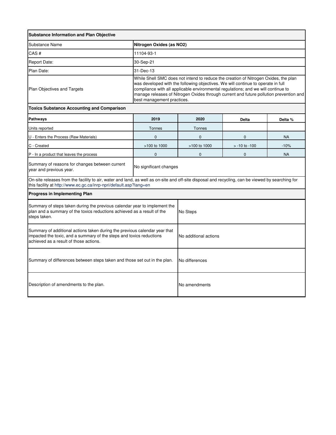| <b>Substance Information and Plan Objective</b>                                                                                                                                                                         |                                                                                                                                                                                                                                                                                                                                                                                      |                       |                   |           |
|-------------------------------------------------------------------------------------------------------------------------------------------------------------------------------------------------------------------------|--------------------------------------------------------------------------------------------------------------------------------------------------------------------------------------------------------------------------------------------------------------------------------------------------------------------------------------------------------------------------------------|-----------------------|-------------------|-----------|
| Substance Name                                                                                                                                                                                                          | Nitrogen Oxides (as NO2)                                                                                                                                                                                                                                                                                                                                                             |                       |                   |           |
| CAS#                                                                                                                                                                                                                    | 11104-93-1                                                                                                                                                                                                                                                                                                                                                                           |                       |                   |           |
| Report Date:                                                                                                                                                                                                            | 30-Sep-21                                                                                                                                                                                                                                                                                                                                                                            |                       |                   |           |
| Plan Date:                                                                                                                                                                                                              | 31-Dec-13                                                                                                                                                                                                                                                                                                                                                                            |                       |                   |           |
| Plan Objectives and Targets                                                                                                                                                                                             | While Shell SMC does not intend to reduce the creation of Nitrogen Oxides, the plan<br>was developed with the following objectives. We will continue to operate in full<br>compliance with all applicable environmental regulations; and we will continue to<br>manage releases of Nitrogen Oxides through current and future pollution prevention and<br>best management practices. |                       |                   |           |
| <b>Toxics Substance Accounting and Comparison</b>                                                                                                                                                                       |                                                                                                                                                                                                                                                                                                                                                                                      |                       |                   |           |
| <b>Pathways</b>                                                                                                                                                                                                         | 2019                                                                                                                                                                                                                                                                                                                                                                                 | 2020                  | <b>Delta</b>      | Delta %   |
| Units reported                                                                                                                                                                                                          | Tonnes                                                                                                                                                                                                                                                                                                                                                                               | Tonnes                |                   |           |
| U - Enters the Process (Raw Materials)                                                                                                                                                                                  | $\mathbf 0$                                                                                                                                                                                                                                                                                                                                                                          | $\mathbf 0$           | $\mathbf 0$       | <b>NA</b> |
| C - Created                                                                                                                                                                                                             | >100 to 1000                                                                                                                                                                                                                                                                                                                                                                         | >100 to 1000          | $> -10$ to $-100$ | $-10%$    |
| P - In a product that leaves the process                                                                                                                                                                                | $\mathbf 0$                                                                                                                                                                                                                                                                                                                                                                          | $\mathbf{0}$          | $\mathbf{0}$      | <b>NA</b> |
| Summary of reasons for changes between current<br>year and previous year.                                                                                                                                               | No significant changes                                                                                                                                                                                                                                                                                                                                                               |                       |                   |           |
| On-site releases from the facility to air, water and land, as well as on-site and off-site disposal and recycling, can be viewed by searching for<br>this facility at http://www.ec.gc.ca/inrp-npri/default.asp?lang=en |                                                                                                                                                                                                                                                                                                                                                                                      |                       |                   |           |
| <b>Progress in Implementing Plan</b>                                                                                                                                                                                    |                                                                                                                                                                                                                                                                                                                                                                                      |                       |                   |           |
| Summary of steps taken during the previous calendar year to implement the<br>plan and a summary of the toxics reductions achieved as a result of the<br>steps taken.                                                    |                                                                                                                                                                                                                                                                                                                                                                                      | No Steps              |                   |           |
| Summary of additional actions taken during the previous calendar year that<br>impacted the toxic, and a summary of the steps and toxics reductions<br>achieved as a result of those actions.                            |                                                                                                                                                                                                                                                                                                                                                                                      | No additional actions |                   |           |
| Summary of differences between steps taken and those set out in the plan.                                                                                                                                               |                                                                                                                                                                                                                                                                                                                                                                                      | No differences        |                   |           |
| Description of amendments to the plan.                                                                                                                                                                                  |                                                                                                                                                                                                                                                                                                                                                                                      | No amendments         |                   |           |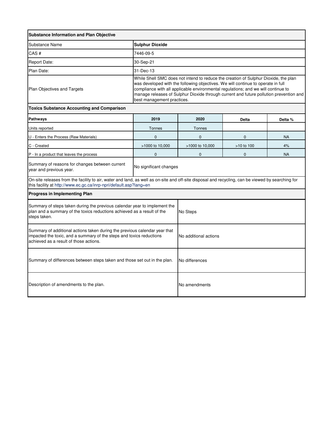| <b>Substance Information and Plan Objective</b>                                                                                                                                                                         |                                                                                                                                                                                                                                                                                                                                                                                      |                       |              |           |
|-------------------------------------------------------------------------------------------------------------------------------------------------------------------------------------------------------------------------|--------------------------------------------------------------------------------------------------------------------------------------------------------------------------------------------------------------------------------------------------------------------------------------------------------------------------------------------------------------------------------------|-----------------------|--------------|-----------|
| Substance Name                                                                                                                                                                                                          | <b>Sulphur Dioxide</b>                                                                                                                                                                                                                                                                                                                                                               |                       |              |           |
| CAS#                                                                                                                                                                                                                    | 7446-09-5                                                                                                                                                                                                                                                                                                                                                                            |                       |              |           |
| Report Date:                                                                                                                                                                                                            | 30-Sep-21                                                                                                                                                                                                                                                                                                                                                                            |                       |              |           |
| Plan Date:                                                                                                                                                                                                              | 31-Dec-13                                                                                                                                                                                                                                                                                                                                                                            |                       |              |           |
| <b>Plan Objectives and Targets</b>                                                                                                                                                                                      | While Shell SMC does not intend to reduce the creation of Sulphur Dioxide, the plan<br>was developed with the following objectives. We will continue to operate in full<br>compliance with all applicable environmental regulations; and we will continue to<br>manage releases of Sulphur Dioxide through current and future pollution prevention and<br>best management practices. |                       |              |           |
| <b>Toxics Substance Accounting and Comparison</b>                                                                                                                                                                       |                                                                                                                                                                                                                                                                                                                                                                                      |                       |              |           |
| <b>Pathways</b>                                                                                                                                                                                                         | 2019                                                                                                                                                                                                                                                                                                                                                                                 | 2020                  | <b>Delta</b> | Delta %   |
| Units reported                                                                                                                                                                                                          | Tonnes                                                                                                                                                                                                                                                                                                                                                                               | Tonnes                |              |           |
| U - Enters the Process (Raw Materials)                                                                                                                                                                                  | $\mathbf 0$                                                                                                                                                                                                                                                                                                                                                                          | $\mathbf 0$           | $\mathbf 0$  | <b>NA</b> |
| C - Created                                                                                                                                                                                                             | >1000 to 10,000                                                                                                                                                                                                                                                                                                                                                                      | >1000 to 10,000       | >10 to 100   | 4%        |
| P - In a product that leaves the process                                                                                                                                                                                | $\mathbf 0$                                                                                                                                                                                                                                                                                                                                                                          | $\mathbf{0}$          | $\mathbf{0}$ | <b>NA</b> |
| Summary of reasons for changes between current<br>year and previous year.                                                                                                                                               | No significant changes                                                                                                                                                                                                                                                                                                                                                               |                       |              |           |
| On-site releases from the facility to air, water and land, as well as on-site and off-site disposal and recycling, can be viewed by searching for<br>this facility at http://www.ec.gc.ca/inrp-npri/default.asp?lang=en |                                                                                                                                                                                                                                                                                                                                                                                      |                       |              |           |
| <b>Progress in Implementing Plan</b>                                                                                                                                                                                    |                                                                                                                                                                                                                                                                                                                                                                                      |                       |              |           |
| Summary of steps taken during the previous calendar year to implement the<br>plan and a summary of the toxics reductions achieved as a result of the<br>steps taken.                                                    |                                                                                                                                                                                                                                                                                                                                                                                      | No Steps              |              |           |
| Summary of additional actions taken during the previous calendar year that<br>impacted the toxic, and a summary of the steps and toxics reductions<br>achieved as a result of those actions.                            |                                                                                                                                                                                                                                                                                                                                                                                      | No additional actions |              |           |
| Summary of differences between steps taken and those set out in the plan.                                                                                                                                               |                                                                                                                                                                                                                                                                                                                                                                                      | No differences        |              |           |
| Description of amendments to the plan.                                                                                                                                                                                  |                                                                                                                                                                                                                                                                                                                                                                                      | No amendments         |              |           |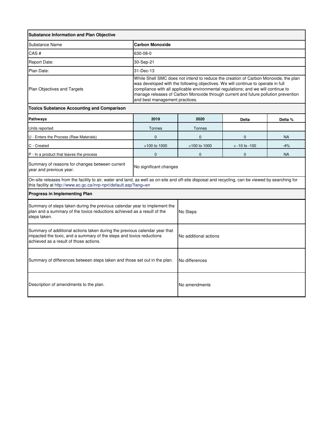| <b>Substance Information and Plan Objective</b>                                                                                                                                                                         |                                                                                                                                                                                                                                                                                                                                                                                      |                       |                   |           |
|-------------------------------------------------------------------------------------------------------------------------------------------------------------------------------------------------------------------------|--------------------------------------------------------------------------------------------------------------------------------------------------------------------------------------------------------------------------------------------------------------------------------------------------------------------------------------------------------------------------------------|-----------------------|-------------------|-----------|
| Substance Name                                                                                                                                                                                                          | <b>Carbon Monoxide</b>                                                                                                                                                                                                                                                                                                                                                               |                       |                   |           |
| CAS#                                                                                                                                                                                                                    | 630-08-0                                                                                                                                                                                                                                                                                                                                                                             |                       |                   |           |
| Report Date:                                                                                                                                                                                                            | 30-Sep-21                                                                                                                                                                                                                                                                                                                                                                            |                       |                   |           |
| Plan Date:                                                                                                                                                                                                              | 31-Dec-13                                                                                                                                                                                                                                                                                                                                                                            |                       |                   |           |
| Plan Objectives and Targets                                                                                                                                                                                             | While Shell SMC does not intend to reduce the creation of Carbon Monoxide, the plan<br>was developed with the following objectives. We will continue to operate in full<br>compliance with all applicable environmental regulations; and we will continue to<br>manage releases of Carbon Monoxide through current and future pollution prevention<br>and best management practices. |                       |                   |           |
| <b>Toxics Substance Accounting and Comparison</b>                                                                                                                                                                       |                                                                                                                                                                                                                                                                                                                                                                                      |                       |                   |           |
| <b>Pathways</b>                                                                                                                                                                                                         | 2019                                                                                                                                                                                                                                                                                                                                                                                 | 2020                  | <b>Delta</b>      | Delta %   |
| Units reported                                                                                                                                                                                                          | Tonnes                                                                                                                                                                                                                                                                                                                                                                               | Tonnes                |                   |           |
| U - Enters the Process (Raw Materials)                                                                                                                                                                                  | $\mathbf 0$                                                                                                                                                                                                                                                                                                                                                                          | $\mathbf 0$           | $\mathbf 0$       | <b>NA</b> |
| C - Created                                                                                                                                                                                                             | >100 to 1000                                                                                                                                                                                                                                                                                                                                                                         | >100 to 1000          | $> -10$ to $-100$ | $-4%$     |
| P - In a product that leaves the process                                                                                                                                                                                | $\mathbf 0$                                                                                                                                                                                                                                                                                                                                                                          | $\mathbf{0}$          | $\mathbf{0}$      | <b>NA</b> |
| Summary of reasons for changes between current<br>year and previous year.                                                                                                                                               | No significant changes                                                                                                                                                                                                                                                                                                                                                               |                       |                   |           |
| On-site releases from the facility to air, water and land, as well as on-site and off-site disposal and recycling, can be viewed by searching for<br>this facility at http://www.ec.gc.ca/inrp-npri/default.asp?lang=en |                                                                                                                                                                                                                                                                                                                                                                                      |                       |                   |           |
| <b>Progress in Implementing Plan</b>                                                                                                                                                                                    |                                                                                                                                                                                                                                                                                                                                                                                      |                       |                   |           |
| Summary of steps taken during the previous calendar year to implement the<br>plan and a summary of the toxics reductions achieved as a result of the<br>steps taken.                                                    |                                                                                                                                                                                                                                                                                                                                                                                      | No Steps              |                   |           |
| Summary of additional actions taken during the previous calendar year that<br>impacted the toxic, and a summary of the steps and toxics reductions<br>achieved as a result of those actions.                            |                                                                                                                                                                                                                                                                                                                                                                                      | No additional actions |                   |           |
| Summary of differences between steps taken and those set out in the plan.                                                                                                                                               |                                                                                                                                                                                                                                                                                                                                                                                      | No differences        |                   |           |
| Description of amendments to the plan.                                                                                                                                                                                  |                                                                                                                                                                                                                                                                                                                                                                                      | No amendments         |                   |           |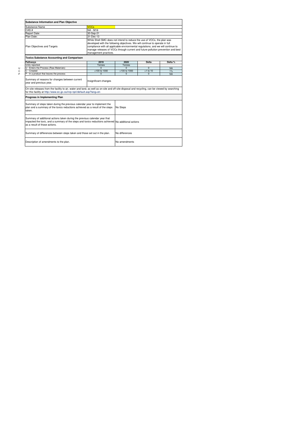| Substance Name                                                                                                                                                                                                                                                                                       | <b>VOCs</b>                                                                                                                                                                                                                                                                                                                                               |                |          |           |
|------------------------------------------------------------------------------------------------------------------------------------------------------------------------------------------------------------------------------------------------------------------------------------------------------|-----------------------------------------------------------------------------------------------------------------------------------------------------------------------------------------------------------------------------------------------------------------------------------------------------------------------------------------------------------|----------------|----------|-----------|
| CAS#                                                                                                                                                                                                                                                                                                 | <b>NA - M16</b>                                                                                                                                                                                                                                                                                                                                           |                |          |           |
| Report Date:                                                                                                                                                                                                                                                                                         | 30-Sep-21                                                                                                                                                                                                                                                                                                                                                 |                |          |           |
| Plan Date:                                                                                                                                                                                                                                                                                           | 31-Dec-13                                                                                                                                                                                                                                                                                                                                                 |                |          |           |
| Plan Objectives and Targets                                                                                                                                                                                                                                                                          | While Shell SMC does not intend to reduce the use of VOCs, the plan was<br>developed with the following objectives. We will continue to operate in full<br>compliance with all applicable environmental regulations; and we will continue to<br>manage releases of VOCs through current and future pollution prevention and best<br>management practices. |                |          |           |
| <b>Toxics Substance Accounting and Comparison</b>                                                                                                                                                                                                                                                    |                                                                                                                                                                                                                                                                                                                                                           |                |          |           |
| <b>Pathways</b>                                                                                                                                                                                                                                                                                      | 2019                                                                                                                                                                                                                                                                                                                                                      | 2020           | Delta    | Delta %   |
| Units reported                                                                                                                                                                                                                                                                                       | Tonnes                                                                                                                                                                                                                                                                                                                                                    | Tonnes         |          |           |
| U - Enters the Process (Raw Materials)                                                                                                                                                                                                                                                               | $\Omega$                                                                                                                                                                                                                                                                                                                                                  | $\Omega$       | $\Omega$ | <b>NA</b> |
| C - Created                                                                                                                                                                                                                                                                                          | >100 to 1000                                                                                                                                                                                                                                                                                                                                              | >100 to 1000   | >1 to 10 | 1%        |
| P - In a product that leaves the process                                                                                                                                                                                                                                                             | $\Omega$                                                                                                                                                                                                                                                                                                                                                  | $\Omega$       |          | <b>NA</b> |
|                                                                                                                                                                                                                                                                                                      |                                                                                                                                                                                                                                                                                                                                                           |                |          |           |
| Summary of reasons for changes between current<br>year and previous year.<br>On-site releases from the facility to air, water and land, as well as on-site and off-site disposal and recycling, can be viewed by searching<br>for this facility at http://www.ec.gc.ca/inrp-npri/default.asp?lang=en | Insignificant changes                                                                                                                                                                                                                                                                                                                                     |                |          |           |
| <b>Progress in Implementing Plan</b>                                                                                                                                                                                                                                                                 |                                                                                                                                                                                                                                                                                                                                                           |                |          |           |
| Summary of steps taken during the previous calendar year to implement the<br>plan and a summary of the toxics reductions achieved as a result of the steps<br>taken.                                                                                                                                 |                                                                                                                                                                                                                                                                                                                                                           | No Steps       |          |           |
| Summary of additional actions taken during the previous calendar year that<br>impacted the toxic, and a summary of the steps and toxics reductions achieved No additional actions<br>as a result of those actions.                                                                                   |                                                                                                                                                                                                                                                                                                                                                           |                |          |           |
| Summary of differences between steps taken and those set out in the plan.                                                                                                                                                                                                                            |                                                                                                                                                                                                                                                                                                                                                           | No differences |          |           |